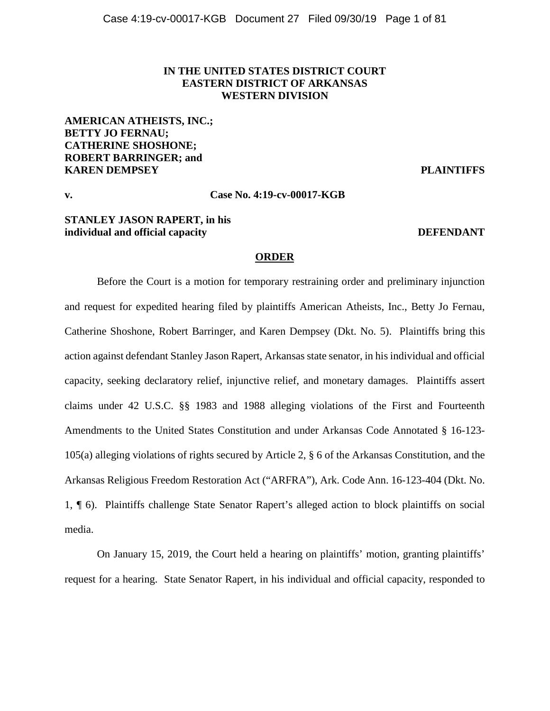# **IN THE UNITED STATES DISTRICT COURT EASTERN DISTRICT OF ARKANSAS WESTERN DIVISION**

**AMERICAN ATHEISTS, INC.; BETTY JO FERNAU; CATHERINE SHOSHONE; ROBERT BARRINGER; and KAREN DEMPSEY PLAINTIFFS**

## **v. Case No. 4:19-cv-00017-KGB**

# **STANLEY JASON RAPERT, in his individual and official capacity DEFENDANT**

## **ORDER**

Before the Court is a motion for temporary restraining order and preliminary injunction and request for expedited hearing filed by plaintiffs American Atheists, Inc., Betty Jo Fernau, Catherine Shoshone, Robert Barringer, and Karen Dempsey (Dkt. No. 5). Plaintiffs bring this action against defendant Stanley Jason Rapert, Arkansas state senator, in his individual and official capacity, seeking declaratory relief, injunctive relief, and monetary damages. Plaintiffs assert claims under 42 U.S.C. §§ 1983 and 1988 alleging violations of the First and Fourteenth Amendments to the United States Constitution and under Arkansas Code Annotated § 16-123- 105(a) alleging violations of rights secured by Article 2, § 6 of the Arkansas Constitution, and the Arkansas Religious Freedom Restoration Act ("ARFRA"), Ark. Code Ann. 16-123-404 (Dkt. No. 1, ¶ 6). Plaintiffs challenge State Senator Rapert's alleged action to block plaintiffs on social media.

On January 15, 2019, the Court held a hearing on plaintiffs' motion, granting plaintiffs' request for a hearing. State Senator Rapert, in his individual and official capacity, responded to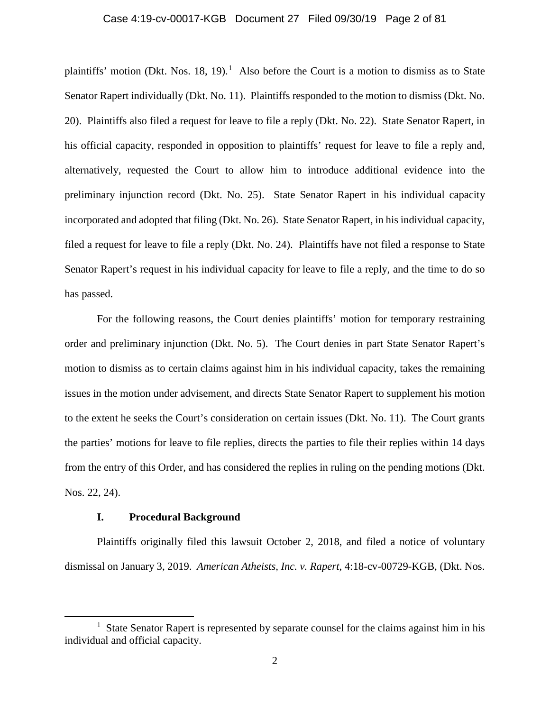## Case 4:19-cv-00017-KGB Document 27 Filed 09/30/19 Page 2 of 81

plaintiffs' motion (Dkt. Nos. [1](#page-1-0)8, 19).<sup>1</sup> Also before the Court is a motion to dismiss as to State Senator Rapert individually (Dkt. No. 11). Plaintiffs responded to the motion to dismiss (Dkt. No. 20). Plaintiffs also filed a request for leave to file a reply (Dkt. No. 22). State Senator Rapert, in his official capacity, responded in opposition to plaintiffs' request for leave to file a reply and, alternatively, requested the Court to allow him to introduce additional evidence into the preliminary injunction record (Dkt. No. 25). State Senator Rapert in his individual capacity incorporated and adopted that filing (Dkt. No. 26). State Senator Rapert, in his individual capacity, filed a request for leave to file a reply (Dkt. No. 24). Plaintiffs have not filed a response to State Senator Rapert's request in his individual capacity for leave to file a reply, and the time to do so has passed.

For the following reasons, the Court denies plaintiffs' motion for temporary restraining order and preliminary injunction (Dkt. No. 5). The Court denies in part State Senator Rapert's motion to dismiss as to certain claims against him in his individual capacity, takes the remaining issues in the motion under advisement, and directs State Senator Rapert to supplement his motion to the extent he seeks the Court's consideration on certain issues (Dkt. No. 11). The Court grants the parties' motions for leave to file replies, directs the parties to file their replies within 14 days from the entry of this Order, and has considered the replies in ruling on the pending motions (Dkt. Nos. 22, 24).

## **I. Procedural Background**

l

Plaintiffs originally filed this lawsuit October 2, 2018, and filed a notice of voluntary dismissal on January 3, 2019. *American Atheists, Inc. v. Rapert*, 4:18-cv-00729-KGB, (Dkt. Nos.

<span id="page-1-0"></span><sup>&</sup>lt;sup>1</sup> State Senator Rapert is represented by separate counsel for the claims against him in his individual and official capacity.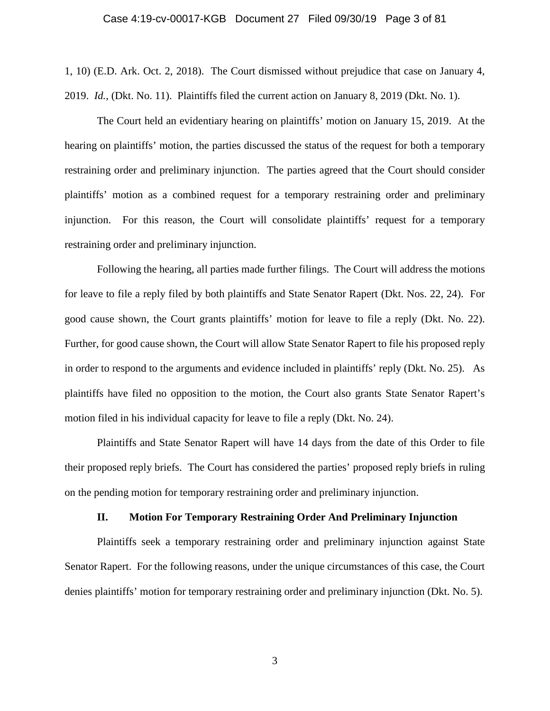1, 10) (E.D. Ark. Oct. 2, 2018). The Court dismissed without prejudice that case on January 4, 2019. *Id.*, (Dkt. No. 11). Plaintiffs filed the current action on January 8, 2019 (Dkt. No. 1).

The Court held an evidentiary hearing on plaintiffs' motion on January 15, 2019. At the hearing on plaintiffs' motion, the parties discussed the status of the request for both a temporary restraining order and preliminary injunction. The parties agreed that the Court should consider plaintiffs' motion as a combined request for a temporary restraining order and preliminary injunction. For this reason, the Court will consolidate plaintiffs' request for a temporary restraining order and preliminary injunction.

Following the hearing, all parties made further filings. The Court will address the motions for leave to file a reply filed by both plaintiffs and State Senator Rapert (Dkt. Nos. 22, 24). For good cause shown, the Court grants plaintiffs' motion for leave to file a reply (Dkt. No. 22). Further, for good cause shown, the Court will allow State Senator Rapert to file his proposed reply in order to respond to the arguments and evidence included in plaintiffs' reply (Dkt. No. 25). As plaintiffs have filed no opposition to the motion, the Court also grants State Senator Rapert's motion filed in his individual capacity for leave to file a reply (Dkt. No. 24).

Plaintiffs and State Senator Rapert will have 14 days from the date of this Order to file their proposed reply briefs. The Court has considered the parties' proposed reply briefs in ruling on the pending motion for temporary restraining order and preliminary injunction.

## **II. Motion For Temporary Restraining Order And Preliminary Injunction**

Plaintiffs seek a temporary restraining order and preliminary injunction against State Senator Rapert. For the following reasons, under the unique circumstances of this case, the Court denies plaintiffs' motion for temporary restraining order and preliminary injunction (Dkt. No. 5).

3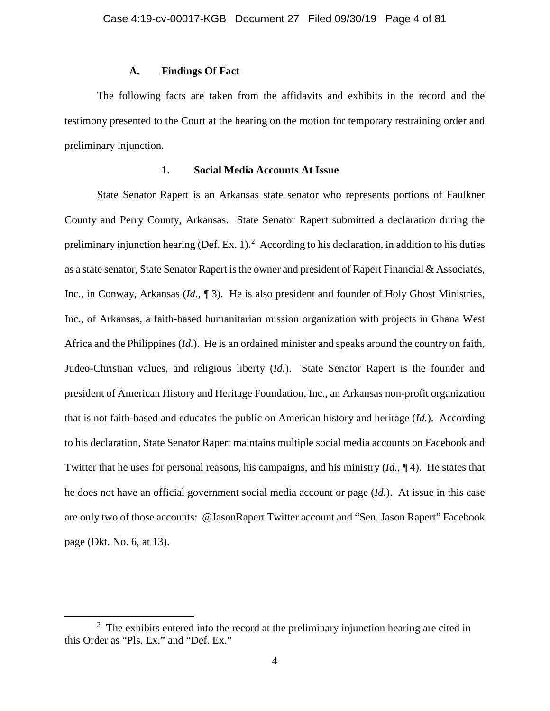## **A. Findings Of Fact**

The following facts are taken from the affidavits and exhibits in the record and the testimony presented to the Court at the hearing on the motion for temporary restraining order and preliminary injunction.

## **1. Social Media Accounts At Issue**

State Senator Rapert is an Arkansas state senator who represents portions of Faulkner County and Perry County, Arkansas. State Senator Rapert submitted a declaration during the preliminary injunction hearing (Def. Ex. 1).<sup>[2](#page-3-0)</sup> According to his declaration, in addition to his duties as a state senator, State Senator Rapert is the owner and president of Rapert Financial & Associates, Inc., in Conway, Arkansas (*Id.*, ¶ 3). He is also president and founder of Holy Ghost Ministries, Inc., of Arkansas, a faith-based humanitarian mission organization with projects in Ghana West Africa and the Philippines (*Id.*). He is an ordained minister and speaks around the country on faith, Judeo-Christian values, and religious liberty (*Id.*). State Senator Rapert is the founder and president of American History and Heritage Foundation, Inc., an Arkansas non-profit organization that is not faith-based and educates the public on American history and heritage (*Id.*). According to his declaration, State Senator Rapert maintains multiple social media accounts on Facebook and Twitter that he uses for personal reasons, his campaigns, and his ministry (*Id.*, ¶ 4). He states that he does not have an official government social media account or page (*Id.*). At issue in this case are only two of those accounts: @JasonRapert Twitter account and "Sen. Jason Rapert" Facebook page (Dkt. No. 6, at 13).

l

<span id="page-3-0"></span> $2$  The exhibits entered into the record at the preliminary injunction hearing are cited in this Order as "Pls. Ex." and "Def. Ex."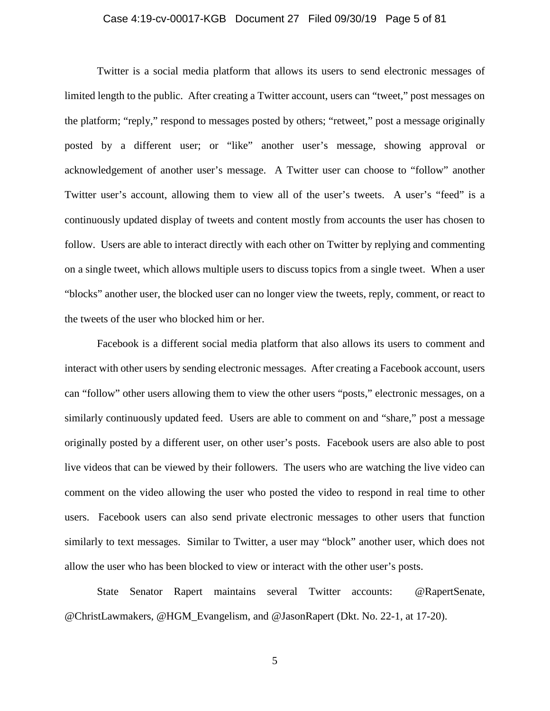## Case 4:19-cv-00017-KGB Document 27 Filed 09/30/19 Page 5 of 81

Twitter is a social media platform that allows its users to send electronic messages of limited length to the public. After creating a Twitter account, users can "tweet," post messages on the platform; "reply," respond to messages posted by others; "retweet," post a message originally posted by a different user; or "like" another user's message, showing approval or acknowledgement of another user's message. A Twitter user can choose to "follow" another Twitter user's account, allowing them to view all of the user's tweets. A user's "feed" is a continuously updated display of tweets and content mostly from accounts the user has chosen to follow. Users are able to interact directly with each other on Twitter by replying and commenting on a single tweet, which allows multiple users to discuss topics from a single tweet. When a user "blocks" another user, the blocked user can no longer view the tweets, reply, comment, or react to the tweets of the user who blocked him or her.

Facebook is a different social media platform that also allows its users to comment and interact with other users by sending electronic messages. After creating a Facebook account, users can "follow" other users allowing them to view the other users "posts," electronic messages, on a similarly continuously updated feed. Users are able to comment on and "share," post a message originally posted by a different user, on other user's posts. Facebook users are also able to post live videos that can be viewed by their followers. The users who are watching the live video can comment on the video allowing the user who posted the video to respond in real time to other users. Facebook users can also send private electronic messages to other users that function similarly to text messages. Similar to Twitter, a user may "block" another user, which does not allow the user who has been blocked to view or interact with the other user's posts.

State Senator Rapert maintains several Twitter accounts: @RapertSenate, @ChristLawmakers, @HGM\_Evangelism, and @JasonRapert (Dkt. No. 22-1, at 17-20).

5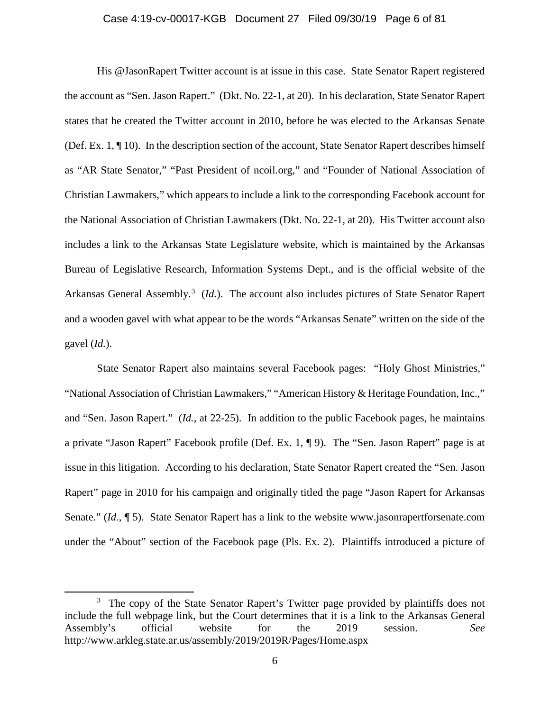#### Case 4:19-cv-00017-KGB Document 27 Filed 09/30/19 Page 6 of 81

His @JasonRapert Twitter account is at issue in this case. State Senator Rapert registered the account as "Sen. Jason Rapert." (Dkt. No. 22-1, at 20). In his declaration, State Senator Rapert states that he created the Twitter account in 2010, before he was elected to the Arkansas Senate (Def. Ex. 1, ¶ 10). In the description section of the account, State Senator Rapert describes himself as "AR State Senator," "Past President of ncoil.org," and "Founder of National Association of Christian Lawmakers," which appears to include a link to the corresponding Facebook account for the National Association of Christian Lawmakers (Dkt. No. 22-1, at 20). His Twitter account also includes a link to the Arkansas State Legislature website, which is maintained by the Arkansas Bureau of Legislative Research, Information Systems Dept., and is the official website of the Arkansas General Assembly.<sup>[3](#page-5-0)</sup> (*Id.*). The account also includes pictures of State Senator Rapert and a wooden gavel with what appear to be the words "Arkansas Senate" written on the side of the gavel (*Id.*).

State Senator Rapert also maintains several Facebook pages: "Holy Ghost Ministries," "National Association of Christian Lawmakers," "American History & Heritage Foundation, Inc.," and "Sen. Jason Rapert." (*Id.*, at 22-25). In addition to the public Facebook pages, he maintains a private "Jason Rapert" Facebook profile (Def. Ex. 1, ¶ 9). The "Sen. Jason Rapert" page is at issue in this litigation. According to his declaration, State Senator Rapert created the "Sen. Jason Rapert" page in 2010 for his campaign and originally titled the page "Jason Rapert for Arkansas Senate." (*Id.*, ¶ 5). State Senator Rapert has a link to the website www.jasonrapertforsenate.com under the "About" section of the Facebook page (Pls. Ex. 2). Plaintiffs introduced a picture of

 $\overline{\phantom{a}}$ 

<span id="page-5-0"></span><sup>&</sup>lt;sup>3</sup> The copy of the State Senator Rapert's Twitter page provided by plaintiffs does not include the full webpage link, but the Court determines that it is a link to the Arkansas General<br>Assembly's official website for the 2019 session. See Assembly's official website for the 2019 session. *See* http://www.arkleg.state.ar.us/assembly/2019/2019R/Pages/Home.aspx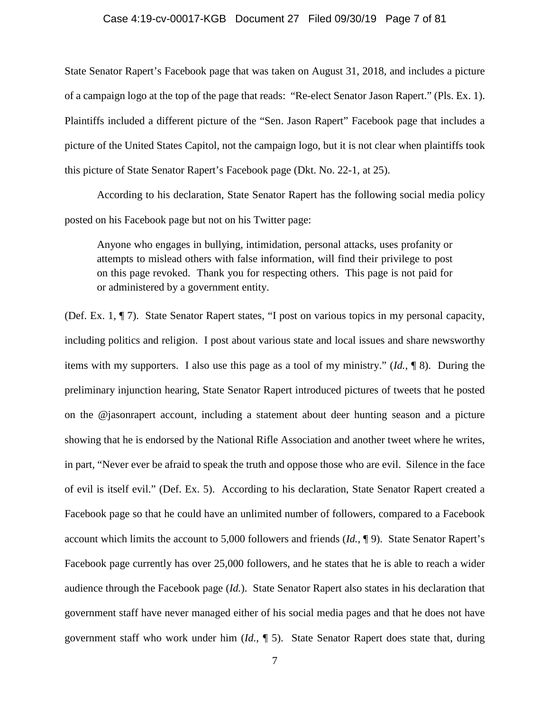## Case 4:19-cv-00017-KGB Document 27 Filed 09/30/19 Page 7 of 81

State Senator Rapert's Facebook page that was taken on August 31, 2018, and includes a picture of a campaign logo at the top of the page that reads: "Re-elect Senator Jason Rapert." (Pls. Ex. 1). Plaintiffs included a different picture of the "Sen. Jason Rapert" Facebook page that includes a picture of the United States Capitol, not the campaign logo, but it is not clear when plaintiffs took this picture of State Senator Rapert's Facebook page (Dkt. No. 22-1, at 25).

According to his declaration, State Senator Rapert has the following social media policy posted on his Facebook page but not on his Twitter page:

Anyone who engages in bullying, intimidation, personal attacks, uses profanity or attempts to mislead others with false information, will find their privilege to post on this page revoked. Thank you for respecting others. This page is not paid for or administered by a government entity.

(Def. Ex. 1, ¶ 7). State Senator Rapert states, "I post on various topics in my personal capacity, including politics and religion. I post about various state and local issues and share newsworthy items with my supporters. I also use this page as a tool of my ministry." (*Id.*, ¶ 8). During the preliminary injunction hearing, State Senator Rapert introduced pictures of tweets that he posted on the @jasonrapert account, including a statement about deer hunting season and a picture showing that he is endorsed by the National Rifle Association and another tweet where he writes, in part, "Never ever be afraid to speak the truth and oppose those who are evil. Silence in the face of evil is itself evil." (Def. Ex. 5). According to his declaration, State Senator Rapert created a Facebook page so that he could have an unlimited number of followers, compared to a Facebook account which limits the account to 5,000 followers and friends (*Id.*, ¶ 9). State Senator Rapert's Facebook page currently has over 25,000 followers, and he states that he is able to reach a wider audience through the Facebook page (*Id.*). State Senator Rapert also states in his declaration that government staff have never managed either of his social media pages and that he does not have government staff who work under him (*Id.*, ¶ 5). State Senator Rapert does state that, during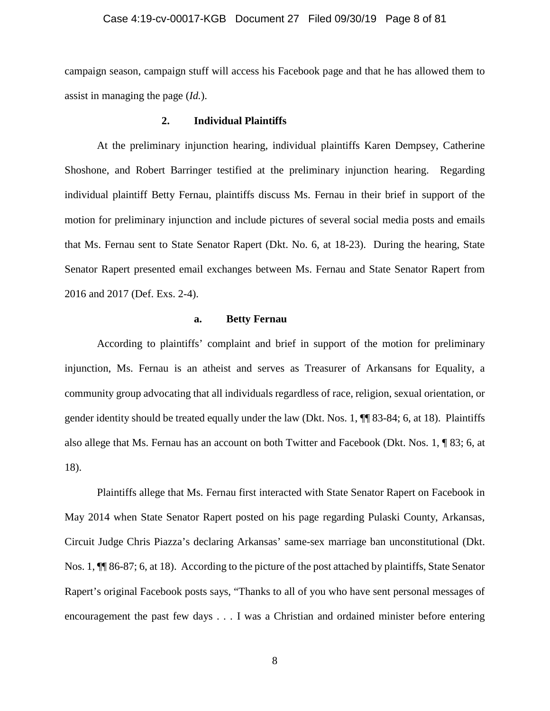#### Case 4:19-cv-00017-KGB Document 27 Filed 09/30/19 Page 8 of 81

campaign season, campaign stuff will access his Facebook page and that he has allowed them to assist in managing the page (*Id.*).

# **2. Individual Plaintiffs**

At the preliminary injunction hearing, individual plaintiffs Karen Dempsey, Catherine Shoshone, and Robert Barringer testified at the preliminary injunction hearing. Regarding individual plaintiff Betty Fernau, plaintiffs discuss Ms. Fernau in their brief in support of the motion for preliminary injunction and include pictures of several social media posts and emails that Ms. Fernau sent to State Senator Rapert (Dkt. No. 6, at 18-23). During the hearing, State Senator Rapert presented email exchanges between Ms. Fernau and State Senator Rapert from 2016 and 2017 (Def. Exs. 2-4).

## **a. Betty Fernau**

According to plaintiffs' complaint and brief in support of the motion for preliminary injunction, Ms. Fernau is an atheist and serves as Treasurer of Arkansans for Equality, a community group advocating that all individuals regardless of race, religion, sexual orientation, or gender identity should be treated equally under the law (Dkt. Nos. 1, ¶¶ 83-84; 6, at 18). Plaintiffs also allege that Ms. Fernau has an account on both Twitter and Facebook (Dkt. Nos. 1, ¶ 83; 6, at 18).

Plaintiffs allege that Ms. Fernau first interacted with State Senator Rapert on Facebook in May 2014 when State Senator Rapert posted on his page regarding Pulaski County, Arkansas, Circuit Judge Chris Piazza's declaring Arkansas' same-sex marriage ban unconstitutional (Dkt. Nos. 1, ¶¶ 86-87; 6, at 18). According to the picture of the post attached by plaintiffs, State Senator Rapert's original Facebook posts says, "Thanks to all of you who have sent personal messages of encouragement the past few days . . . I was a Christian and ordained minister before entering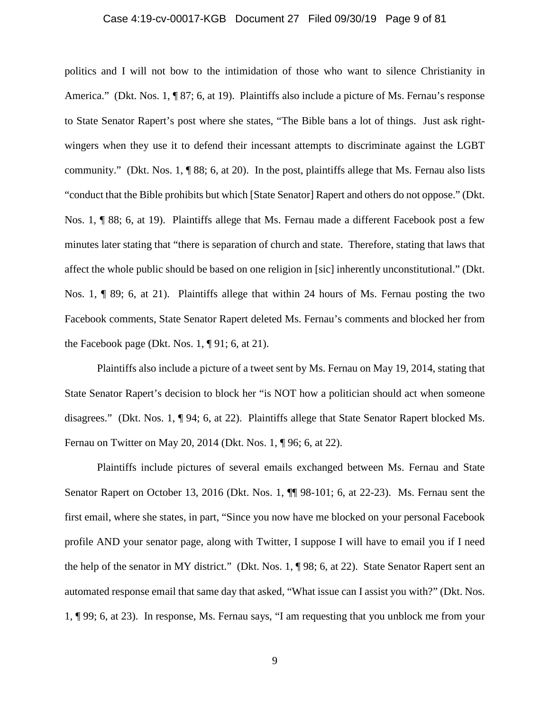## Case 4:19-cv-00017-KGB Document 27 Filed 09/30/19 Page 9 of 81

politics and I will not bow to the intimidation of those who want to silence Christianity in America." (Dkt. Nos. 1, ¶ 87; 6, at 19). Plaintiffs also include a picture of Ms. Fernau's response to State Senator Rapert's post where she states, "The Bible bans a lot of things. Just ask rightwingers when they use it to defend their incessant attempts to discriminate against the LGBT community." (Dkt. Nos. 1,  $\P$  88; 6, at 20). In the post, plaintiffs allege that Ms. Fernau also lists "conduct that the Bible prohibits but which [State Senator] Rapert and others do not oppose." (Dkt. Nos. 1, ¶ 88; 6, at 19). Plaintiffs allege that Ms. Fernau made a different Facebook post a few minutes later stating that "there is separation of church and state. Therefore, stating that laws that affect the whole public should be based on one religion in [sic] inherently unconstitutional." (Dkt. Nos. 1, ¶ 89; 6, at 21). Plaintiffs allege that within 24 hours of Ms. Fernau posting the two Facebook comments, State Senator Rapert deleted Ms. Fernau's comments and blocked her from the Facebook page (Dkt. Nos. 1,  $\P$ 91; 6, at 21).

Plaintiffs also include a picture of a tweet sent by Ms. Fernau on May 19, 2014, stating that State Senator Rapert's decision to block her "is NOT how a politician should act when someone disagrees." (Dkt. Nos. 1, ¶ 94; 6, at 22). Plaintiffs allege that State Senator Rapert blocked Ms. Fernau on Twitter on May 20, 2014 (Dkt. Nos. 1, ¶ 96; 6, at 22).

Plaintiffs include pictures of several emails exchanged between Ms. Fernau and State Senator Rapert on October 13, 2016 (Dkt. Nos. 1,  $\P$  98-101; 6, at 22-23). Ms. Fernau sent the first email, where she states, in part, "Since you now have me blocked on your personal Facebook profile AND your senator page, along with Twitter, I suppose I will have to email you if I need the help of the senator in MY district." (Dkt. Nos. 1, ¶ 98; 6, at 22). State Senator Rapert sent an automated response email that same day that asked, "What issue can I assist you with?" (Dkt. Nos. 1, ¶ 99; 6, at 23). In response, Ms. Fernau says, "I am requesting that you unblock me from your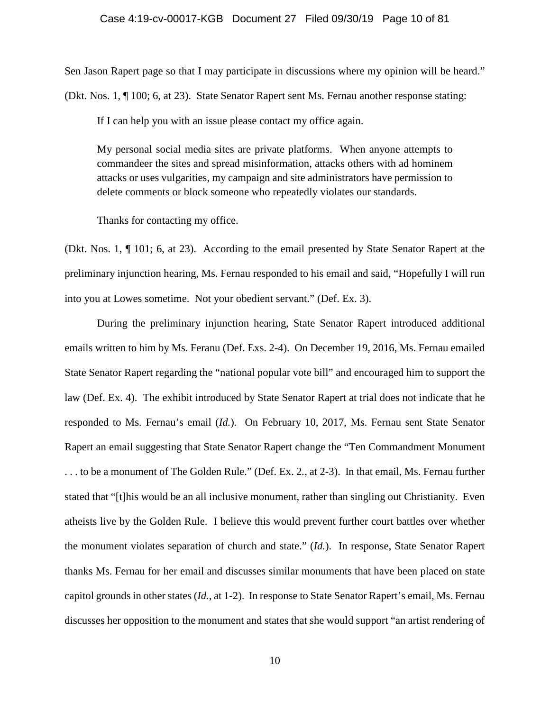## Case 4:19-cv-00017-KGB Document 27 Filed 09/30/19 Page 10 of 81

Sen Jason Rapert page so that I may participate in discussions where my opinion will be heard." (Dkt. Nos. 1, ¶ 100; 6, at 23). State Senator Rapert sent Ms. Fernau another response stating:

If I can help you with an issue please contact my office again.

My personal social media sites are private platforms. When anyone attempts to commandeer the sites and spread misinformation, attacks others with ad hominem attacks or uses vulgarities, my campaign and site administrators have permission to delete comments or block someone who repeatedly violates our standards.

Thanks for contacting my office.

(Dkt. Nos. 1, ¶ 101; 6, at 23). According to the email presented by State Senator Rapert at the preliminary injunction hearing, Ms. Fernau responded to his email and said, "Hopefully I will run into you at Lowes sometime. Not your obedient servant." (Def. Ex. 3).

During the preliminary injunction hearing, State Senator Rapert introduced additional emails written to him by Ms. Feranu (Def. Exs. 2-4). On December 19, 2016, Ms. Fernau emailed State Senator Rapert regarding the "national popular vote bill" and encouraged him to support the law (Def. Ex. 4). The exhibit introduced by State Senator Rapert at trial does not indicate that he responded to Ms. Fernau's email (*Id.*). On February 10, 2017, Ms. Fernau sent State Senator Rapert an email suggesting that State Senator Rapert change the "Ten Commandment Monument . . . to be a monument of The Golden Rule." (Def. Ex. 2*.*, at 2-3). In that email, Ms. Fernau further stated that "[t]his would be an all inclusive monument, rather than singling out Christianity. Even atheists live by the Golden Rule. I believe this would prevent further court battles over whether the monument violates separation of church and state." (*Id.*). In response, State Senator Rapert thanks Ms. Fernau for her email and discusses similar monuments that have been placed on state capitol grounds in other states (*Id.*, at 1-2). In response to State Senator Rapert's email, Ms. Fernau discusses her opposition to the monument and states that she would support "an artist rendering of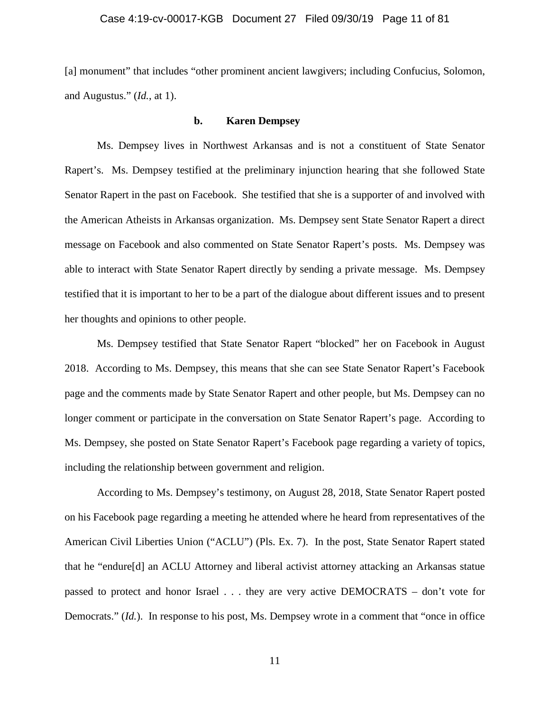[a] monument" that includes "other prominent ancient lawgivers; including Confucius, Solomon, and Augustus." (*Id.*, at 1).

## **b. Karen Dempsey**

Ms. Dempsey lives in Northwest Arkansas and is not a constituent of State Senator Rapert's. Ms. Dempsey testified at the preliminary injunction hearing that she followed State Senator Rapert in the past on Facebook. She testified that she is a supporter of and involved with the American Atheists in Arkansas organization. Ms. Dempsey sent State Senator Rapert a direct message on Facebook and also commented on State Senator Rapert's posts. Ms. Dempsey was able to interact with State Senator Rapert directly by sending a private message. Ms. Dempsey testified that it is important to her to be a part of the dialogue about different issues and to present her thoughts and opinions to other people.

Ms. Dempsey testified that State Senator Rapert "blocked" her on Facebook in August 2018. According to Ms. Dempsey, this means that she can see State Senator Rapert's Facebook page and the comments made by State Senator Rapert and other people, but Ms. Dempsey can no longer comment or participate in the conversation on State Senator Rapert's page. According to Ms. Dempsey, she posted on State Senator Rapert's Facebook page regarding a variety of topics, including the relationship between government and religion.

According to Ms. Dempsey's testimony, on August 28, 2018, State Senator Rapert posted on his Facebook page regarding a meeting he attended where he heard from representatives of the American Civil Liberties Union ("ACLU") (Pls. Ex. 7). In the post, State Senator Rapert stated that he "endure[d] an ACLU Attorney and liberal activist attorney attacking an Arkansas statue passed to protect and honor Israel . . . they are very active DEMOCRATS – don't vote for Democrats." (*Id.*). In response to his post, Ms. Dempsey wrote in a comment that "once in office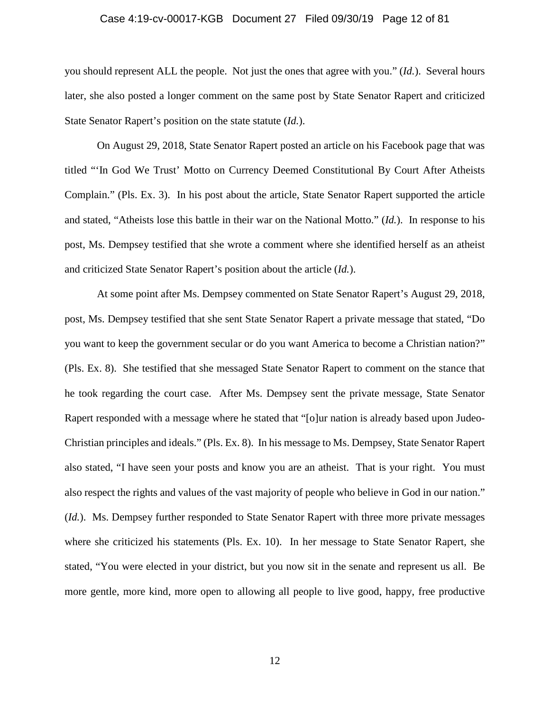#### Case 4:19-cv-00017-KGB Document 27 Filed 09/30/19 Page 12 of 81

you should represent ALL the people. Not just the ones that agree with you." (*Id.*). Several hours later, she also posted a longer comment on the same post by State Senator Rapert and criticized State Senator Rapert's position on the state statute (*Id.*).

On August 29, 2018, State Senator Rapert posted an article on his Facebook page that was titled "'In God We Trust' Motto on Currency Deemed Constitutional By Court After Atheists Complain." (Pls. Ex. 3). In his post about the article, State Senator Rapert supported the article and stated, "Atheists lose this battle in their war on the National Motto." (*Id.*). In response to his post, Ms. Dempsey testified that she wrote a comment where she identified herself as an atheist and criticized State Senator Rapert's position about the article (*Id.*).

At some point after Ms. Dempsey commented on State Senator Rapert's August 29, 2018, post, Ms. Dempsey testified that she sent State Senator Rapert a private message that stated, "Do you want to keep the government secular or do you want America to become a Christian nation?" (Pls. Ex. 8). She testified that she messaged State Senator Rapert to comment on the stance that he took regarding the court case. After Ms. Dempsey sent the private message, State Senator Rapert responded with a message where he stated that "[o]ur nation is already based upon Judeo-Christian principles and ideals." (Pls. Ex. 8). In his message to Ms. Dempsey, State Senator Rapert also stated, "I have seen your posts and know you are an atheist. That is your right. You must also respect the rights and values of the vast majority of people who believe in God in our nation." (*Id.*). Ms. Dempsey further responded to State Senator Rapert with three more private messages where she criticized his statements (Pls. Ex. 10). In her message to State Senator Rapert, she stated, "You were elected in your district, but you now sit in the senate and represent us all. Be more gentle, more kind, more open to allowing all people to live good, happy, free productive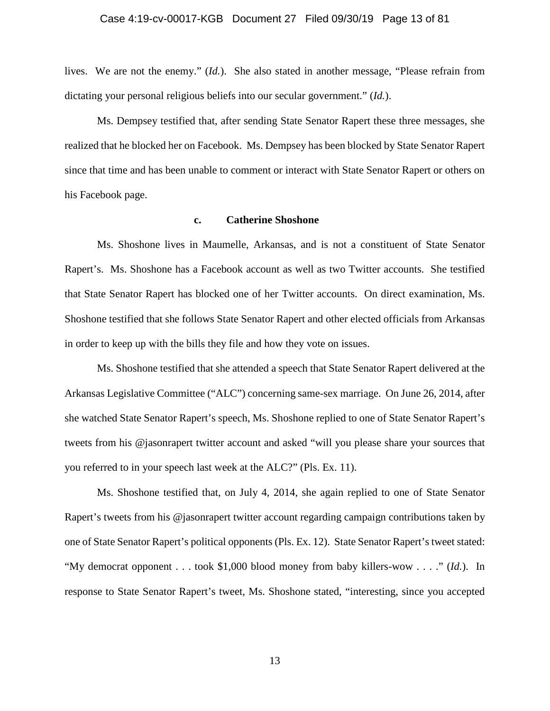#### Case 4:19-cv-00017-KGB Document 27 Filed 09/30/19 Page 13 of 81

lives. We are not the enemy." (*Id.*). She also stated in another message, "Please refrain from dictating your personal religious beliefs into our secular government." (*Id.*).

Ms. Dempsey testified that, after sending State Senator Rapert these three messages, she realized that he blocked her on Facebook. Ms. Dempsey has been blocked by State Senator Rapert since that time and has been unable to comment or interact with State Senator Rapert or others on his Facebook page.

#### **c. Catherine Shoshone**

Ms. Shoshone lives in Maumelle, Arkansas, and is not a constituent of State Senator Rapert's. Ms. Shoshone has a Facebook account as well as two Twitter accounts. She testified that State Senator Rapert has blocked one of her Twitter accounts. On direct examination, Ms. Shoshone testified that she follows State Senator Rapert and other elected officials from Arkansas in order to keep up with the bills they file and how they vote on issues.

Ms. Shoshone testified that she attended a speech that State Senator Rapert delivered at the Arkansas Legislative Committee ("ALC") concerning same-sex marriage. On June 26, 2014, after she watched State Senator Rapert's speech, Ms. Shoshone replied to one of State Senator Rapert's tweets from his @jasonrapert twitter account and asked "will you please share your sources that you referred to in your speech last week at the ALC?" (Pls. Ex. 11).

Ms. Shoshone testified that, on July 4, 2014, she again replied to one of State Senator Rapert's tweets from his @jasonrapert twitter account regarding campaign contributions taken by one of State Senator Rapert's political opponents (Pls. Ex. 12). State Senator Rapert's tweet stated: "My democrat opponent . . . took \$1,000 blood money from baby killers-wow . . . ." (*Id.*). In response to State Senator Rapert's tweet, Ms. Shoshone stated, "interesting, since you accepted

13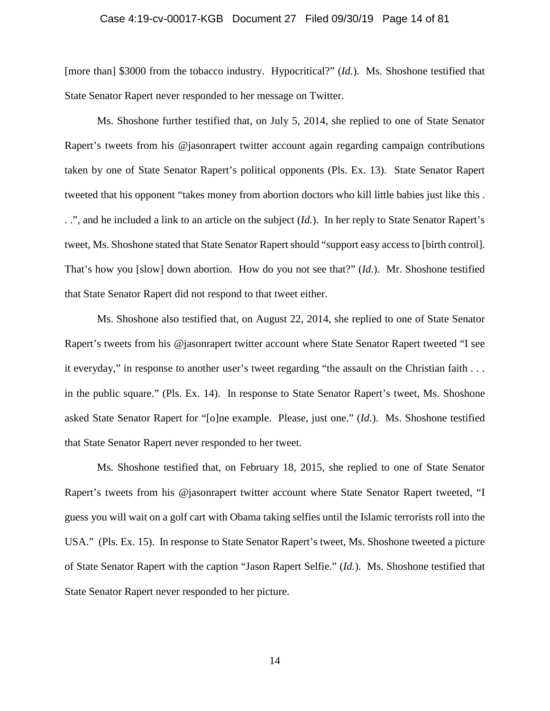## Case 4:19-cv-00017-KGB Document 27 Filed 09/30/19 Page 14 of 81

[more than] \$3000 from the tobacco industry. Hypocritical?" (*Id.*). Ms. Shoshone testified that State Senator Rapert never responded to her message on Twitter.

Ms. Shoshone further testified that, on July 5, 2014, she replied to one of State Senator Rapert's tweets from his @jasonrapert twitter account again regarding campaign contributions taken by one of State Senator Rapert's political opponents (Pls. Ex. 13). State Senator Rapert tweeted that his opponent "takes money from abortion doctors who kill little babies just like this . . .", and he included a link to an article on the subject (*Id.*). In her reply to State Senator Rapert's tweet, Ms. Shoshone stated that State Senator Rapert should "support easy access to [birth control]. That's how you [slow] down abortion. How do you not see that?" (*Id.*). Mr. Shoshone testified that State Senator Rapert did not respond to that tweet either.

Ms. Shoshone also testified that, on August 22, 2014, she replied to one of State Senator Rapert's tweets from his @jasonrapert twitter account where State Senator Rapert tweeted "I see it everyday," in response to another user's tweet regarding "the assault on the Christian faith . . . in the public square." (Pls. Ex. 14). In response to State Senator Rapert's tweet, Ms. Shoshone asked State Senator Rapert for "[o]ne example. Please, just one." (*Id.*). Ms. Shoshone testified that State Senator Rapert never responded to her tweet.

Ms. Shoshone testified that, on February 18, 2015, she replied to one of State Senator Rapert's tweets from his @jasonrapert twitter account where State Senator Rapert tweeted, "I guess you will wait on a golf cart with Obama taking selfies until the Islamic terrorists roll into the USA." (Pls. Ex. 15). In response to State Senator Rapert's tweet, Ms. Shoshone tweeted a picture of State Senator Rapert with the caption "Jason Rapert Selfie." (*Id.*). Ms. Shoshone testified that State Senator Rapert never responded to her picture.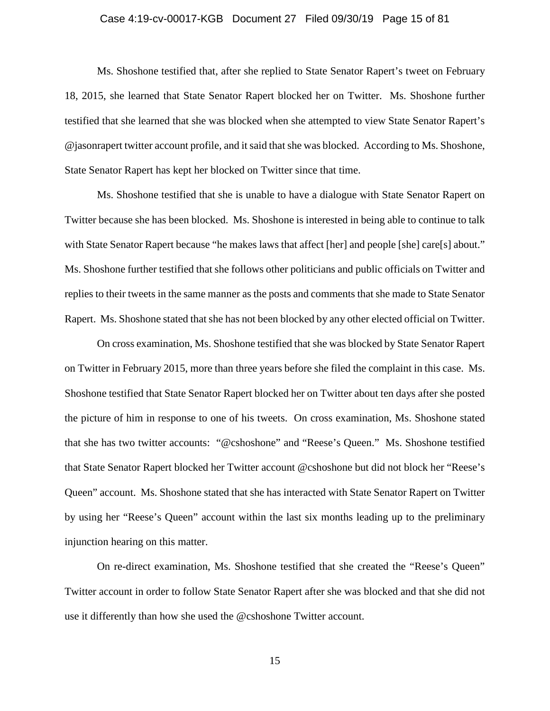## Case 4:19-cv-00017-KGB Document 27 Filed 09/30/19 Page 15 of 81

Ms. Shoshone testified that, after she replied to State Senator Rapert's tweet on February 18, 2015, she learned that State Senator Rapert blocked her on Twitter. Ms. Shoshone further testified that she learned that she was blocked when she attempted to view State Senator Rapert's @jasonrapert twitter account profile, and it said that she was blocked. According to Ms. Shoshone, State Senator Rapert has kept her blocked on Twitter since that time.

Ms. Shoshone testified that she is unable to have a dialogue with State Senator Rapert on Twitter because she has been blocked. Ms. Shoshone is interested in being able to continue to talk with State Senator Rapert because "he makes laws that affect [her] and people [she] care[s] about." Ms. Shoshone further testified that she follows other politicians and public officials on Twitter and replies to their tweets in the same manner as the posts and comments that she made to State Senator Rapert. Ms. Shoshone stated that she has not been blocked by any other elected official on Twitter.

On cross examination, Ms. Shoshone testified that she was blocked by State Senator Rapert on Twitter in February 2015, more than three years before she filed the complaint in this case. Ms. Shoshone testified that State Senator Rapert blocked her on Twitter about ten days after she posted the picture of him in response to one of his tweets. On cross examination, Ms. Shoshone stated that she has two twitter accounts: "@cshoshone" and "Reese's Queen." Ms. Shoshone testified that State Senator Rapert blocked her Twitter account @cshoshone but did not block her "Reese's Queen" account. Ms. Shoshone stated that she has interacted with State Senator Rapert on Twitter by using her "Reese's Queen" account within the last six months leading up to the preliminary injunction hearing on this matter.

On re-direct examination, Ms. Shoshone testified that she created the "Reese's Queen" Twitter account in order to follow State Senator Rapert after she was blocked and that she did not use it differently than how she used the @cshoshone Twitter account.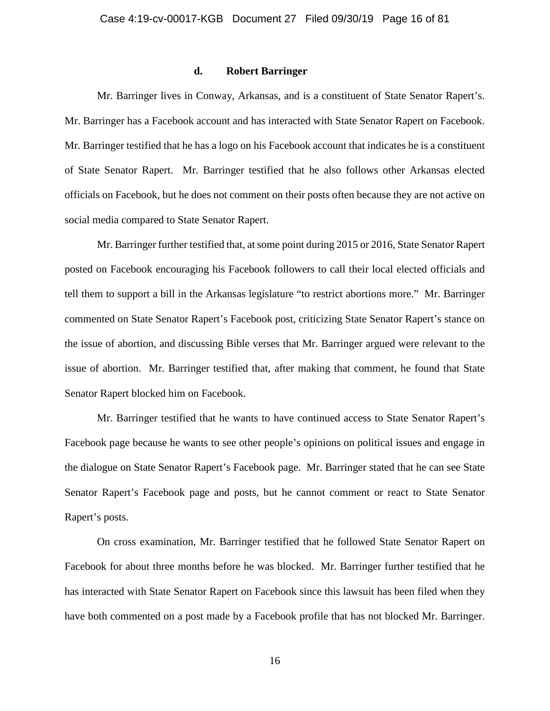#### **d. Robert Barringer**

Mr. Barringer lives in Conway, Arkansas, and is a constituent of State Senator Rapert's. Mr. Barringer has a Facebook account and has interacted with State Senator Rapert on Facebook. Mr. Barringer testified that he has a logo on his Facebook account that indicates he is a constituent of State Senator Rapert. Mr. Barringer testified that he also follows other Arkansas elected officials on Facebook, but he does not comment on their posts often because they are not active on social media compared to State Senator Rapert.

Mr. Barringer further testified that, at some point during 2015 or 2016, State Senator Rapert posted on Facebook encouraging his Facebook followers to call their local elected officials and tell them to support a bill in the Arkansas legislature "to restrict abortions more." Mr. Barringer commented on State Senator Rapert's Facebook post, criticizing State Senator Rapert's stance on the issue of abortion, and discussing Bible verses that Mr. Barringer argued were relevant to the issue of abortion. Mr. Barringer testified that, after making that comment, he found that State Senator Rapert blocked him on Facebook.

Mr. Barringer testified that he wants to have continued access to State Senator Rapert's Facebook page because he wants to see other people's opinions on political issues and engage in the dialogue on State Senator Rapert's Facebook page. Mr. Barringer stated that he can see State Senator Rapert's Facebook page and posts, but he cannot comment or react to State Senator Rapert's posts.

On cross examination, Mr. Barringer testified that he followed State Senator Rapert on Facebook for about three months before he was blocked. Mr. Barringer further testified that he has interacted with State Senator Rapert on Facebook since this lawsuit has been filed when they have both commented on a post made by a Facebook profile that has not blocked Mr. Barringer.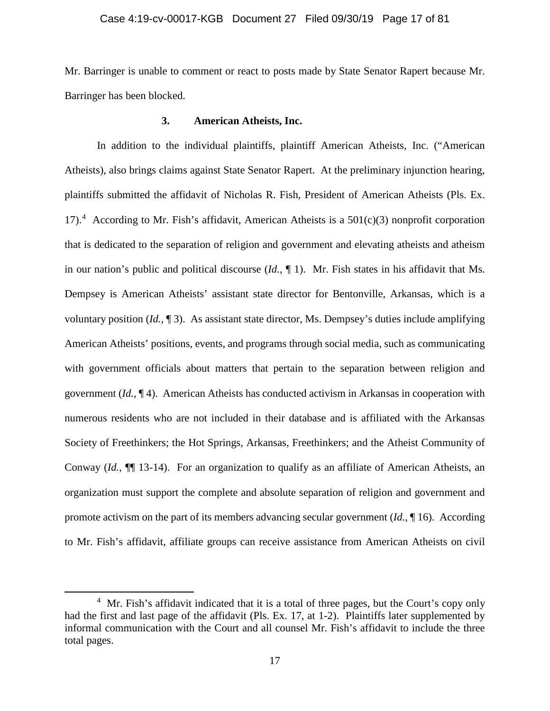## Case 4:19-cv-00017-KGB Document 27 Filed 09/30/19 Page 17 of 81

Mr. Barringer is unable to comment or react to posts made by State Senator Rapert because Mr. Barringer has been blocked.

## **3. American Atheists, Inc.**

In addition to the individual plaintiffs, plaintiff American Atheists, Inc. ("American Atheists), also brings claims against State Senator Rapert. At the preliminary injunction hearing, plaintiffs submitted the affidavit of Nicholas R. Fish, President of American Atheists (Pls. Ex. 17).<sup>[4](#page-16-0)</sup> According to Mr. Fish's affidavit, American Atheists is a  $501(c)(3)$  nonprofit corporation that is dedicated to the separation of religion and government and elevating atheists and atheism in our nation's public and political discourse (*Id.*, ¶ 1). Mr. Fish states in his affidavit that Ms. Dempsey is American Atheists' assistant state director for Bentonville, Arkansas, which is a voluntary position (*Id.*, ¶ 3). As assistant state director, Ms. Dempsey's duties include amplifying American Atheists' positions, events, and programs through social media, such as communicating with government officials about matters that pertain to the separation between religion and government (*Id.*, ¶ 4). American Atheists has conducted activism in Arkansas in cooperation with numerous residents who are not included in their database and is affiliated with the Arkansas Society of Freethinkers; the Hot Springs, Arkansas, Freethinkers; and the Atheist Community of Conway (*Id.*, ¶¶ 13-14). For an organization to qualify as an affiliate of American Atheists, an organization must support the complete and absolute separation of religion and government and promote activism on the part of its members advancing secular government (*Id.*, ¶ 16). According to Mr. Fish's affidavit, affiliate groups can receive assistance from American Atheists on civil

 $\overline{\phantom{a}}$ 

<span id="page-16-0"></span> $4$  Mr. Fish's affidavit indicated that it is a total of three pages, but the Court's copy only had the first and last page of the affidavit (Pls. Ex. 17, at 1-2). Plaintiffs later supplemented by informal communication with the Court and all counsel Mr. Fish's affidavit to include the three total pages.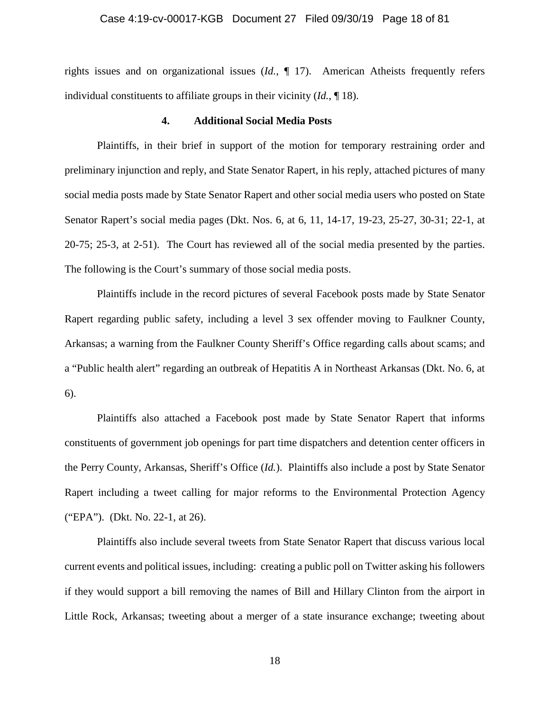## Case 4:19-cv-00017-KGB Document 27 Filed 09/30/19 Page 18 of 81

rights issues and on organizational issues (*Id.*, ¶ 17). American Atheists frequently refers individual constituents to affiliate groups in their vicinity (*Id.*, ¶ 18).

#### **4. Additional Social Media Posts**

Plaintiffs, in their brief in support of the motion for temporary restraining order and preliminary injunction and reply, and State Senator Rapert, in his reply, attached pictures of many social media posts made by State Senator Rapert and other social media users who posted on State Senator Rapert's social media pages (Dkt. Nos. 6, at 6, 11, 14-17, 19-23, 25-27, 30-31; 22-1, at 20-75; 25-3, at 2-51). The Court has reviewed all of the social media presented by the parties. The following is the Court's summary of those social media posts.

Plaintiffs include in the record pictures of several Facebook posts made by State Senator Rapert regarding public safety, including a level 3 sex offender moving to Faulkner County, Arkansas; a warning from the Faulkner County Sheriff's Office regarding calls about scams; and a "Public health alert" regarding an outbreak of Hepatitis A in Northeast Arkansas (Dkt. No. 6, at 6).

Plaintiffs also attached a Facebook post made by State Senator Rapert that informs constituents of government job openings for part time dispatchers and detention center officers in the Perry County, Arkansas, Sheriff's Office (*Id.*). Plaintiffs also include a post by State Senator Rapert including a tweet calling for major reforms to the Environmental Protection Agency ("EPA"). (Dkt. No. 22-1, at 26).

Plaintiffs also include several tweets from State Senator Rapert that discuss various local current events and political issues, including: creating a public poll on Twitter asking his followers if they would support a bill removing the names of Bill and Hillary Clinton from the airport in Little Rock, Arkansas; tweeting about a merger of a state insurance exchange; tweeting about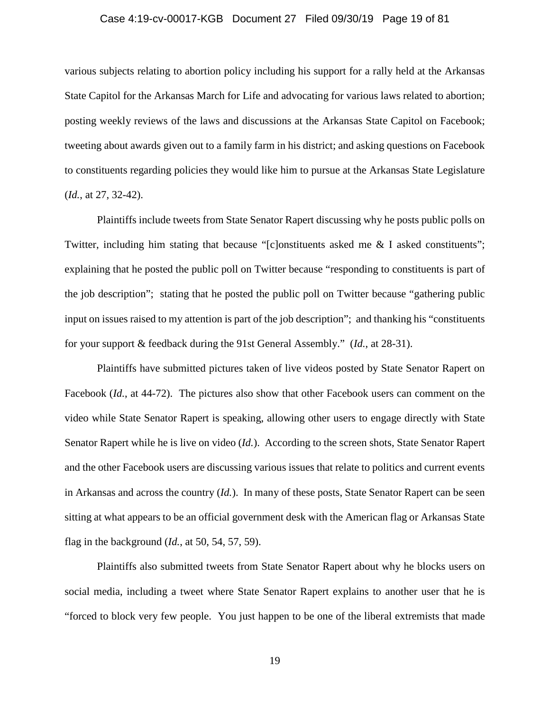## Case 4:19-cv-00017-KGB Document 27 Filed 09/30/19 Page 19 of 81

various subjects relating to abortion policy including his support for a rally held at the Arkansas State Capitol for the Arkansas March for Life and advocating for various laws related to abortion; posting weekly reviews of the laws and discussions at the Arkansas State Capitol on Facebook; tweeting about awards given out to a family farm in his district; and asking questions on Facebook to constituents regarding policies they would like him to pursue at the Arkansas State Legislature (*Id.*, at 27, 32-42).

Plaintiffs include tweets from State Senator Rapert discussing why he posts public polls on Twitter, including him stating that because "[c]onstituents asked me & I asked constituents"; explaining that he posted the public poll on Twitter because "responding to constituents is part of the job description"; stating that he posted the public poll on Twitter because "gathering public input on issues raised to my attention is part of the job description"; and thanking his "constituents for your support & feedback during the 91st General Assembly." (*Id.*, at 28-31).

Plaintiffs have submitted pictures taken of live videos posted by State Senator Rapert on Facebook (*Id.*, at 44-72). The pictures also show that other Facebook users can comment on the video while State Senator Rapert is speaking, allowing other users to engage directly with State Senator Rapert while he is live on video (*Id.*). According to the screen shots, State Senator Rapert and the other Facebook users are discussing various issues that relate to politics and current events in Arkansas and across the country (*Id.*). In many of these posts, State Senator Rapert can be seen sitting at what appears to be an official government desk with the American flag or Arkansas State flag in the background (*Id.*, at 50, 54, 57, 59).

Plaintiffs also submitted tweets from State Senator Rapert about why he blocks users on social media, including a tweet where State Senator Rapert explains to another user that he is "forced to block very few people. You just happen to be one of the liberal extremists that made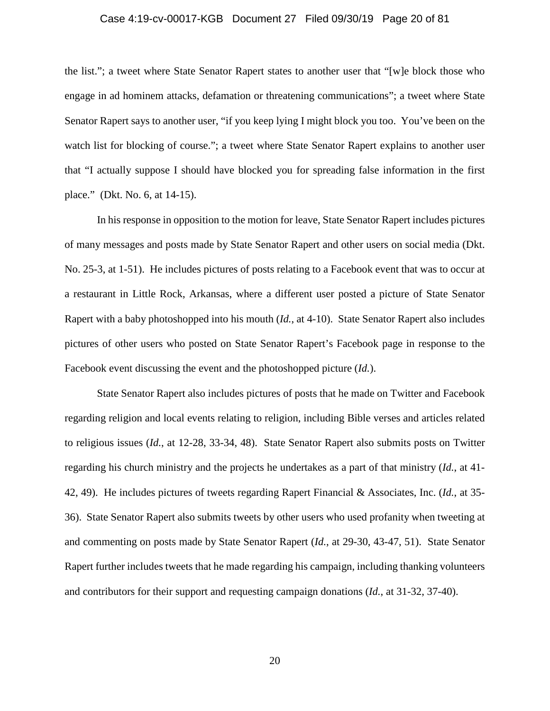## Case 4:19-cv-00017-KGB Document 27 Filed 09/30/19 Page 20 of 81

the list."; a tweet where State Senator Rapert states to another user that "[w]e block those who engage in ad hominem attacks, defamation or threatening communications"; a tweet where State Senator Rapert says to another user, "if you keep lying I might block you too. You've been on the watch list for blocking of course."; a tweet where State Senator Rapert explains to another user that "I actually suppose I should have blocked you for spreading false information in the first place." (Dkt. No. 6, at 14-15).

In his response in opposition to the motion for leave, State Senator Rapert includes pictures of many messages and posts made by State Senator Rapert and other users on social media (Dkt. No. 25-3, at 1-51). He includes pictures of posts relating to a Facebook event that was to occur at a restaurant in Little Rock, Arkansas, where a different user posted a picture of State Senator Rapert with a baby photoshopped into his mouth (*Id.*, at 4-10). State Senator Rapert also includes pictures of other users who posted on State Senator Rapert's Facebook page in response to the Facebook event discussing the event and the photoshopped picture (*Id.*).

State Senator Rapert also includes pictures of posts that he made on Twitter and Facebook regarding religion and local events relating to religion, including Bible verses and articles related to religious issues (*Id.*, at 12-28, 33-34, 48). State Senator Rapert also submits posts on Twitter regarding his church ministry and the projects he undertakes as a part of that ministry (*Id.*, at 41- 42, 49). He includes pictures of tweets regarding Rapert Financial & Associates, Inc. (*Id.*, at 35- 36). State Senator Rapert also submits tweets by other users who used profanity when tweeting at and commenting on posts made by State Senator Rapert (*Id.*, at 29-30, 43-47, 51). State Senator Rapert further includes tweets that he made regarding his campaign, including thanking volunteers and contributors for their support and requesting campaign donations (*Id.*, at 31-32, 37-40).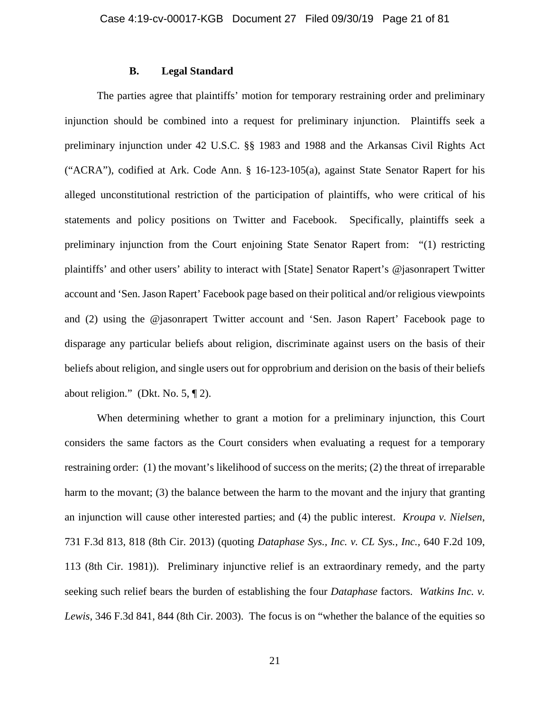## **B. Legal Standard**

The parties agree that plaintiffs' motion for temporary restraining order and preliminary injunction should be combined into a request for preliminary injunction. Plaintiffs seek a preliminary injunction under 42 U.S.C. §§ 1983 and 1988 and the Arkansas Civil Rights Act ("ACRA"), codified at Ark. Code Ann. § 16-123-105(a), against State Senator Rapert for his alleged unconstitutional restriction of the participation of plaintiffs, who were critical of his statements and policy positions on Twitter and Facebook. Specifically, plaintiffs seek a preliminary injunction from the Court enjoining State Senator Rapert from: "(1) restricting plaintiffs' and other users' ability to interact with [State] Senator Rapert's @jasonrapert Twitter account and 'Sen. Jason Rapert' Facebook page based on their political and/or religious viewpoints and (2) using the @jasonrapert Twitter account and 'Sen. Jason Rapert' Facebook page to disparage any particular beliefs about religion, discriminate against users on the basis of their beliefs about religion, and single users out for opprobrium and derision on the basis of their beliefs about religion." (Dkt. No. 5, ¶ 2).

When determining whether to grant a motion for a preliminary injunction, this Court considers the same factors as the Court considers when evaluating a request for a temporary restraining order: (1) the movant's likelihood of success on the merits; (2) the threat of irreparable harm to the movant; (3) the balance between the harm to the movant and the injury that granting an injunction will cause other interested parties; and (4) the public interest. *Kroupa v. Nielsen*, 731 F.3d 813, 818 (8th Cir. 2013) (quoting *Dataphase Sys., Inc. v. CL Sys., Inc.,* 640 F.2d 109, 113 (8th Cir. 1981)). Preliminary injunctive relief is an extraordinary remedy, and the party seeking such relief bears the burden of establishing the four *Dataphase* factors. *Watkins Inc. v. Lewis*, 346 F.3d 841, 844 (8th Cir. 2003). The focus is on "whether the balance of the equities so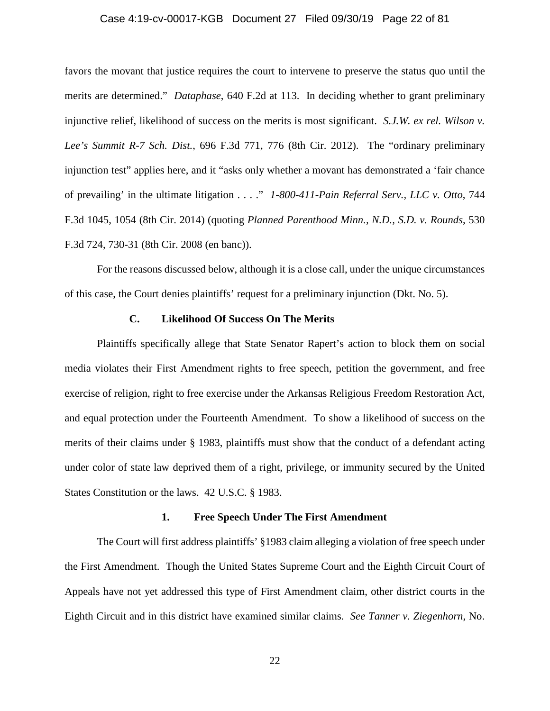## Case 4:19-cv-00017-KGB Document 27 Filed 09/30/19 Page 22 of 81

favors the movant that justice requires the court to intervene to preserve the status quo until the merits are determined." *Dataphase*, 640 F.2d at 113. In deciding whether to grant preliminary injunctive relief, likelihood of success on the merits is most significant. *S.J.W. ex rel. Wilson v. Lee's Summit R-7 Sch. Dist.*, 696 F.3d 771, 776 (8th Cir. 2012). The "ordinary preliminary injunction test" applies here, and it "asks only whether a movant has demonstrated a 'fair chance of prevailing' in the ultimate litigation . . . ." *1-800-411-Pain Referral Serv., LLC v. Otto*, 744 F.3d 1045, 1054 (8th Cir. 2014) (quoting *Planned Parenthood Minn., N.D., S.D. v. Rounds*, 530 F.3d 724, 730-31 (8th Cir. 2008 (en banc)).

For the reasons discussed below, although it is a close call, under the unique circumstances of this case, the Court denies plaintiffs' request for a preliminary injunction (Dkt. No. 5).

#### **C. Likelihood Of Success On The Merits**

Plaintiffs specifically allege that State Senator Rapert's action to block them on social media violates their First Amendment rights to free speech, petition the government, and free exercise of religion, right to free exercise under the Arkansas Religious Freedom Restoration Act, and equal protection under the Fourteenth Amendment. To show a likelihood of success on the merits of their claims under § 1983, plaintiffs must show that the conduct of a defendant acting under color of state law deprived them of a right, privilege, or immunity secured by the United States Constitution or the laws. 42 U.S.C. § 1983.

#### **1. Free Speech Under The First Amendment**

The Court will first address plaintiffs' §1983 claim alleging a violation of free speech under the First Amendment. Though the United States Supreme Court and the Eighth Circuit Court of Appeals have not yet addressed this type of First Amendment claim, other district courts in the Eighth Circuit and in this district have examined similar claims. *See Tanner v. Ziegenhorn*, No.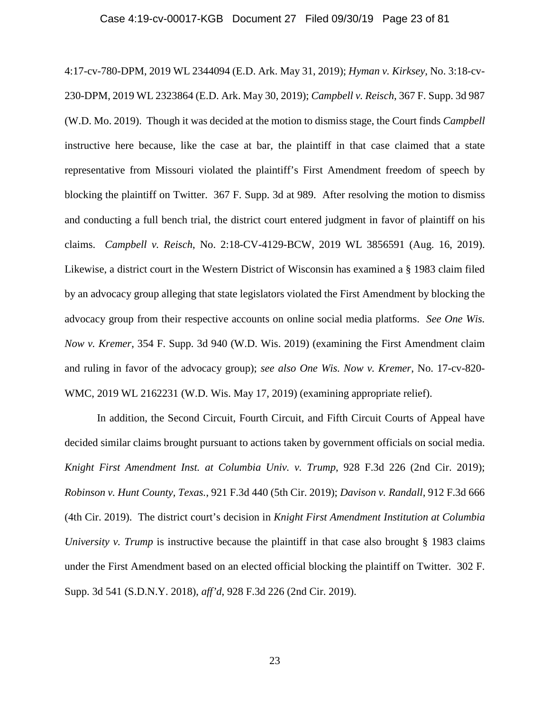## Case 4:19-cv-00017-KGB Document 27 Filed 09/30/19 Page 23 of 81

4:17-cv-780-DPM, 2019 WL 2344094 (E.D. Ark. May 31, 2019); *Hyman v. Kirksey*, No. 3:18-cv-230-DPM, 2019 WL 2323864 (E.D. Ark. May 30, 2019); *Campbell v. Reisch*, 367 F. Supp. 3d 987 (W.D. Mo. 2019). Though it was decided at the motion to dismiss stage, the Court finds *Campbell* instructive here because, like the case at bar, the plaintiff in that case claimed that a state representative from Missouri violated the plaintiff's First Amendment freedom of speech by blocking the plaintiff on Twitter. 367 F. Supp. 3d at 989. After resolving the motion to dismiss and conducting a full bench trial, the district court entered judgment in favor of plaintiff on his claims. *Campbell v. Reisch*, No. 2:18-CV-4129-BCW, 2019 WL 3856591 (Aug. 16, 2019). Likewise, a district court in the Western District of Wisconsin has examined a § 1983 claim filed by an advocacy group alleging that state legislators violated the First Amendment by blocking the advocacy group from their respective accounts on online social media platforms. *See One Wis. Now v. Kremer*, 354 F. Supp. 3d 940 (W.D. Wis. 2019) (examining the First Amendment claim and ruling in favor of the advocacy group); *see also One Wis. Now v. Kremer*, No. 17-cv-820- WMC, 2019 WL 2162231 (W.D. Wis. May 17, 2019) (examining appropriate relief).

In addition, the Second Circuit, Fourth Circuit, and Fifth Circuit Courts of Appeal have decided similar claims brought pursuant to actions taken by government officials on social media. *Knight First Amendment Inst. at Columbia Univ. v. Trump*, 928 F.3d 226 (2nd Cir. 2019); *Robinson v. Hunt County, Texas.*, 921 F.3d 440 (5th Cir. 2019); *Davison v. Randall*, 912 F.3d 666 (4th Cir. 2019). The district court's decision in *Knight First Amendment Institution at Columbia University v. Trump* is instructive because the plaintiff in that case also brought § 1983 claims under the First Amendment based on an elected official blocking the plaintiff on Twitter. 302 F. Supp. 3d 541 (S.D.N.Y. 2018), *aff'd*, 928 F.3d 226 (2nd Cir. 2019).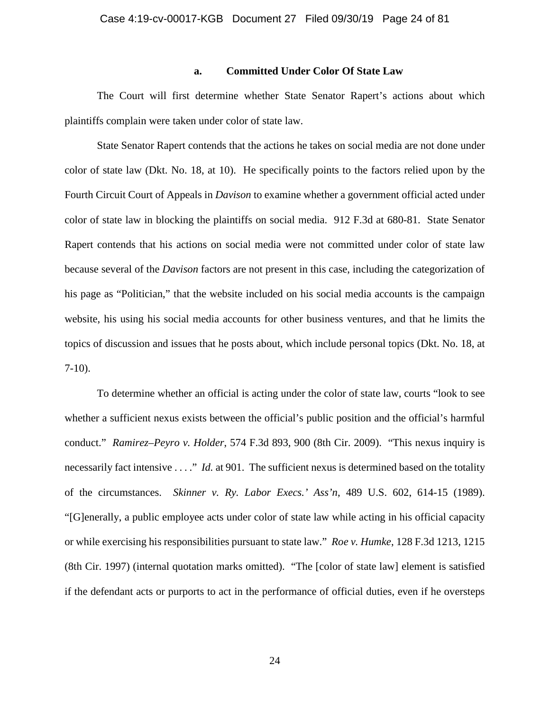#### **a. Committed Under Color Of State Law**

The Court will first determine whether State Senator Rapert's actions about which plaintiffs complain were taken under color of state law.

State Senator Rapert contends that the actions he takes on social media are not done under color of state law (Dkt. No. 18, at 10). He specifically points to the factors relied upon by the Fourth Circuit Court of Appeals in *Davison* to examine whether a government official acted under color of state law in blocking the plaintiffs on social media. 912 F.3d at 680-81. State Senator Rapert contends that his actions on social media were not committed under color of state law because several of the *Davison* factors are not present in this case, including the categorization of his page as "Politician," that the website included on his social media accounts is the campaign website, his using his social media accounts for other business ventures, and that he limits the topics of discussion and issues that he posts about, which include personal topics (Dkt. No. 18, at 7-10).

To determine whether an official is acting under the color of state law, courts "look to see whether a sufficient nexus exists between the official's public position and the official's harmful conduct." *Ramirez–Peyro v. Holder*, 574 F.3d 893, 900 (8th Cir. 2009). "This nexus inquiry is necessarily fact intensive . . . ." *Id.* at 901. The sufficient nexus is determined based on the totality of the circumstances. *Skinner v. Ry. Labor Execs.' Ass'n*, 489 U.S. 602, 614-15 (1989). "[G]enerally, a public employee acts under color of state law while acting in his official capacity or while exercising his responsibilities pursuant to state law." *Roe v. Humke*, 128 F.3d 1213, 1215 (8th Cir. 1997) (internal quotation marks omitted). "The [color of state law] element is satisfied if the defendant acts or purports to act in the performance of official duties, even if he oversteps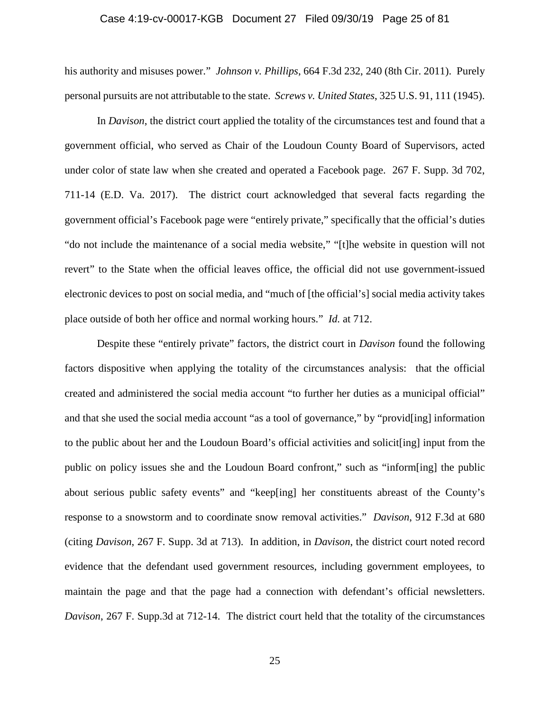## Case 4:19-cv-00017-KGB Document 27 Filed 09/30/19 Page 25 of 81

his authority and misuses power." *Johnson v. Phillips*, 664 F.3d 232, 240 (8th Cir. 2011). Purely personal pursuits are not attributable to the state. *Screws v. United States*, 325 U.S. 91, 111 (1945).

In *Davison*, the district court applied the totality of the circumstances test and found that a government official, who served as Chair of the Loudoun County Board of Supervisors, acted under color of state law when she created and operated a Facebook page. 267 F. Supp. 3d 702, 711-14 (E.D. Va. 2017). The district court acknowledged that several facts regarding the government official's Facebook page were "entirely private," specifically that the official's duties "do not include the maintenance of a social media website," "[t]he website in question will not revert" to the State when the official leaves office, the official did not use government-issued electronic devices to post on social media, and "much of [the official's] social media activity takes place outside of both her office and normal working hours." *Id.* at 712.

Despite these "entirely private" factors, the district court in *Davison* found the following factors dispositive when applying the totality of the circumstances analysis: that the official created and administered the social media account "to further her duties as a municipal official" and that she used the social media account "as a tool of governance," by "provid[ing] information to the public about her and the Loudoun Board's official activities and solicit[ing] input from the public on policy issues she and the Loudoun Board confront," such as "inform[ing] the public about serious public safety events" and "keep[ing] her constituents abreast of the County's response to a snowstorm and to coordinate snow removal activities." *Davison*, 912 F.3d at 680 (citing *Davison*, 267 F. Supp. 3d at 713). In addition, in *Davison*, the district court noted record evidence that the defendant used government resources, including government employees, to maintain the page and that the page had a connection with defendant's official newsletters. *Davison*, 267 F. Supp.3d at 712-14. The district court held that the totality of the circumstances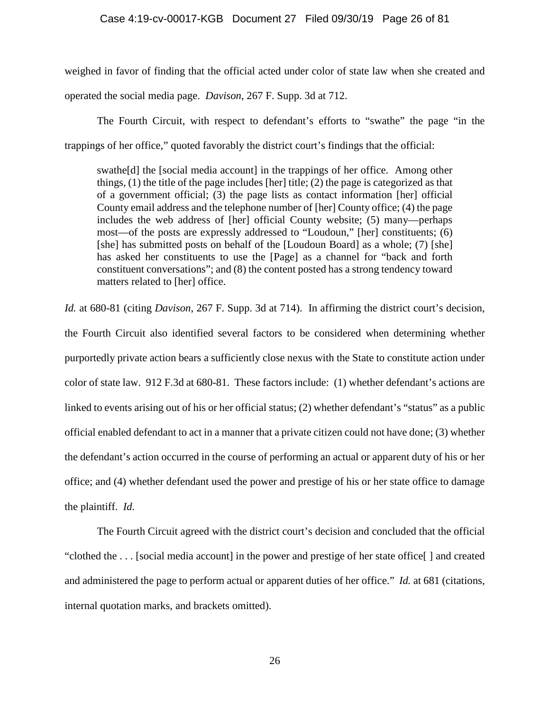weighed in favor of finding that the official acted under color of state law when she created and operated the social media page. *Davison*, 267 F. Supp. 3d at 712.

The Fourth Circuit, with respect to defendant's efforts to "swathe" the page "in the trappings of her office," quoted favorably the district court's findings that the official:

swathe[d] the [social media account] in the trappings of her office. Among other things, (1) the title of the page includes [her] title; (2) the page is categorized as that of a government official; (3) the page lists as contact information [her] official County email address and the telephone number of [her] County office; (4) the page includes the web address of [her] official County website; (5) many—perhaps most—of the posts are expressly addressed to "Loudoun," [her] constituents; (6) [she] has submitted posts on behalf of the [Loudoun Board] as a whole; (7) [she] has asked her constituents to use the [Page] as a channel for "back and forth constituent conversations"; and (8) the content posted has a strong tendency toward matters related to [her] office.

*Id.* at 680-81 (citing *Davison*, 267 F. Supp. 3d at 714). In affirming the district court's decision, the Fourth Circuit also identified several factors to be considered when determining whether purportedly private action bears a sufficiently close nexus with the State to constitute action under color of state law. 912 F.3d at 680-81. These factors include: (1) whether defendant's actions are linked to events arising out of his or her official status; (2) whether defendant's "status" as a public official enabled defendant to act in a manner that a private citizen could not have done; (3) whether the defendant's action occurred in the course of performing an actual or apparent duty of his or her office; and (4) whether defendant used the power and prestige of his or her state office to damage the plaintiff. *Id.*

The Fourth Circuit agreed with the district court's decision and concluded that the official "clothed the . . . [social media account] in the power and prestige of her state office[ ] and created and administered the page to perform actual or apparent duties of her office." *Id.* at 681 (citations, internal quotation marks, and brackets omitted).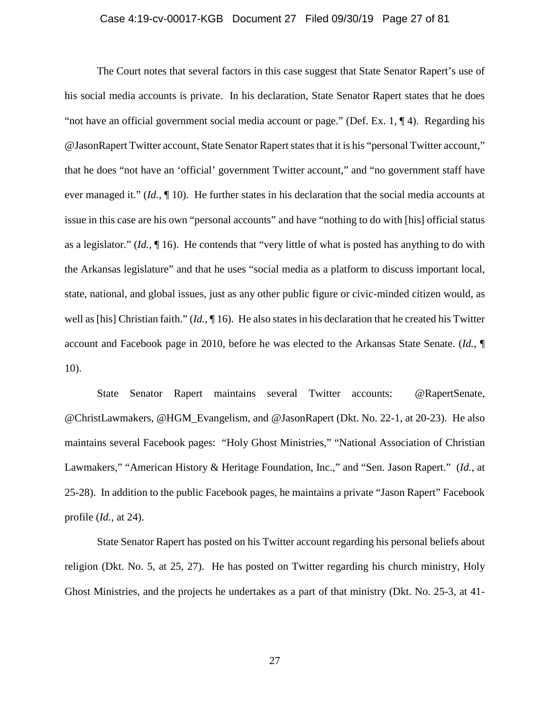## Case 4:19-cv-00017-KGB Document 27 Filed 09/30/19 Page 27 of 81

The Court notes that several factors in this case suggest that State Senator Rapert's use of his social media accounts is private. In his declaration, State Senator Rapert states that he does "not have an official government social media account or page." (Def. Ex. 1, ¶ 4). Regarding his @JasonRapert Twitter account, State Senator Rapert states that it is his "personal Twitter account," that he does "not have an 'official' government Twitter account," and "no government staff have ever managed it." (*Id.*, ¶ 10). He further states in his declaration that the social media accounts at issue in this case are his own "personal accounts" and have "nothing to do with [his] official status as a legislator." (*Id.*, ¶ 16). He contends that "very little of what is posted has anything to do with the Arkansas legislature" and that he uses "social media as a platform to discuss important local, state, national, and global issues, just as any other public figure or civic-minded citizen would, as well as [his] Christian faith." (*Id.*, ¶ 16). He also states in his declaration that he created his Twitter account and Facebook page in 2010, before he was elected to the Arkansas State Senate. (*Id.*, ¶ 10).

State Senator Rapert maintains several Twitter accounts: @RapertSenate, @ChristLawmakers, @HGM\_Evangelism, and @JasonRapert (Dkt. No. 22-1, at 20-23). He also maintains several Facebook pages: "Holy Ghost Ministries," "National Association of Christian Lawmakers," "American History & Heritage Foundation, Inc.," and "Sen. Jason Rapert." (*Id.*, at 25-28). In addition to the public Facebook pages, he maintains a private "Jason Rapert" Facebook profile (*Id.*, at 24).

State Senator Rapert has posted on his Twitter account regarding his personal beliefs about religion (Dkt. No. 5, at 25, 27). He has posted on Twitter regarding his church ministry, Holy Ghost Ministries, and the projects he undertakes as a part of that ministry (Dkt. No. 25-3, at 41-

27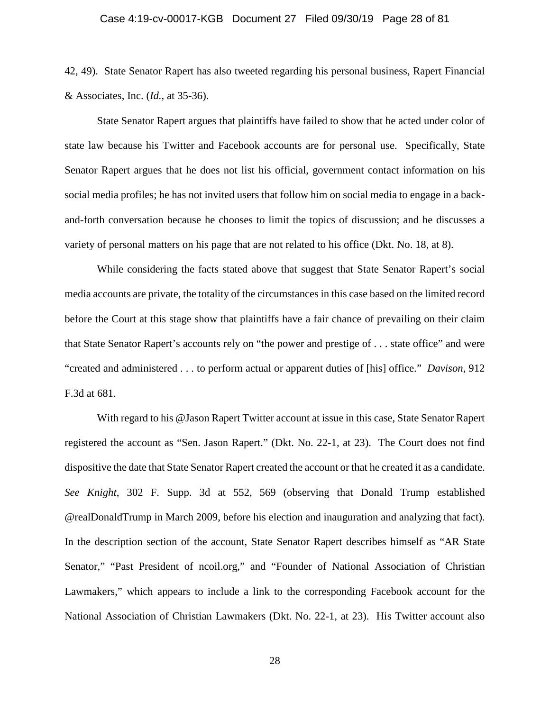## Case 4:19-cv-00017-KGB Document 27 Filed 09/30/19 Page 28 of 81

42, 49). State Senator Rapert has also tweeted regarding his personal business, Rapert Financial & Associates, Inc. (*Id.*, at 35-36).

State Senator Rapert argues that plaintiffs have failed to show that he acted under color of state law because his Twitter and Facebook accounts are for personal use. Specifically, State Senator Rapert argues that he does not list his official, government contact information on his social media profiles; he has not invited users that follow him on social media to engage in a backand-forth conversation because he chooses to limit the topics of discussion; and he discusses a variety of personal matters on his page that are not related to his office (Dkt. No. 18, at 8).

While considering the facts stated above that suggest that State Senator Rapert's social media accounts are private, the totality of the circumstances in this case based on the limited record before the Court at this stage show that plaintiffs have a fair chance of prevailing on their claim that State Senator Rapert's accounts rely on "the power and prestige of . . . state office" and were "created and administered . . . to perform actual or apparent duties of [his] office." *Davison*, 912 F.3d at 681.

With regard to his @Jason Rapert Twitter account at issue in this case, State Senator Rapert registered the account as "Sen. Jason Rapert." (Dkt. No. 22-1, at 23). The Court does not find dispositive the date that State Senator Rapert created the account or that he created it as a candidate. *See Knight*, 302 F. Supp. 3d at 552, 569 (observing that Donald Trump established @realDonaldTrump in March 2009, before his election and inauguration and analyzing that fact). In the description section of the account, State Senator Rapert describes himself as "AR State Senator," "Past President of ncoil.org," and "Founder of National Association of Christian Lawmakers," which appears to include a link to the corresponding Facebook account for the National Association of Christian Lawmakers (Dkt. No. 22-1, at 23). His Twitter account also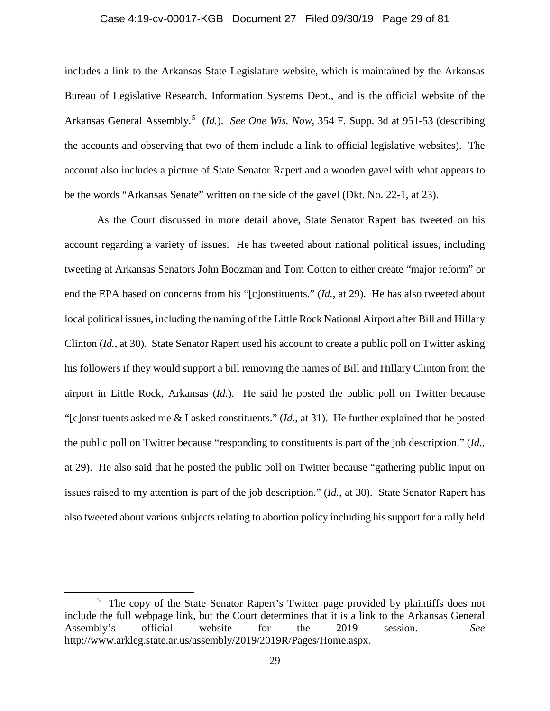#### Case 4:19-cv-00017-KGB Document 27 Filed 09/30/19 Page 29 of 81

includes a link to the Arkansas State Legislature website, which is maintained by the Arkansas Bureau of Legislative Research, Information Systems Dept., and is the official website of the Arkansas General Assembly.<sup>[5](#page-28-0)</sup> (*Id.*). *See One Wis. Now*, 354 F. Supp. 3d at 951-53 (describing the accounts and observing that two of them include a link to official legislative websites). The account also includes a picture of State Senator Rapert and a wooden gavel with what appears to be the words "Arkansas Senate" written on the side of the gavel (Dkt. No. 22-1, at 23).

As the Court discussed in more detail above, State Senator Rapert has tweeted on his account regarding a variety of issues. He has tweeted about national political issues, including tweeting at Arkansas Senators John Boozman and Tom Cotton to either create "major reform" or end the EPA based on concerns from his "[c]onstituents." (*Id.*, at 29). He has also tweeted about local political issues, including the naming of the Little Rock National Airport after Bill and Hillary Clinton (*Id.*, at 30). State Senator Rapert used his account to create a public poll on Twitter asking his followers if they would support a bill removing the names of Bill and Hillary Clinton from the airport in Little Rock, Arkansas (*Id.*). He said he posted the public poll on Twitter because "[c]onstituents asked me & I asked constituents." (*Id.*, at 31). He further explained that he posted the public poll on Twitter because "responding to constituents is part of the job description." (*Id.*, at 29). He also said that he posted the public poll on Twitter because "gathering public input on issues raised to my attention is part of the job description." (*Id.*, at 30). State Senator Rapert has also tweeted about various subjects relating to abortion policy including his support for a rally held

 $\overline{\phantom{a}}$ 

<span id="page-28-0"></span><sup>&</sup>lt;sup>5</sup> The copy of the State Senator Rapert's Twitter page provided by plaintiffs does not include the full webpage link, but the Court determines that it is a link to the Arkansas General<br>Assembly's official website for the 2019 session. See Assembly's official website for the 2019 session. *See* http://www.arkleg.state.ar.us/assembly/2019/2019R/Pages/Home.aspx.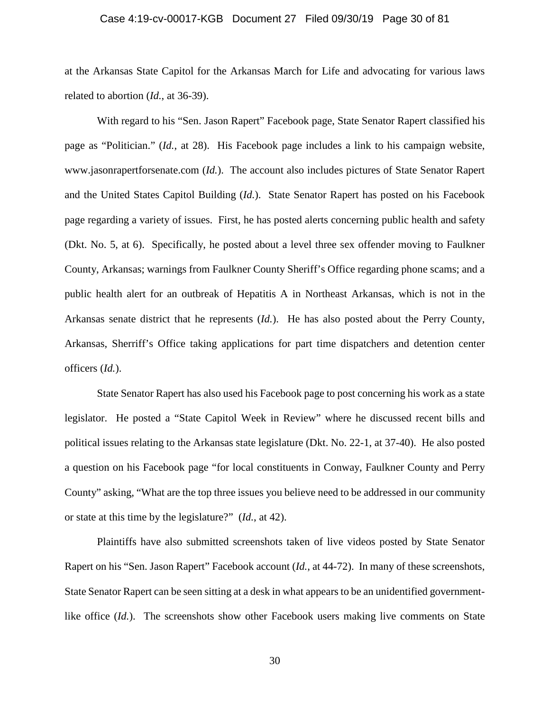## Case 4:19-cv-00017-KGB Document 27 Filed 09/30/19 Page 30 of 81

at the Arkansas State Capitol for the Arkansas March for Life and advocating for various laws related to abortion (*Id.*, at 36-39).

With regard to his "Sen. Jason Rapert" Facebook page, State Senator Rapert classified his page as "Politician." (*Id.*, at 28). His Facebook page includes a link to his campaign website, www.jasonrapertforsenate.com (*Id.*). The account also includes pictures of State Senator Rapert and the United States Capitol Building (*Id.*). State Senator Rapert has posted on his Facebook page regarding a variety of issues. First, he has posted alerts concerning public health and safety (Dkt. No. 5, at 6). Specifically, he posted about a level three sex offender moving to Faulkner County, Arkansas; warnings from Faulkner County Sheriff's Office regarding phone scams; and a public health alert for an outbreak of Hepatitis A in Northeast Arkansas, which is not in the Arkansas senate district that he represents (*Id.*). He has also posted about the Perry County, Arkansas, Sherriff's Office taking applications for part time dispatchers and detention center officers (*Id.*).

State Senator Rapert has also used his Facebook page to post concerning his work as a state legislator. He posted a "State Capitol Week in Review" where he discussed recent bills and political issues relating to the Arkansas state legislature (Dkt. No. 22-1, at 37-40). He also posted a question on his Facebook page "for local constituents in Conway, Faulkner County and Perry County" asking, "What are the top three issues you believe need to be addressed in our community or state at this time by the legislature?" (*Id.*, at 42).

Plaintiffs have also submitted screenshots taken of live videos posted by State Senator Rapert on his "Sen. Jason Rapert" Facebook account (*Id.*, at 44-72). In many of these screenshots, State Senator Rapert can be seen sitting at a desk in what appears to be an unidentified governmentlike office (*Id.*). The screenshots show other Facebook users making live comments on State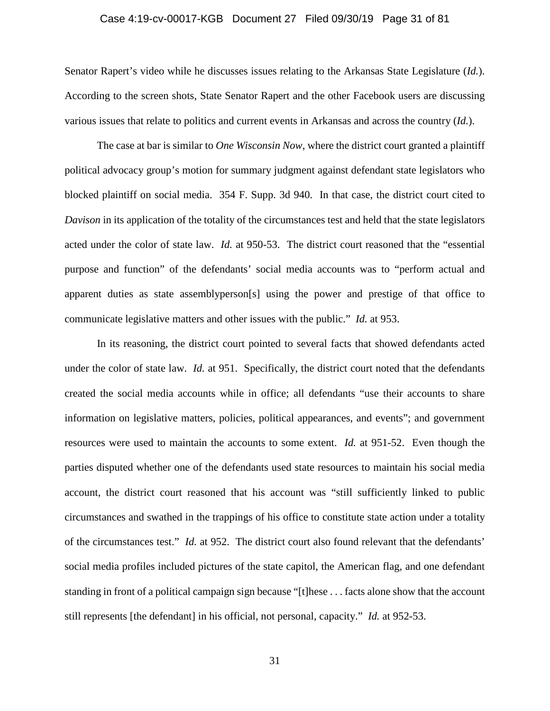## Case 4:19-cv-00017-KGB Document 27 Filed 09/30/19 Page 31 of 81

Senator Rapert's video while he discusses issues relating to the Arkansas State Legislature (*Id.*). According to the screen shots, State Senator Rapert and the other Facebook users are discussing various issues that relate to politics and current events in Arkansas and across the country (*Id.*).

The case at bar is similar to *One Wisconsin Now*, where the district court granted a plaintiff political advocacy group's motion for summary judgment against defendant state legislators who blocked plaintiff on social media. 354 F. Supp. 3d 940. In that case, the district court cited to *Davison* in its application of the totality of the circumstances test and held that the state legislators acted under the color of state law. *Id.* at 950-53. The district court reasoned that the "essential purpose and function" of the defendants' social media accounts was to "perform actual and apparent duties as state assemblyperson[s] using the power and prestige of that office to communicate legislative matters and other issues with the public." *Id.* at 953.

In its reasoning, the district court pointed to several facts that showed defendants acted under the color of state law. *Id.* at 951. Specifically, the district court noted that the defendants created the social media accounts while in office; all defendants "use their accounts to share information on legislative matters, policies, political appearances, and events"; and government resources were used to maintain the accounts to some extent. *Id.* at 951-52. Even though the parties disputed whether one of the defendants used state resources to maintain his social media account, the district court reasoned that his account was "still sufficiently linked to public circumstances and swathed in the trappings of his office to constitute state action under a totality of the circumstances test." *Id.* at 952. The district court also found relevant that the defendants' social media profiles included pictures of the state capitol, the American flag, and one defendant standing in front of a political campaign sign because "[t]hese . . . facts alone show that the account still represents [the defendant] in his official, not personal, capacity." *Id.* at 952-53.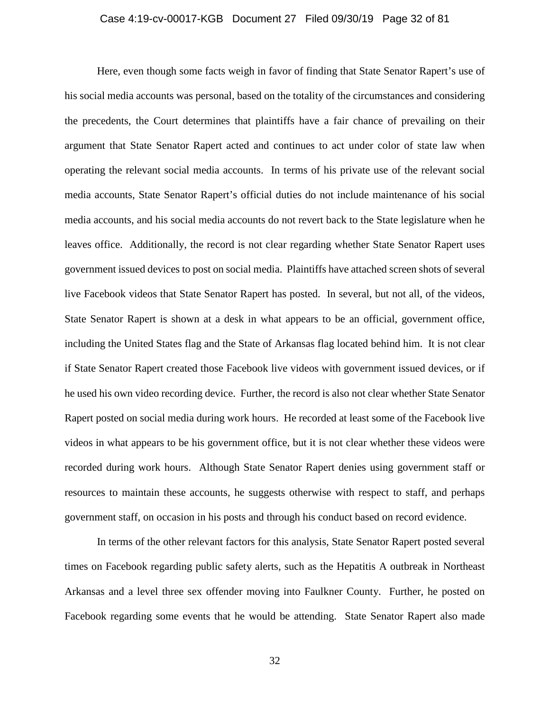## Case 4:19-cv-00017-KGB Document 27 Filed 09/30/19 Page 32 of 81

Here, even though some facts weigh in favor of finding that State Senator Rapert's use of his social media accounts was personal, based on the totality of the circumstances and considering the precedents, the Court determines that plaintiffs have a fair chance of prevailing on their argument that State Senator Rapert acted and continues to act under color of state law when operating the relevant social media accounts. In terms of his private use of the relevant social media accounts, State Senator Rapert's official duties do not include maintenance of his social media accounts, and his social media accounts do not revert back to the State legislature when he leaves office. Additionally, the record is not clear regarding whether State Senator Rapert uses government issued devices to post on social media. Plaintiffs have attached screen shots of several live Facebook videos that State Senator Rapert has posted. In several, but not all, of the videos, State Senator Rapert is shown at a desk in what appears to be an official, government office, including the United States flag and the State of Arkansas flag located behind him. It is not clear if State Senator Rapert created those Facebook live videos with government issued devices, or if he used his own video recording device. Further, the record is also not clear whether State Senator Rapert posted on social media during work hours. He recorded at least some of the Facebook live videos in what appears to be his government office, but it is not clear whether these videos were recorded during work hours. Although State Senator Rapert denies using government staff or resources to maintain these accounts, he suggests otherwise with respect to staff, and perhaps government staff, on occasion in his posts and through his conduct based on record evidence.

In terms of the other relevant factors for this analysis, State Senator Rapert posted several times on Facebook regarding public safety alerts, such as the Hepatitis A outbreak in Northeast Arkansas and a level three sex offender moving into Faulkner County. Further, he posted on Facebook regarding some events that he would be attending. State Senator Rapert also made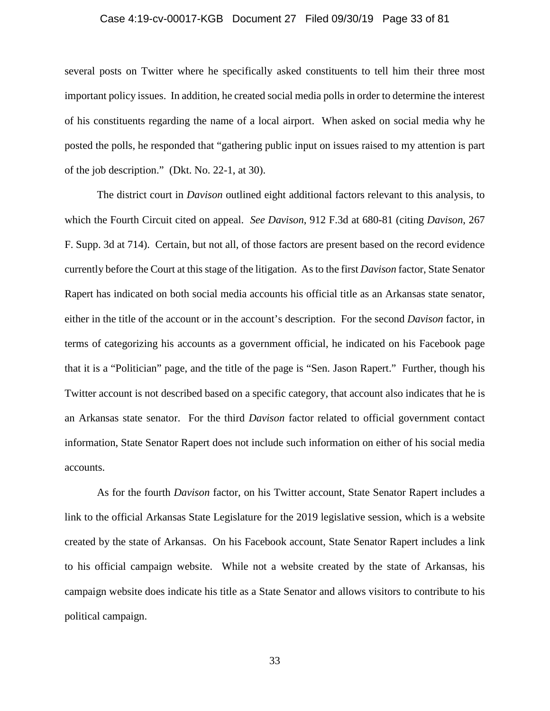## Case 4:19-cv-00017-KGB Document 27 Filed 09/30/19 Page 33 of 81

several posts on Twitter where he specifically asked constituents to tell him their three most important policy issues. In addition, he created social media polls in order to determine the interest of his constituents regarding the name of a local airport. When asked on social media why he posted the polls, he responded that "gathering public input on issues raised to my attention is part of the job description." (Dkt. No. 22-1, at 30).

The district court in *Davison* outlined eight additional factors relevant to this analysis, to which the Fourth Circuit cited on appeal. *See Davison*, 912 F.3d at 680-81 (citing *Davison*, 267 F. Supp. 3d at 714). Certain, but not all, of those factors are present based on the record evidence currently before the Court at this stage of the litigation. As to the first *Davison* factor, State Senator Rapert has indicated on both social media accounts his official title as an Arkansas state senator, either in the title of the account or in the account's description. For the second *Davison* factor, in terms of categorizing his accounts as a government official, he indicated on his Facebook page that it is a "Politician" page, and the title of the page is "Sen. Jason Rapert." Further, though his Twitter account is not described based on a specific category, that account also indicates that he is an Arkansas state senator. For the third *Davison* factor related to official government contact information, State Senator Rapert does not include such information on either of his social media accounts.

As for the fourth *Davison* factor, on his Twitter account, State Senator Rapert includes a link to the official Arkansas State Legislature for the 2019 legislative session, which is a website created by the state of Arkansas. On his Facebook account, State Senator Rapert includes a link to his official campaign website. While not a website created by the state of Arkansas, his campaign website does indicate his title as a State Senator and allows visitors to contribute to his political campaign.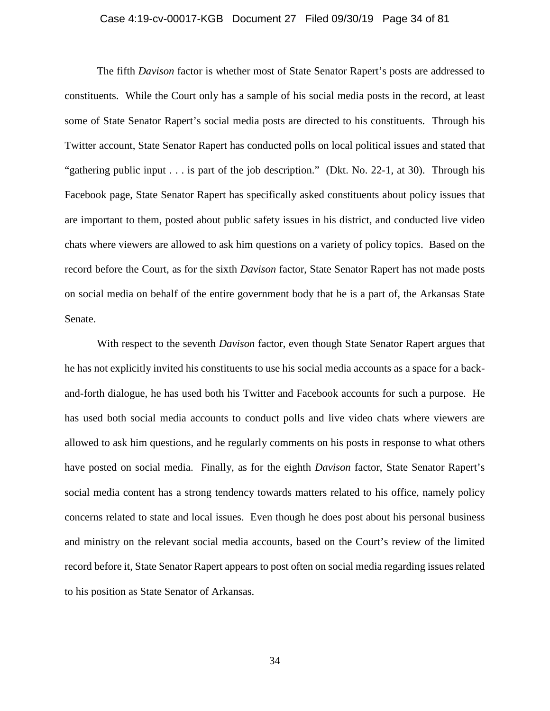## Case 4:19-cv-00017-KGB Document 27 Filed 09/30/19 Page 34 of 81

The fifth *Davison* factor is whether most of State Senator Rapert's posts are addressed to constituents. While the Court only has a sample of his social media posts in the record, at least some of State Senator Rapert's social media posts are directed to his constituents. Through his Twitter account, State Senator Rapert has conducted polls on local political issues and stated that "gathering public input . . . is part of the job description." (Dkt. No. 22-1, at 30). Through his Facebook page, State Senator Rapert has specifically asked constituents about policy issues that are important to them, posted about public safety issues in his district, and conducted live video chats where viewers are allowed to ask him questions on a variety of policy topics. Based on the record before the Court, as for the sixth *Davison* factor, State Senator Rapert has not made posts on social media on behalf of the entire government body that he is a part of, the Arkansas State Senate.

With respect to the seventh *Davison* factor, even though State Senator Rapert argues that he has not explicitly invited his constituents to use his social media accounts as a space for a backand-forth dialogue, he has used both his Twitter and Facebook accounts for such a purpose. He has used both social media accounts to conduct polls and live video chats where viewers are allowed to ask him questions, and he regularly comments on his posts in response to what others have posted on social media. Finally, as for the eighth *Davison* factor, State Senator Rapert's social media content has a strong tendency towards matters related to his office, namely policy concerns related to state and local issues. Even though he does post about his personal business and ministry on the relevant social media accounts, based on the Court's review of the limited record before it, State Senator Rapert appears to post often on social media regarding issues related to his position as State Senator of Arkansas.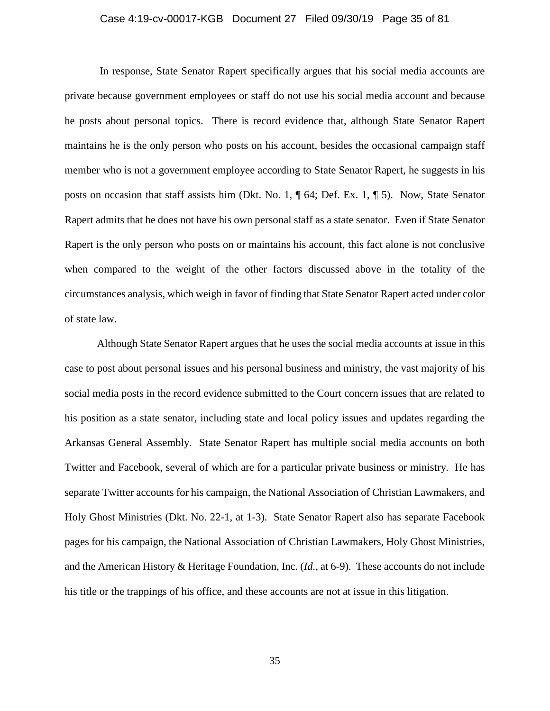## Case 4:19-cv-00017-KGB Document 27 Filed 09/30/19 Page 35 of 81

In response, State Senator Rapert specifically argues that his social media accounts are private because government employees or staff do not use his social media account and because he posts about personal topics. There is record evidence that, although State Senator Rapert maintains he is the only person who posts on his account, besides the occasional campaign staff member who is not a government employee according to State Senator Rapert, he suggests in his posts on occasion that staff assists him (Dkt. No. 1, ¶ 64; Def. Ex. 1, ¶ 5). Now, State Senator Rapert admits that he does not have his own personal staff as a state senator. Even if State Senator Rapert is the only person who posts on or maintains his account, this fact alone is not conclusive when compared to the weight of the other factors discussed above in the totality of the circumstances analysis, which weigh in favor of finding that State Senator Rapert acted under color of state law.

Although State Senator Rapert argues that he uses the social media accounts at issue in this case to post about personal issues and his personal business and ministry, the vast majority of his social media posts in the record evidence submitted to the Court concern issues that are related to his position as a state senator, including state and local policy issues and updates regarding the Arkansas General Assembly. State Senator Rapert has multiple social media accounts on both Twitter and Facebook, several of which are for a particular private business or ministry. He has separate Twitter accounts for his campaign, the National Association of Christian Lawmakers, and Holy Ghost Ministries (Dkt. No. 22-1, at 1-3). State Senator Rapert also has separate Facebook pages for his campaign, the National Association of Christian Lawmakers, Holy Ghost Ministries, and the American History & Heritage Foundation, Inc. (*Id.*, at 6-9). These accounts do not include his title or the trappings of his office, and these accounts are not at issue in this litigation.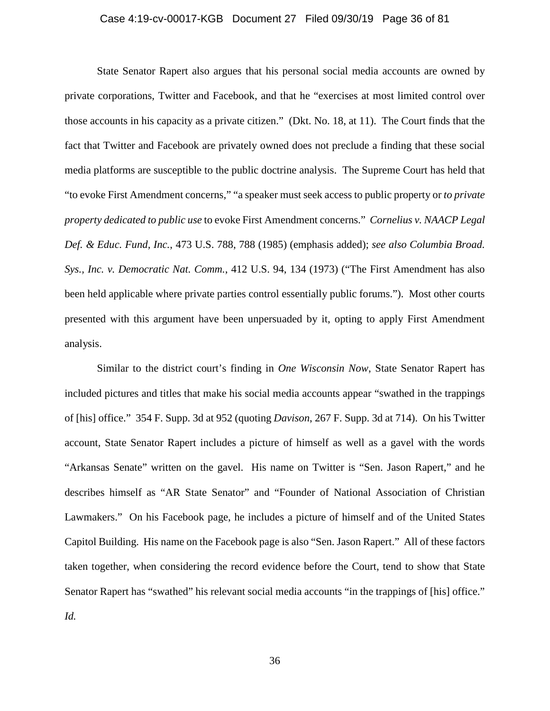## Case 4:19-cv-00017-KGB Document 27 Filed 09/30/19 Page 36 of 81

State Senator Rapert also argues that his personal social media accounts are owned by private corporations, Twitter and Facebook, and that he "exercises at most limited control over those accounts in his capacity as a private citizen." (Dkt. No. 18, at 11). The Court finds that the fact that Twitter and Facebook are privately owned does not preclude a finding that these social media platforms are susceptible to the public doctrine analysis. The Supreme Court has held that "to evoke First Amendment concerns," "a speaker must seek access to public property or *to private property dedicated to public use* to evoke First Amendment concerns." *Cornelius v. NAACP Legal Def. & Educ. Fund, Inc.*, 473 U.S. 788, 788 (1985) (emphasis added); *see also Columbia Broad. Sys., Inc. v. Democratic Nat. Comm.*, 412 U.S. 94, 134 (1973) ("The First Amendment has also been held applicable where private parties control essentially public forums."). Most other courts presented with this argument have been unpersuaded by it, opting to apply First Amendment analysis.

Similar to the district court's finding in *One Wisconsin Now*, State Senator Rapert has included pictures and titles that make his social media accounts appear "swathed in the trappings of [his] office." 354 F. Supp. 3d at 952 (quoting *Davison*, 267 F. Supp. 3d at 714). On his Twitter account, State Senator Rapert includes a picture of himself as well as a gavel with the words "Arkansas Senate" written on the gavel. His name on Twitter is "Sen. Jason Rapert," and he describes himself as "AR State Senator" and "Founder of National Association of Christian Lawmakers." On his Facebook page, he includes a picture of himself and of the United States Capitol Building. His name on the Facebook page is also "Sen. Jason Rapert." All of these factors taken together, when considering the record evidence before the Court, tend to show that State Senator Rapert has "swathed" his relevant social media accounts "in the trappings of [his] office." *Id.*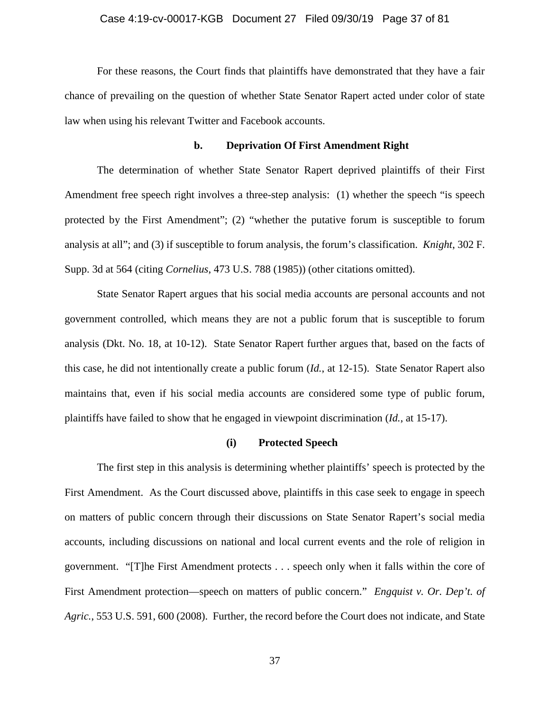### Case 4:19-cv-00017-KGB Document 27 Filed 09/30/19 Page 37 of 81

For these reasons, the Court finds that plaintiffs have demonstrated that they have a fair chance of prevailing on the question of whether State Senator Rapert acted under color of state law when using his relevant Twitter and Facebook accounts.

#### **b. Deprivation Of First Amendment Right**

The determination of whether State Senator Rapert deprived plaintiffs of their First Amendment free speech right involves a three-step analysis: (1) whether the speech "is speech protected by the First Amendment"; (2) "whether the putative forum is susceptible to forum analysis at all"; and (3) if susceptible to forum analysis, the forum's classification. *Knight*, 302 F. Supp. 3d at 564 (citing *Cornelius*, 473 U.S. 788 (1985)) (other citations omitted).

State Senator Rapert argues that his social media accounts are personal accounts and not government controlled, which means they are not a public forum that is susceptible to forum analysis (Dkt. No. 18, at 10-12). State Senator Rapert further argues that, based on the facts of this case, he did not intentionally create a public forum (*Id.*, at 12-15). State Senator Rapert also maintains that, even if his social media accounts are considered some type of public forum, plaintiffs have failed to show that he engaged in viewpoint discrimination (*Id.*, at 15-17).

#### **(i) Protected Speech**

The first step in this analysis is determining whether plaintiffs' speech is protected by the First Amendment. As the Court discussed above, plaintiffs in this case seek to engage in speech on matters of public concern through their discussions on State Senator Rapert's social media accounts, including discussions on national and local current events and the role of religion in government. "[T]he First Amendment protects . . . speech only when it falls within the core of First Amendment protection—speech on matters of public concern." *Engquist v. Or. Dep't. of Agric.*, 553 U.S. 591, 600 (2008). Further, the record before the Court does not indicate, and State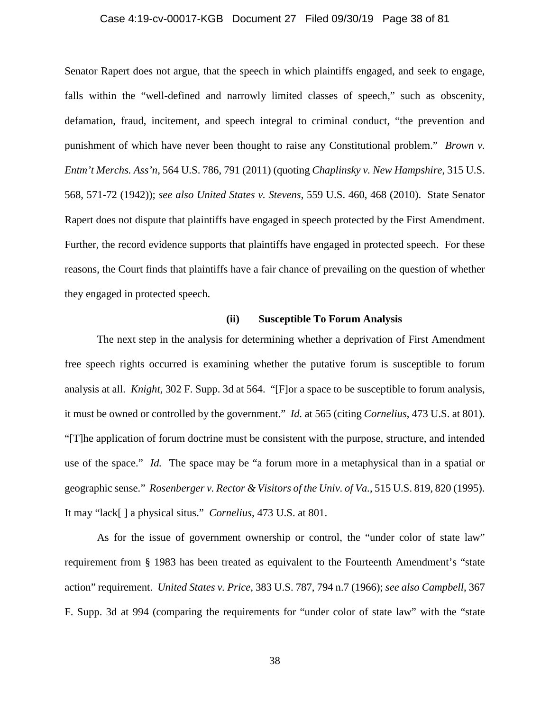### Case 4:19-cv-00017-KGB Document 27 Filed 09/30/19 Page 38 of 81

Senator Rapert does not argue, that the speech in which plaintiffs engaged, and seek to engage, falls within the "well-defined and narrowly limited classes of speech," such as obscenity, defamation, fraud, incitement, and speech integral to criminal conduct, "the prevention and punishment of which have never been thought to raise any Constitutional problem." *Brown v. Entm't Merchs. Ass'n*, 564 U.S. 786, 791 (2011) (quoting *Chaplinsky v. New Hampshire*, 315 U.S. 568, 571-72 (1942)); *see also United States v. Stevens*, 559 U.S. 460, 468 (2010). State Senator Rapert does not dispute that plaintiffs have engaged in speech protected by the First Amendment. Further, the record evidence supports that plaintiffs have engaged in protected speech. For these reasons, the Court finds that plaintiffs have a fair chance of prevailing on the question of whether they engaged in protected speech.

# **(ii) Susceptible To Forum Analysis**

The next step in the analysis for determining whether a deprivation of First Amendment free speech rights occurred is examining whether the putative forum is susceptible to forum analysis at all. *Knight*, 302 F. Supp. 3d at 564. "[F]or a space to be susceptible to forum analysis, it must be owned or controlled by the government." *Id.* at 565 (citing *Cornelius*, 473 U.S. at 801). "[T]he application of forum doctrine must be consistent with the purpose, structure, and intended use of the space." *Id.* The space may be "a forum more in a metaphysical than in a spatial or geographic sense." *Rosenberger v. Rector & Visitors of the Univ. of Va.*, 515 U.S. 819, 820 (1995). It may "lack[ ] a physical situs." *Cornelius*, 473 U.S. at 801.

As for the issue of government ownership or control, the "under color of state law" requirement from § 1983 has been treated as equivalent to the Fourteenth Amendment's "state action" requirement. *United States v. Price*, 383 U.S. 787, 794 n.7 (1966); *see also Campbell*, 367 F. Supp. 3d at 994 (comparing the requirements for "under color of state law" with the "state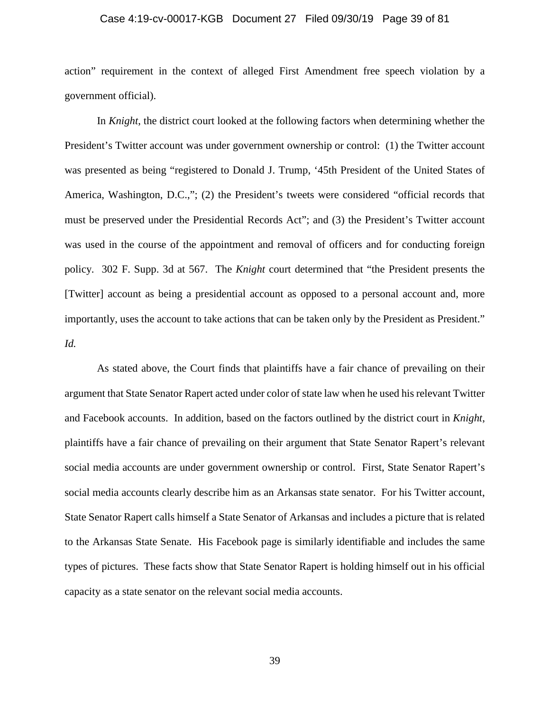### Case 4:19-cv-00017-KGB Document 27 Filed 09/30/19 Page 39 of 81

action" requirement in the context of alleged First Amendment free speech violation by a government official).

In *Knight*, the district court looked at the following factors when determining whether the President's Twitter account was under government ownership or control: (1) the Twitter account was presented as being "registered to Donald J. Trump, '45th President of the United States of America, Washington, D.C.,"; (2) the President's tweets were considered "official records that must be preserved under the Presidential Records Act"; and (3) the President's Twitter account was used in the course of the appointment and removal of officers and for conducting foreign policy. 302 F. Supp. 3d at 567. The *Knight* court determined that "the President presents the [Twitter] account as being a presidential account as opposed to a personal account and, more importantly, uses the account to take actions that can be taken only by the President as President." *Id.*

As stated above, the Court finds that plaintiffs have a fair chance of prevailing on their argument that State Senator Rapert acted under color of state law when he used his relevant Twitter and Facebook accounts. In addition, based on the factors outlined by the district court in *Knight*, plaintiffs have a fair chance of prevailing on their argument that State Senator Rapert's relevant social media accounts are under government ownership or control. First, State Senator Rapert's social media accounts clearly describe him as an Arkansas state senator. For his Twitter account, State Senator Rapert calls himself a State Senator of Arkansas and includes a picture that is related to the Arkansas State Senate. His Facebook page is similarly identifiable and includes the same types of pictures. These facts show that State Senator Rapert is holding himself out in his official capacity as a state senator on the relevant social media accounts.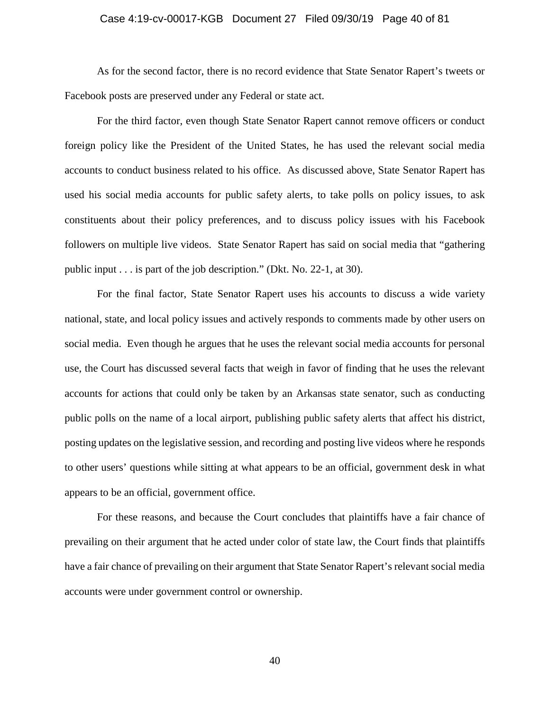### Case 4:19-cv-00017-KGB Document 27 Filed 09/30/19 Page 40 of 81

As for the second factor, there is no record evidence that State Senator Rapert's tweets or Facebook posts are preserved under any Federal or state act.

For the third factor, even though State Senator Rapert cannot remove officers or conduct foreign policy like the President of the United States, he has used the relevant social media accounts to conduct business related to his office. As discussed above, State Senator Rapert has used his social media accounts for public safety alerts, to take polls on policy issues, to ask constituents about their policy preferences, and to discuss policy issues with his Facebook followers on multiple live videos. State Senator Rapert has said on social media that "gathering public input . . . is part of the job description." (Dkt. No. 22-1, at 30).

For the final factor, State Senator Rapert uses his accounts to discuss a wide variety national, state, and local policy issues and actively responds to comments made by other users on social media. Even though he argues that he uses the relevant social media accounts for personal use, the Court has discussed several facts that weigh in favor of finding that he uses the relevant accounts for actions that could only be taken by an Arkansas state senator, such as conducting public polls on the name of a local airport, publishing public safety alerts that affect his district, posting updates on the legislative session, and recording and posting live videos where he responds to other users' questions while sitting at what appears to be an official, government desk in what appears to be an official, government office.

For these reasons, and because the Court concludes that plaintiffs have a fair chance of prevailing on their argument that he acted under color of state law, the Court finds that plaintiffs have a fair chance of prevailing on their argument that State Senator Rapert's relevant social media accounts were under government control or ownership.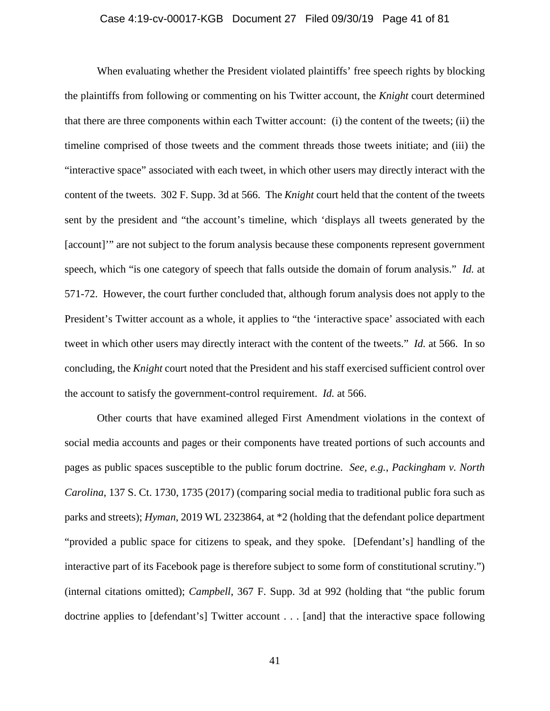### Case 4:19-cv-00017-KGB Document 27 Filed 09/30/19 Page 41 of 81

When evaluating whether the President violated plaintiffs' free speech rights by blocking the plaintiffs from following or commenting on his Twitter account, the *Knight* court determined that there are three components within each Twitter account: (i) the content of the tweets; (ii) the timeline comprised of those tweets and the comment threads those tweets initiate; and (iii) the "interactive space" associated with each tweet, in which other users may directly interact with the content of the tweets. 302 F. Supp. 3d at 566. The *Knight* court held that the content of the tweets sent by the president and "the account's timeline, which 'displays all tweets generated by the [account]'" are not subject to the forum analysis because these components represent government speech, which "is one category of speech that falls outside the domain of forum analysis." *Id.* at 571-72. However, the court further concluded that, although forum analysis does not apply to the President's Twitter account as a whole, it applies to "the 'interactive space' associated with each tweet in which other users may directly interact with the content of the tweets." *Id.* at 566. In so concluding, the *Knight* court noted that the President and his staff exercised sufficient control over the account to satisfy the government-control requirement. *Id.* at 566.

Other courts that have examined alleged First Amendment violations in the context of social media accounts and pages or their components have treated portions of such accounts and pages as public spaces susceptible to the public forum doctrine. *See, e.g.*, *Packingham v. North Carolina*, 137 S. Ct. 1730, 1735 (2017) (comparing social media to traditional public fora such as parks and streets); *Hyman*, 2019 WL 2323864, at \*2 (holding that the defendant police department "provided a public space for citizens to speak, and they spoke. [Defendant's] handling of the interactive part of its Facebook page is therefore subject to some form of constitutional scrutiny.") (internal citations omitted); *Campbell*, 367 F. Supp. 3d at 992 (holding that "the public forum doctrine applies to [defendant's] Twitter account . . . [and] that the interactive space following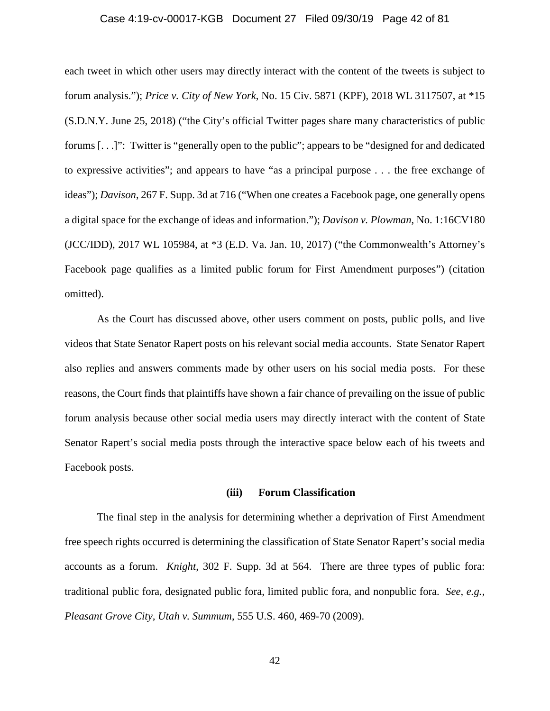#### Case 4:19-cv-00017-KGB Document 27 Filed 09/30/19 Page 42 of 81

each tweet in which other users may directly interact with the content of the tweets is subject to forum analysis."); *Price v. City of New York*, No. 15 Civ. 5871 (KPF), 2018 WL 3117507, at \*15 (S.D.N.Y. June 25, 2018) ("the City's official Twitter pages share many characteristics of public forums [. . .]": Twitter is "generally open to the public"; appears to be "designed for and dedicated to expressive activities"; and appears to have "as a principal purpose . . . the free exchange of ideas"); *Davison*, 267 F. Supp. 3d at 716 ("When one creates a Facebook page, one generally opens a digital space for the exchange of ideas and information."); *Davison v. Plowman*, No. 1:16CV180 (JCC/IDD), 2017 WL 105984, at \*3 (E.D. Va. Jan. 10, 2017) ("the Commonwealth's Attorney's Facebook page qualifies as a limited public forum for First Amendment purposes") (citation omitted).

As the Court has discussed above, other users comment on posts, public polls, and live videos that State Senator Rapert posts on his relevant social media accounts. State Senator Rapert also replies and answers comments made by other users on his social media posts. For these reasons, the Court finds that plaintiffs have shown a fair chance of prevailing on the issue of public forum analysis because other social media users may directly interact with the content of State Senator Rapert's social media posts through the interactive space below each of his tweets and Facebook posts.

### **(iii) Forum Classification**

The final step in the analysis for determining whether a deprivation of First Amendment free speech rights occurred is determining the classification of State Senator Rapert's social media accounts as a forum. *Knight*, 302 F. Supp. 3d at 564. There are three types of public fora: traditional public fora, designated public fora, limited public fora, and nonpublic fora. *See, e.g.*, *Pleasant Grove City, Utah v. Summum*, 555 U.S. 460, 469-70 (2009).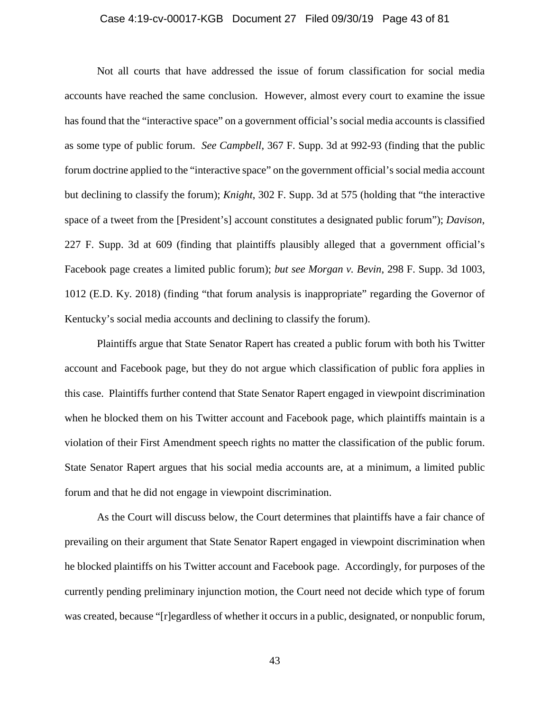### Case 4:19-cv-00017-KGB Document 27 Filed 09/30/19 Page 43 of 81

Not all courts that have addressed the issue of forum classification for social media accounts have reached the same conclusion. However, almost every court to examine the issue has found that the "interactive space" on a government official's social media accounts is classified as some type of public forum. *See Campbell*, 367 F. Supp. 3d at 992-93 (finding that the public forum doctrine applied to the "interactive space" on the government official's social media account but declining to classify the forum); *Knight*, 302 F. Supp. 3d at 575 (holding that "the interactive space of a tweet from the [President's] account constitutes a designated public forum"); *Davison*, 227 F. Supp. 3d at 609 (finding that plaintiffs plausibly alleged that a government official's Facebook page creates a limited public forum); *but see Morgan v. Bevin*, 298 F. Supp. 3d 1003, 1012 (E.D. Ky. 2018) (finding "that forum analysis is inappropriate" regarding the Governor of Kentucky's social media accounts and declining to classify the forum).

Plaintiffs argue that State Senator Rapert has created a public forum with both his Twitter account and Facebook page, but they do not argue which classification of public fora applies in this case. Plaintiffs further contend that State Senator Rapert engaged in viewpoint discrimination when he blocked them on his Twitter account and Facebook page, which plaintiffs maintain is a violation of their First Amendment speech rights no matter the classification of the public forum. State Senator Rapert argues that his social media accounts are, at a minimum, a limited public forum and that he did not engage in viewpoint discrimination.

As the Court will discuss below, the Court determines that plaintiffs have a fair chance of prevailing on their argument that State Senator Rapert engaged in viewpoint discrimination when he blocked plaintiffs on his Twitter account and Facebook page. Accordingly, for purposes of the currently pending preliminary injunction motion, the Court need not decide which type of forum was created, because "[r]egardless of whether it occurs in a public, designated, or nonpublic forum,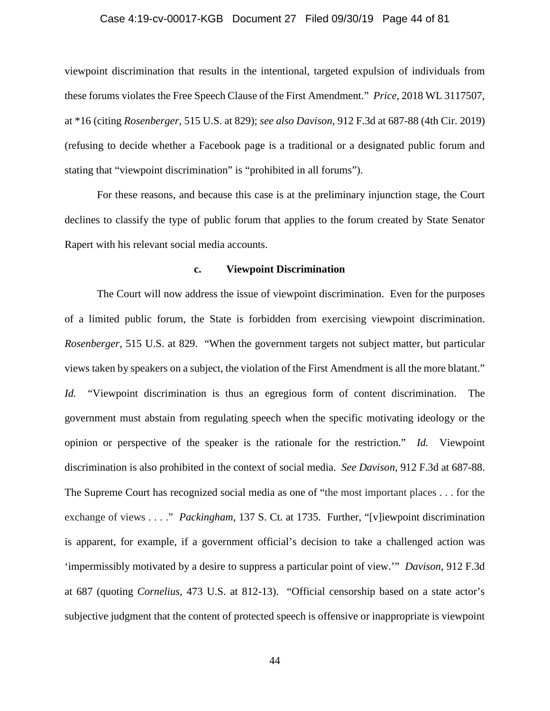### Case 4:19-cv-00017-KGB Document 27 Filed 09/30/19 Page 44 of 81

viewpoint discrimination that results in the intentional, targeted expulsion of individuals from these forums violates the Free Speech Clause of the First Amendment." *Price*, 2018 WL 3117507, at \*16 (citing *Rosenberger*, 515 U.S. at 829); *see also Davison*, 912 F.3d at 687-88 (4th Cir. 2019) (refusing to decide whether a Facebook page is a traditional or a designated public forum and stating that "viewpoint discrimination" is "prohibited in all forums").

For these reasons, and because this case is at the preliminary injunction stage, the Court declines to classify the type of public forum that applies to the forum created by State Senator Rapert with his relevant social media accounts.

#### **c. Viewpoint Discrimination**

The Court will now address the issue of viewpoint discrimination. Even for the purposes of a limited public forum, the State is forbidden from exercising viewpoint discrimination. *Rosenberger*, 515 U.S. at 829. "When the government targets not subject matter, but particular views taken by speakers on a subject, the violation of the First Amendment is all the more blatant." *Id.* "Viewpoint discrimination is thus an egregious form of content discrimination. The government must abstain from regulating speech when the specific motivating ideology or the opinion or perspective of the speaker is the rationale for the restriction." *Id.* Viewpoint discrimination is also prohibited in the context of social media. *See Davison*, 912 F.3d at 687-88. The Supreme Court has recognized social media as one of "the most important places . . . for the exchange of views . . . ." *Packingham*, 137 S. Ct. at 1735. Further, "[v]iewpoint discrimination is apparent, for example, if a government official's decision to take a challenged action was 'impermissibly motivated by a desire to suppress a particular point of view.'" *Davison*, 912 F.3d at 687 (quoting *Cornelius*, 473 U.S. at 812-13). "Official censorship based on a state actor's subjective judgment that the content of protected speech is offensive or inappropriate is viewpoint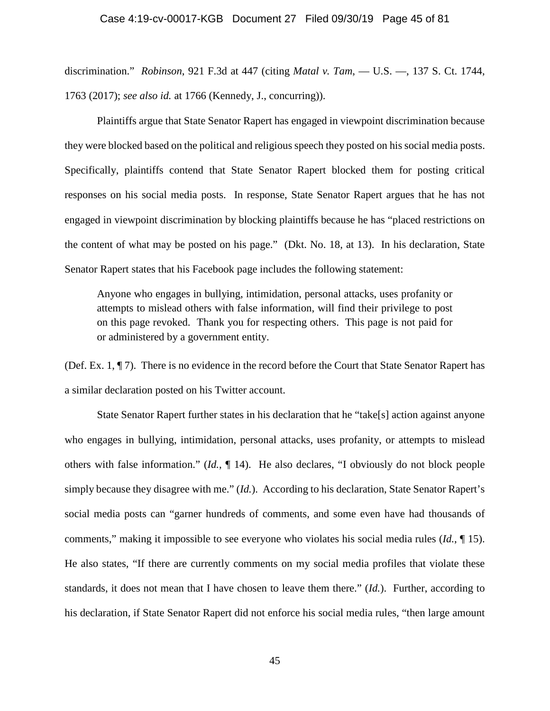### Case 4:19-cv-00017-KGB Document 27 Filed 09/30/19 Page 45 of 81

discrimination." *Robinson*, 921 F.3d at 447 (citing *Matal v. Tam*, — U.S. —, 137 S. Ct. 1744, 1763 (2017); *see also id.* at 1766 (Kennedy, J., concurring)).

Plaintiffs argue that State Senator Rapert has engaged in viewpoint discrimination because they were blocked based on the political and religious speech they posted on his social media posts. Specifically, plaintiffs contend that State Senator Rapert blocked them for posting critical responses on his social media posts. In response, State Senator Rapert argues that he has not engaged in viewpoint discrimination by blocking plaintiffs because he has "placed restrictions on the content of what may be posted on his page." (Dkt. No. 18, at 13). In his declaration, State Senator Rapert states that his Facebook page includes the following statement:

Anyone who engages in bullying, intimidation, personal attacks, uses profanity or attempts to mislead others with false information, will find their privilege to post on this page revoked. Thank you for respecting others. This page is not paid for or administered by a government entity.

(Def. Ex. 1, ¶ 7). There is no evidence in the record before the Court that State Senator Rapert has a similar declaration posted on his Twitter account.

State Senator Rapert further states in his declaration that he "take[s] action against anyone who engages in bullying, intimidation, personal attacks, uses profanity, or attempts to mislead others with false information." (*Id.*, ¶ 14). He also declares, "I obviously do not block people simply because they disagree with me." (*Id.*). According to his declaration, State Senator Rapert's social media posts can "garner hundreds of comments, and some even have had thousands of comments," making it impossible to see everyone who violates his social media rules (*Id.*, ¶ 15). He also states, "If there are currently comments on my social media profiles that violate these standards, it does not mean that I have chosen to leave them there." (*Id.*). Further, according to his declaration, if State Senator Rapert did not enforce his social media rules, "then large amount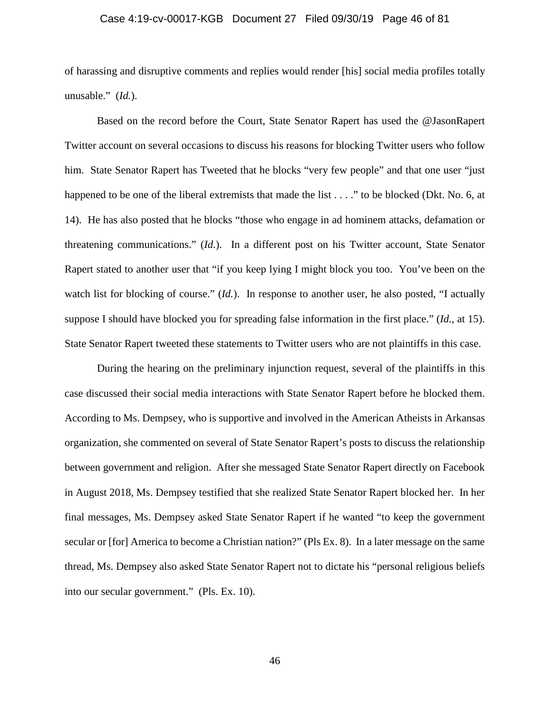### Case 4:19-cv-00017-KGB Document 27 Filed 09/30/19 Page 46 of 81

of harassing and disruptive comments and replies would render [his] social media profiles totally unusable." (*Id.*).

Based on the record before the Court, State Senator Rapert has used the @JasonRapert Twitter account on several occasions to discuss his reasons for blocking Twitter users who follow him. State Senator Rapert has Tweeted that he blocks "very few people" and that one user "just happened to be one of the liberal extremists that made the list . . . ." to be blocked (Dkt. No. 6, at 14). He has also posted that he blocks "those who engage in ad hominem attacks, defamation or threatening communications." (*Id.*). In a different post on his Twitter account, State Senator Rapert stated to another user that "if you keep lying I might block you too. You've been on the watch list for blocking of course." *(Id.)*. In response to another user, he also posted, "I actually suppose I should have blocked you for spreading false information in the first place." (*Id.*, at 15). State Senator Rapert tweeted these statements to Twitter users who are not plaintiffs in this case.

During the hearing on the preliminary injunction request, several of the plaintiffs in this case discussed their social media interactions with State Senator Rapert before he blocked them. According to Ms. Dempsey, who is supportive and involved in the American Atheists in Arkansas organization, she commented on several of State Senator Rapert's posts to discuss the relationship between government and religion. After she messaged State Senator Rapert directly on Facebook in August 2018, Ms. Dempsey testified that she realized State Senator Rapert blocked her. In her final messages, Ms. Dempsey asked State Senator Rapert if he wanted "to keep the government secular or [for] America to become a Christian nation?" (Pls Ex. 8). In a later message on the same thread, Ms. Dempsey also asked State Senator Rapert not to dictate his "personal religious beliefs into our secular government." (Pls. Ex. 10).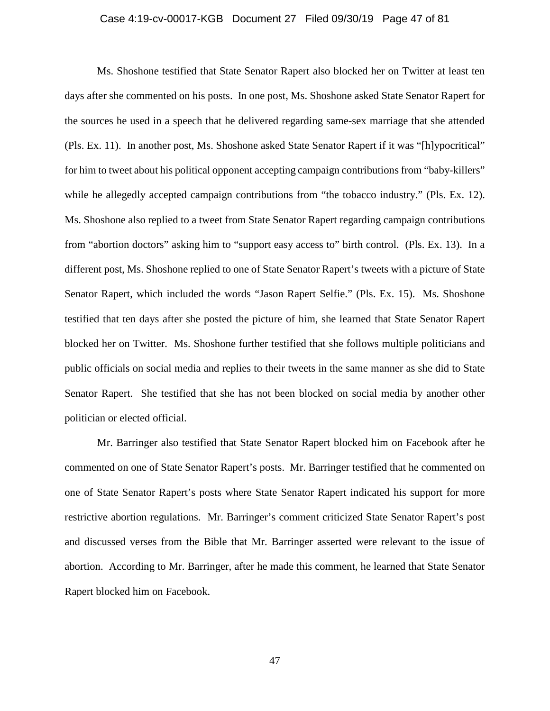### Case 4:19-cv-00017-KGB Document 27 Filed 09/30/19 Page 47 of 81

Ms. Shoshone testified that State Senator Rapert also blocked her on Twitter at least ten days after she commented on his posts. In one post, Ms. Shoshone asked State Senator Rapert for the sources he used in a speech that he delivered regarding same-sex marriage that she attended (Pls. Ex. 11). In another post, Ms. Shoshone asked State Senator Rapert if it was "[h]ypocritical" for him to tweet about his political opponent accepting campaign contributions from "baby-killers" while he allegedly accepted campaign contributions from "the tobacco industry." (Pls. Ex. 12). Ms. Shoshone also replied to a tweet from State Senator Rapert regarding campaign contributions from "abortion doctors" asking him to "support easy access to" birth control. (Pls. Ex. 13). In a different post, Ms. Shoshone replied to one of State Senator Rapert's tweets with a picture of State Senator Rapert, which included the words "Jason Rapert Selfie." (Pls. Ex. 15). Ms. Shoshone testified that ten days after she posted the picture of him, she learned that State Senator Rapert blocked her on Twitter. Ms. Shoshone further testified that she follows multiple politicians and public officials on social media and replies to their tweets in the same manner as she did to State Senator Rapert. She testified that she has not been blocked on social media by another other politician or elected official.

Mr. Barringer also testified that State Senator Rapert blocked him on Facebook after he commented on one of State Senator Rapert's posts. Mr. Barringer testified that he commented on one of State Senator Rapert's posts where State Senator Rapert indicated his support for more restrictive abortion regulations. Mr. Barringer's comment criticized State Senator Rapert's post and discussed verses from the Bible that Mr. Barringer asserted were relevant to the issue of abortion. According to Mr. Barringer, after he made this comment, he learned that State Senator Rapert blocked him on Facebook.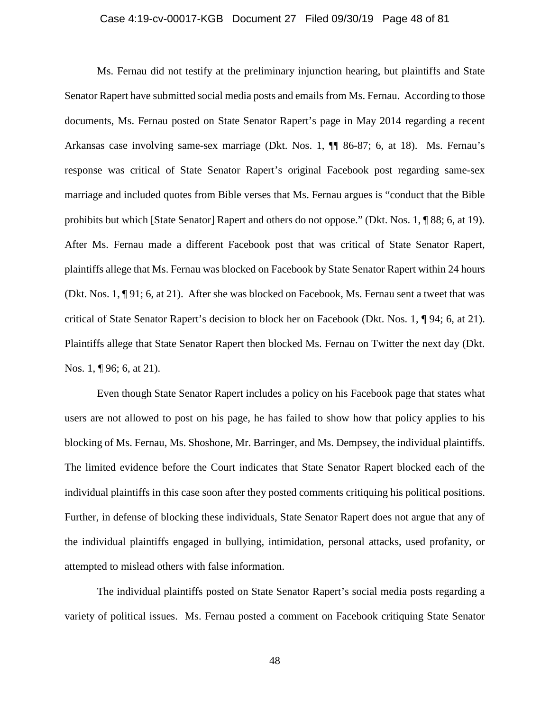### Case 4:19-cv-00017-KGB Document 27 Filed 09/30/19 Page 48 of 81

Ms. Fernau did not testify at the preliminary injunction hearing, but plaintiffs and State Senator Rapert have submitted social media posts and emails from Ms. Fernau. According to those documents, Ms. Fernau posted on State Senator Rapert's page in May 2014 regarding a recent Arkansas case involving same-sex marriage (Dkt. Nos. 1, ¶¶ 86-87; 6, at 18). Ms. Fernau's response was critical of State Senator Rapert's original Facebook post regarding same-sex marriage and included quotes from Bible verses that Ms. Fernau argues is "conduct that the Bible prohibits but which [State Senator] Rapert and others do not oppose." (Dkt. Nos. 1, ¶ 88; 6, at 19). After Ms. Fernau made a different Facebook post that was critical of State Senator Rapert, plaintiffs allege that Ms. Fernau was blocked on Facebook by State Senator Rapert within 24 hours (Dkt. Nos. 1, ¶ 91; 6, at 21). After she was blocked on Facebook, Ms. Fernau sent a tweet that was critical of State Senator Rapert's decision to block her on Facebook (Dkt. Nos. 1, ¶ 94; 6, at 21). Plaintiffs allege that State Senator Rapert then blocked Ms. Fernau on Twitter the next day (Dkt. Nos. 1, ¶ 96; 6, at 21).

Even though State Senator Rapert includes a policy on his Facebook page that states what users are not allowed to post on his page, he has failed to show how that policy applies to his blocking of Ms. Fernau, Ms. Shoshone, Mr. Barringer, and Ms. Dempsey, the individual plaintiffs. The limited evidence before the Court indicates that State Senator Rapert blocked each of the individual plaintiffs in this case soon after they posted comments critiquing his political positions. Further, in defense of blocking these individuals, State Senator Rapert does not argue that any of the individual plaintiffs engaged in bullying, intimidation, personal attacks, used profanity, or attempted to mislead others with false information.

The individual plaintiffs posted on State Senator Rapert's social media posts regarding a variety of political issues. Ms. Fernau posted a comment on Facebook critiquing State Senator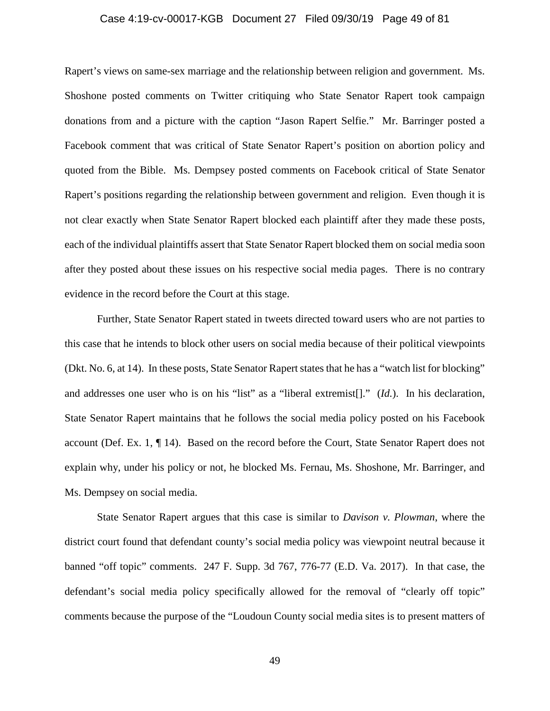### Case 4:19-cv-00017-KGB Document 27 Filed 09/30/19 Page 49 of 81

Rapert's views on same-sex marriage and the relationship between religion and government. Ms. Shoshone posted comments on Twitter critiquing who State Senator Rapert took campaign donations from and a picture with the caption "Jason Rapert Selfie." Mr. Barringer posted a Facebook comment that was critical of State Senator Rapert's position on abortion policy and quoted from the Bible. Ms. Dempsey posted comments on Facebook critical of State Senator Rapert's positions regarding the relationship between government and religion. Even though it is not clear exactly when State Senator Rapert blocked each plaintiff after they made these posts, each of the individual plaintiffs assert that State Senator Rapert blocked them on social media soon after they posted about these issues on his respective social media pages. There is no contrary evidence in the record before the Court at this stage.

Further, State Senator Rapert stated in tweets directed toward users who are not parties to this case that he intends to block other users on social media because of their political viewpoints (Dkt. No. 6, at 14). In these posts, State Senator Rapert states that he has a "watch list for blocking" and addresses one user who is on his "list" as a "liberal extremist[]." (*Id.*). In his declaration, State Senator Rapert maintains that he follows the social media policy posted on his Facebook account (Def. Ex. 1, ¶ 14). Based on the record before the Court, State Senator Rapert does not explain why, under his policy or not, he blocked Ms. Fernau, Ms. Shoshone, Mr. Barringer, and Ms. Dempsey on social media.

State Senator Rapert argues that this case is similar to *Davison v. Plowman*, where the district court found that defendant county's social media policy was viewpoint neutral because it banned "off topic" comments. 247 F. Supp. 3d 767, 776-77 (E.D. Va. 2017). In that case, the defendant's social media policy specifically allowed for the removal of "clearly off topic" comments because the purpose of the "Loudoun County social media sites is to present matters of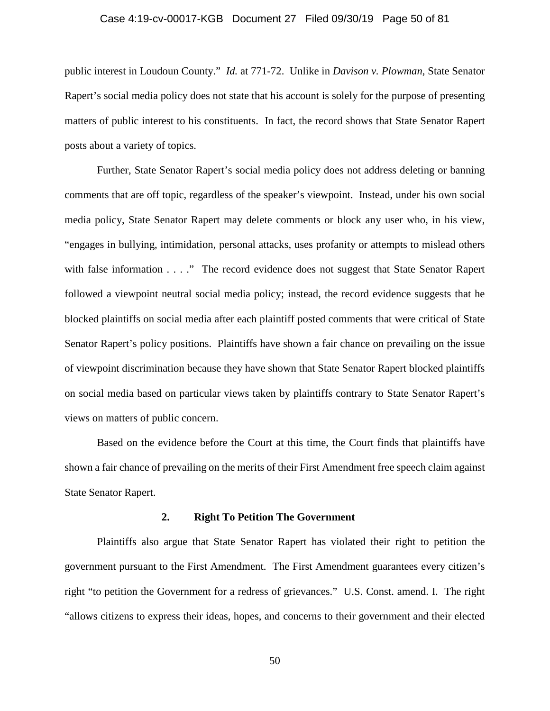### Case 4:19-cv-00017-KGB Document 27 Filed 09/30/19 Page 50 of 81

public interest in Loudoun County." *Id.* at 771-72. Unlike in *Davison v. Plowman*, State Senator Rapert's social media policy does not state that his account is solely for the purpose of presenting matters of public interest to his constituents. In fact, the record shows that State Senator Rapert posts about a variety of topics.

Further, State Senator Rapert's social media policy does not address deleting or banning comments that are off topic, regardless of the speaker's viewpoint. Instead, under his own social media policy, State Senator Rapert may delete comments or block any user who, in his view, "engages in bullying, intimidation, personal attacks, uses profanity or attempts to mislead others with false information . . . ." The record evidence does not suggest that State Senator Rapert followed a viewpoint neutral social media policy; instead, the record evidence suggests that he blocked plaintiffs on social media after each plaintiff posted comments that were critical of State Senator Rapert's policy positions. Plaintiffs have shown a fair chance on prevailing on the issue of viewpoint discrimination because they have shown that State Senator Rapert blocked plaintiffs on social media based on particular views taken by plaintiffs contrary to State Senator Rapert's views on matters of public concern.

Based on the evidence before the Court at this time, the Court finds that plaintiffs have shown a fair chance of prevailing on the merits of their First Amendment free speech claim against State Senator Rapert.

### **2. Right To Petition The Government**

Plaintiffs also argue that State Senator Rapert has violated their right to petition the government pursuant to the First Amendment. The First Amendment guarantees every citizen's right "to petition the Government for a redress of grievances." U.S. Const. amend. I. The right "allows citizens to express their ideas, hopes, and concerns to their government and their elected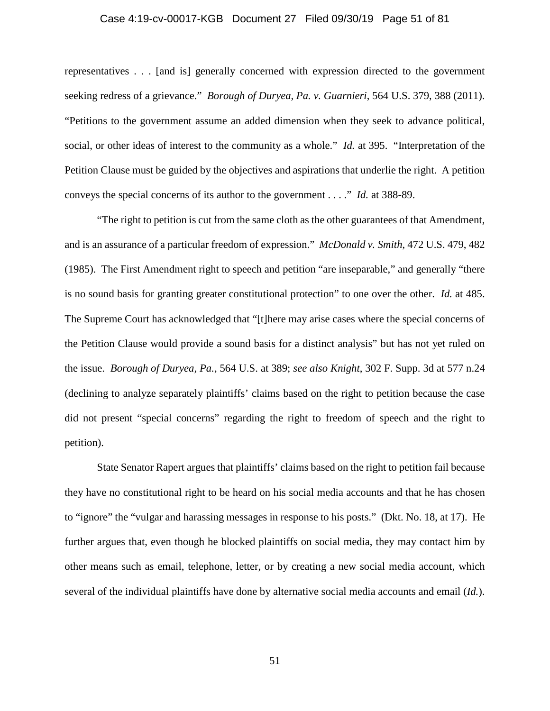### Case 4:19-cv-00017-KGB Document 27 Filed 09/30/19 Page 51 of 81

representatives . . . [and is] generally concerned with expression directed to the government seeking redress of a grievance." *Borough of Duryea, Pa. v. Guarnieri*, 564 U.S. 379, 388 (2011). "Petitions to the government assume an added dimension when they seek to advance political, social, or other ideas of interest to the community as a whole." *Id.* at 395. "Interpretation of the Petition Clause must be guided by the objectives and aspirations that underlie the right. A petition conveys the special concerns of its author to the government . . . ." *Id.* at 388-89.

"The right to petition is cut from the same cloth as the other guarantees of that Amendment, and is an assurance of a particular freedom of expression." *McDonald v. Smith*, 472 U.S. 479, 482 (1985). The First Amendment right to speech and petition "are inseparable," and generally "there is no sound basis for granting greater constitutional protection" to one over the other. *Id.* at 485. The Supreme Court has acknowledged that "[t]here may arise cases where the special concerns of the Petition Clause would provide a sound basis for a distinct analysis" but has not yet ruled on the issue. *Borough of Duryea, Pa.*, 564 U.S. at 389; *see also Knight*, 302 F. Supp. 3d at 577 n.24 (declining to analyze separately plaintiffs' claims based on the right to petition because the case did not present "special concerns" regarding the right to freedom of speech and the right to petition).

State Senator Rapert argues that plaintiffs' claims based on the right to petition fail because they have no constitutional right to be heard on his social media accounts and that he has chosen to "ignore" the "vulgar and harassing messages in response to his posts." (Dkt. No. 18, at 17). He further argues that, even though he blocked plaintiffs on social media, they may contact him by other means such as email, telephone, letter, or by creating a new social media account, which several of the individual plaintiffs have done by alternative social media accounts and email (*Id.*).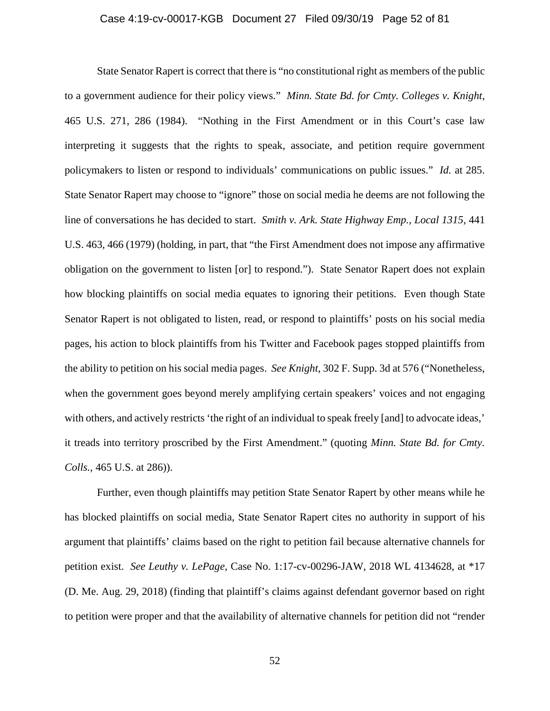### Case 4:19-cv-00017-KGB Document 27 Filed 09/30/19 Page 52 of 81

State Senator Rapert is correct that there is "no constitutional right as members of the public to a government audience for their policy views." *Minn. State Bd. for Cmty. Colleges v. Knight*, 465 U.S. 271, 286 (1984). "Nothing in the First Amendment or in this Court's case law interpreting it suggests that the rights to speak, associate, and petition require government policymakers to listen or respond to individuals' communications on public issues." *Id.* at 285. State Senator Rapert may choose to "ignore" those on social media he deems are not following the line of conversations he has decided to start. *Smith v. Ark. State Highway Emp., Local 1315*, 441 U.S. 463, 466 (1979) (holding, in part, that "the First Amendment does not impose any affirmative obligation on the government to listen [or] to respond."). State Senator Rapert does not explain how blocking plaintiffs on social media equates to ignoring their petitions. Even though State Senator Rapert is not obligated to listen, read, or respond to plaintiffs' posts on his social media pages, his action to block plaintiffs from his Twitter and Facebook pages stopped plaintiffs from the ability to petition on his social media pages. *See Knight*, 302 F. Supp. 3d at 576 ("Nonetheless, when the government goes beyond merely amplifying certain speakers' voices and not engaging with others, and actively restricts 'the right of an individual to speak freely [and] to advocate ideas,' it treads into territory proscribed by the First Amendment." (quoting *Minn. State Bd. for Cmty. Colls.*, 465 U.S. at 286)).

Further, even though plaintiffs may petition State Senator Rapert by other means while he has blocked plaintiffs on social media, State Senator Rapert cites no authority in support of his argument that plaintiffs' claims based on the right to petition fail because alternative channels for petition exist. *See Leuthy v. LePage*, Case No. 1:17-cv-00296-JAW, 2018 WL 4134628, at \*17 (D. Me. Aug. 29, 2018) (finding that plaintiff's claims against defendant governor based on right to petition were proper and that the availability of alternative channels for petition did not "render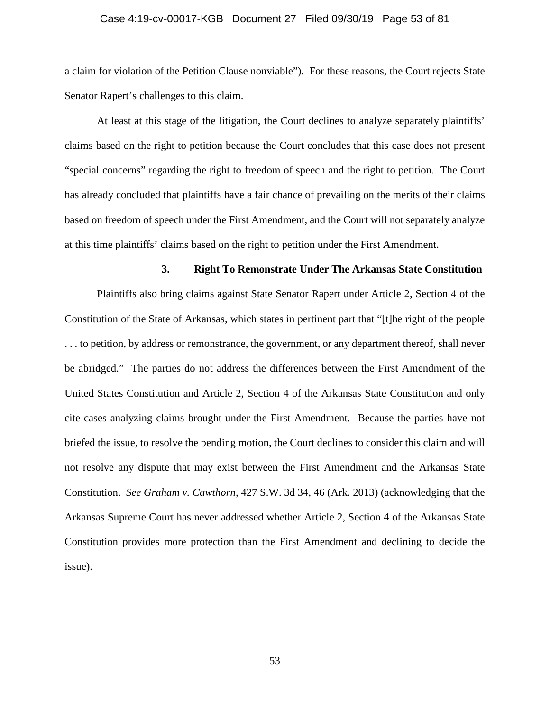### Case 4:19-cv-00017-KGB Document 27 Filed 09/30/19 Page 53 of 81

a claim for violation of the Petition Clause nonviable"). For these reasons, the Court rejects State Senator Rapert's challenges to this claim.

At least at this stage of the litigation, the Court declines to analyze separately plaintiffs' claims based on the right to petition because the Court concludes that this case does not present "special concerns" regarding the right to freedom of speech and the right to petition. The Court has already concluded that plaintiffs have a fair chance of prevailing on the merits of their claims based on freedom of speech under the First Amendment, and the Court will not separately analyze at this time plaintiffs' claims based on the right to petition under the First Amendment.

#### **3. Right To Remonstrate Under The Arkansas State Constitution**

Plaintiffs also bring claims against State Senator Rapert under Article 2, Section 4 of the Constitution of the State of Arkansas, which states in pertinent part that "[t]he right of the people . . . to petition, by address or remonstrance, the government, or any department thereof, shall never be abridged." The parties do not address the differences between the First Amendment of the United States Constitution and Article 2, Section 4 of the Arkansas State Constitution and only cite cases analyzing claims brought under the First Amendment. Because the parties have not briefed the issue, to resolve the pending motion, the Court declines to consider this claim and will not resolve any dispute that may exist between the First Amendment and the Arkansas State Constitution. *See Graham v. Cawthorn*, 427 S.W. 3d 34, 46 (Ark. 2013) (acknowledging that the Arkansas Supreme Court has never addressed whether Article 2, Section 4 of the Arkansas State Constitution provides more protection than the First Amendment and declining to decide the issue).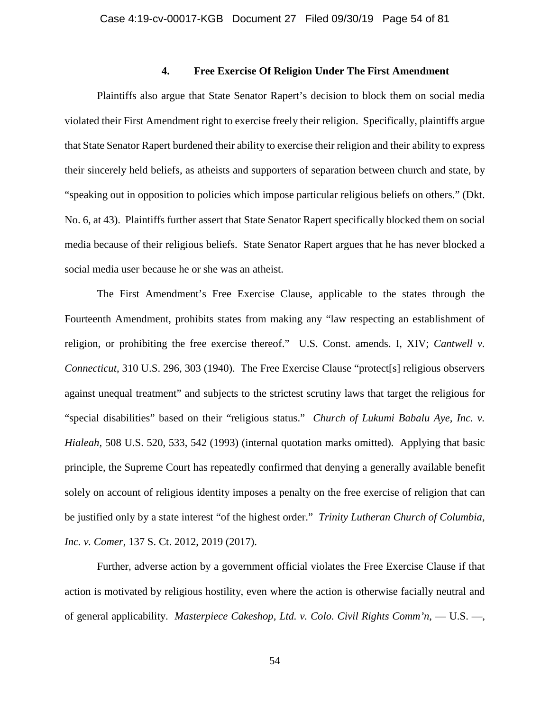# **4. Free Exercise Of Religion Under The First Amendment**

Plaintiffs also argue that State Senator Rapert's decision to block them on social media violated their First Amendment right to exercise freely their religion. Specifically, plaintiffs argue that State Senator Rapert burdened their ability to exercise their religion and their ability to express their sincerely held beliefs, as atheists and supporters of separation between church and state, by "speaking out in opposition to policies which impose particular religious beliefs on others." (Dkt. No. 6, at 43). Plaintiffs further assert that State Senator Rapert specifically blocked them on social media because of their religious beliefs. State Senator Rapert argues that he has never blocked a social media user because he or she was an atheist.

The First Amendment's Free Exercise Clause, applicable to the states through the Fourteenth Amendment, prohibits states from making any "law respecting an establishment of religion, or prohibiting the free exercise thereof." U.S. Const. amends. I, XIV; *Cantwell v. Connecticut*, 310 U.S. 296, 303 (1940). The Free Exercise Clause "protect[s] religious observers against unequal treatment" and subjects to the strictest scrutiny laws that target the religious for "special disabilities" based on their "religious status." *Church of Lukumi Babalu Aye, Inc. v. Hialeah,* 508 U.S. 520, 533, 542 (1993) (internal quotation marks omitted). Applying that basic principle, the Supreme Court has repeatedly confirmed that denying a generally available benefit solely on account of religious identity imposes a penalty on the free exercise of religion that can be justified only by a state interest "of the highest order." *Trinity Lutheran Church of Columbia, Inc. v. Comer*, 137 S. Ct. 2012, 2019 (2017).

Further, adverse action by a government official violates the Free Exercise Clause if that action is motivated by religious hostility, even where the action is otherwise facially neutral and of general applicability. *Masterpiece Cakeshop, Ltd. v. Colo. Civil Rights Comm'n*, — U.S. —,

54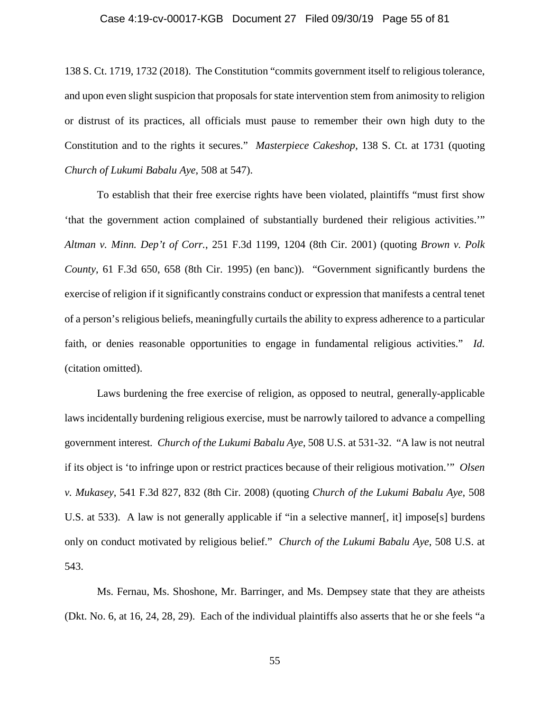### Case 4:19-cv-00017-KGB Document 27 Filed 09/30/19 Page 55 of 81

138 S. Ct. 1719, 1732 (2018). The Constitution "commits government itself to religious tolerance, and upon even slight suspicion that proposals for state intervention stem from animosity to religion or distrust of its practices, all officials must pause to remember their own high duty to the Constitution and to the rights it secures." *Masterpiece Cakeshop*, 138 S. Ct. at 1731 (quoting *Church of Lukumi Babalu Aye*, 508 at 547).

To establish that their free exercise rights have been violated, plaintiffs "must first show 'that the government action complained of substantially burdened their religious activities.'" *Altman v. Minn. Dep't of Corr.*, 251 F.3d 1199, 1204 (8th Cir. 2001) (quoting *Brown v. Polk County*, 61 F.3d 650, 658 (8th Cir. 1995) (en banc)). "Government significantly burdens the exercise of religion if it significantly constrains conduct or expression that manifests a central tenet of a person's religious beliefs, meaningfully curtails the ability to express adherence to a particular faith, or denies reasonable opportunities to engage in fundamental religious activities." *Id.* (citation omitted).

Laws burdening the free exercise of religion, as opposed to neutral, generally-applicable laws incidentally burdening religious exercise, must be narrowly tailored to advance a compelling government interest*. Church of the Lukumi Babalu Aye*, 508 U.S. at 531-32. "A law is not neutral if its object is 'to infringe upon or restrict practices because of their religious motivation.'" *Olsen v. Mukasey*, 541 F.3d 827, 832 (8th Cir. 2008) (quoting *Church of the Lukumi Babalu Aye*, 508 U.S. at 533). A law is not generally applicable if "in a selective manner[, it] impose[s] burdens only on conduct motivated by religious belief." *Church of the Lukumi Babalu Aye*, 508 U.S. at 543.

Ms. Fernau, Ms. Shoshone, Mr. Barringer, and Ms. Dempsey state that they are atheists (Dkt. No. 6, at 16, 24, 28, 29). Each of the individual plaintiffs also asserts that he or she feels "a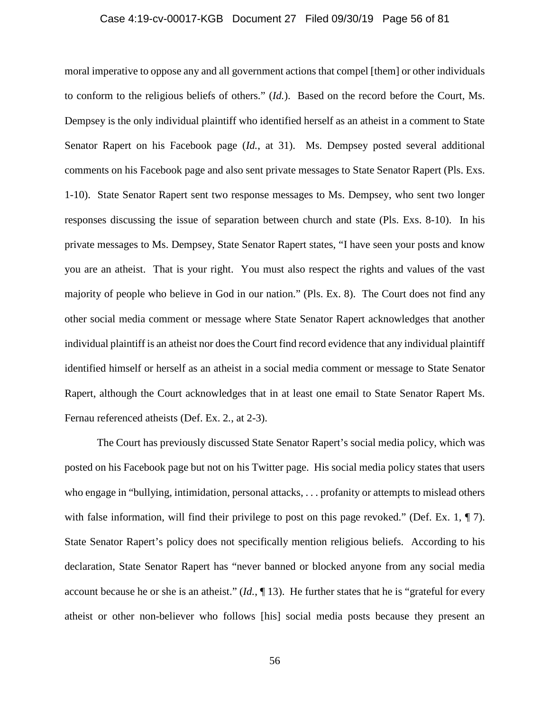### Case 4:19-cv-00017-KGB Document 27 Filed 09/30/19 Page 56 of 81

moral imperative to oppose any and all government actions that compel [them] or other individuals to conform to the religious beliefs of others." (*Id.*). Based on the record before the Court, Ms. Dempsey is the only individual plaintiff who identified herself as an atheist in a comment to State Senator Rapert on his Facebook page (*Id.*, at 31). Ms. Dempsey posted several additional comments on his Facebook page and also sent private messages to State Senator Rapert (Pls. Exs. 1-10). State Senator Rapert sent two response messages to Ms. Dempsey, who sent two longer responses discussing the issue of separation between church and state (Pls. Exs. 8-10). In his private messages to Ms. Dempsey, State Senator Rapert states, "I have seen your posts and know you are an atheist. That is your right. You must also respect the rights and values of the vast majority of people who believe in God in our nation." (Pls. Ex. 8). The Court does not find any other social media comment or message where State Senator Rapert acknowledges that another individual plaintiff is an atheist nor does the Court find record evidence that any individual plaintiff identified himself or herself as an atheist in a social media comment or message to State Senator Rapert, although the Court acknowledges that in at least one email to State Senator Rapert Ms. Fernau referenced atheists (Def. Ex. 2*.*, at 2-3).

The Court has previously discussed State Senator Rapert's social media policy, which was posted on his Facebook page but not on his Twitter page. His social media policy states that users who engage in "bullying, intimidation, personal attacks, . . . profanity or attempts to mislead others with false information, will find their privilege to post on this page revoked." (Def. Ex. 1,  $\P$  7). State Senator Rapert's policy does not specifically mention religious beliefs. According to his declaration, State Senator Rapert has "never banned or blocked anyone from any social media account because he or she is an atheist." (*Id.*, ¶ 13). He further states that he is "grateful for every atheist or other non-believer who follows [his] social media posts because they present an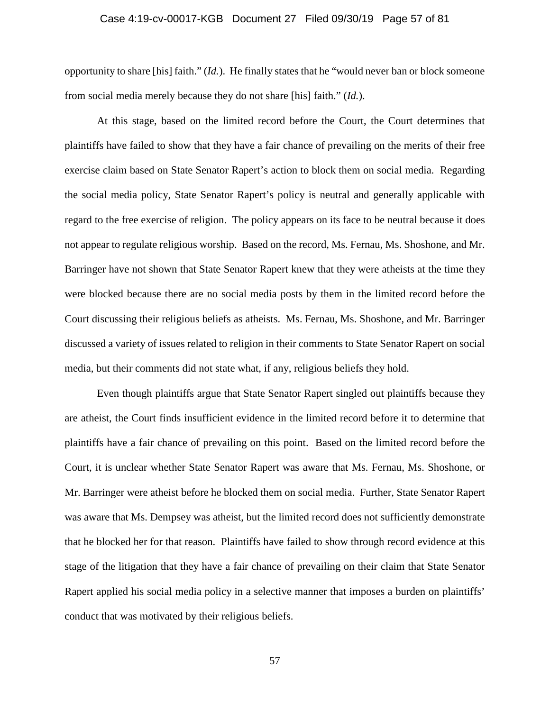### Case 4:19-cv-00017-KGB Document 27 Filed 09/30/19 Page 57 of 81

opportunity to share [his] faith." (*Id.*). He finally states that he "would never ban or block someone from social media merely because they do not share [his] faith." (*Id.*).

At this stage, based on the limited record before the Court, the Court determines that plaintiffs have failed to show that they have a fair chance of prevailing on the merits of their free exercise claim based on State Senator Rapert's action to block them on social media. Regarding the social media policy, State Senator Rapert's policy is neutral and generally applicable with regard to the free exercise of religion. The policy appears on its face to be neutral because it does not appear to regulate religious worship. Based on the record, Ms. Fernau, Ms. Shoshone, and Mr. Barringer have not shown that State Senator Rapert knew that they were atheists at the time they were blocked because there are no social media posts by them in the limited record before the Court discussing their religious beliefs as atheists. Ms. Fernau, Ms. Shoshone, and Mr. Barringer discussed a variety of issues related to religion in their comments to State Senator Rapert on social media, but their comments did not state what, if any, religious beliefs they hold.

Even though plaintiffs argue that State Senator Rapert singled out plaintiffs because they are atheist, the Court finds insufficient evidence in the limited record before it to determine that plaintiffs have a fair chance of prevailing on this point. Based on the limited record before the Court, it is unclear whether State Senator Rapert was aware that Ms. Fernau, Ms. Shoshone, or Mr. Barringer were atheist before he blocked them on social media. Further, State Senator Rapert was aware that Ms. Dempsey was atheist, but the limited record does not sufficiently demonstrate that he blocked her for that reason. Plaintiffs have failed to show through record evidence at this stage of the litigation that they have a fair chance of prevailing on their claim that State Senator Rapert applied his social media policy in a selective manner that imposes a burden on plaintiffs' conduct that was motivated by their religious beliefs.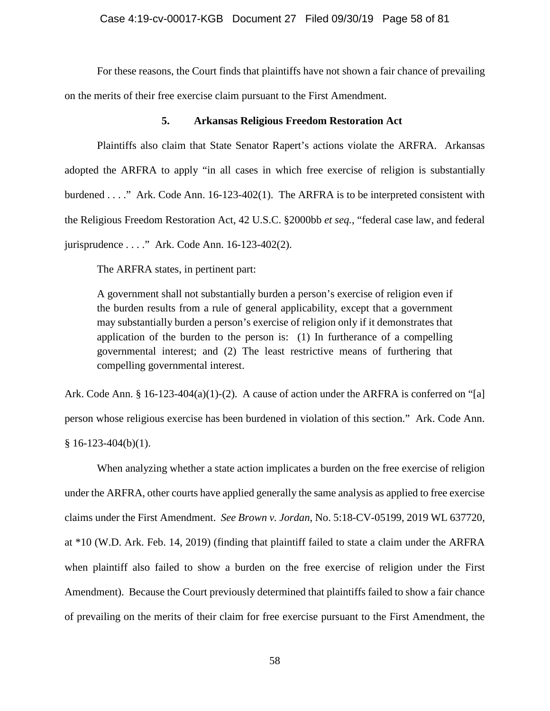### Case 4:19-cv-00017-KGB Document 27 Filed 09/30/19 Page 58 of 81

For these reasons, the Court finds that plaintiffs have not shown a fair chance of prevailing on the merits of their free exercise claim pursuant to the First Amendment.

# **5. Arkansas Religious Freedom Restoration Act**

Plaintiffs also claim that State Senator Rapert's actions violate the ARFRA. Arkansas adopted the ARFRA to apply "in all cases in which free exercise of religion is substantially burdened . . . ." Ark. Code Ann. 16-123-402(1). The ARFRA is to be interpreted consistent with the Religious Freedom Restoration Act, 42 U.S.C. §2000bb *et seq.*, "federal case law, and federal jurisprudence . . . ." Ark. Code Ann. 16-123-402(2).

The ARFRA states, in pertinent part:

A government shall not substantially burden a person's exercise of religion even if the burden results from a rule of general applicability, except that a government may substantially burden a person's exercise of religion only if it demonstrates that application of the burden to the person is: (1) In furtherance of a compelling governmental interest; and (2) The least restrictive means of furthering that compelling governmental interest.

Ark. Code Ann. § 16-123-404(a)(1)-(2). A cause of action under the ARFRA is conferred on "[a] person whose religious exercise has been burdened in violation of this section." Ark. Code Ann.  $§ 16-123-404(b)(1).$ 

When analyzing whether a state action implicates a burden on the free exercise of religion under the ARFRA, other courts have applied generally the same analysis as applied to free exercise claims under the First Amendment. *See Brown v. Jordan*, No. 5:18-CV-05199, 2019 WL 637720, at \*10 (W.D. Ark. Feb. 14, 2019) (finding that plaintiff failed to state a claim under the ARFRA when plaintiff also failed to show a burden on the free exercise of religion under the First Amendment). Because the Court previously determined that plaintiffs failed to show a fair chance of prevailing on the merits of their claim for free exercise pursuant to the First Amendment, the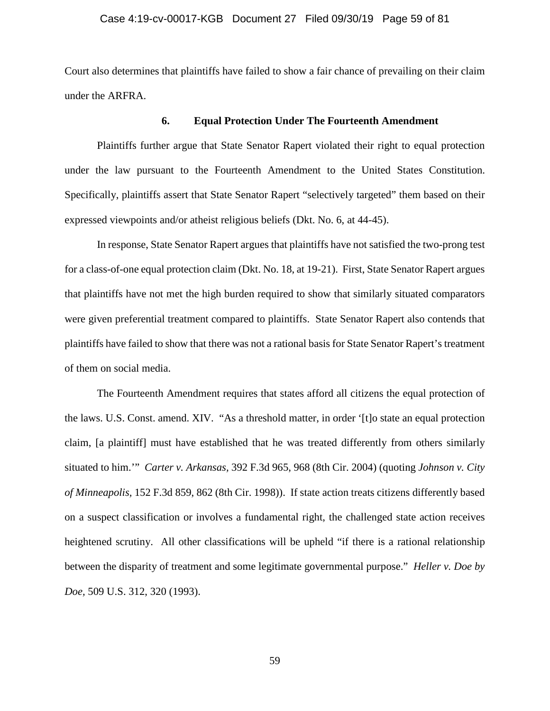### Case 4:19-cv-00017-KGB Document 27 Filed 09/30/19 Page 59 of 81

Court also determines that plaintiffs have failed to show a fair chance of prevailing on their claim under the ARFRA.

# **6. Equal Protection Under The Fourteenth Amendment**

Plaintiffs further argue that State Senator Rapert violated their right to equal protection under the law pursuant to the Fourteenth Amendment to the United States Constitution. Specifically, plaintiffs assert that State Senator Rapert "selectively targeted" them based on their expressed viewpoints and/or atheist religious beliefs (Dkt. No. 6, at 44-45).

In response, State Senator Rapert argues that plaintiffs have not satisfied the two-prong test for a class-of-one equal protection claim (Dkt. No. 18, at 19-21). First, State Senator Rapert argues that plaintiffs have not met the high burden required to show that similarly situated comparators were given preferential treatment compared to plaintiffs. State Senator Rapert also contends that plaintiffs have failed to show that there was not a rational basis for State Senator Rapert's treatment of them on social media.

The Fourteenth Amendment requires that states afford all citizens the equal protection of the laws. U.S. Const. amend. XIV. "As a threshold matter, in order '[t]o state an equal protection claim, [a plaintiff] must have established that he was treated differently from others similarly situated to him.'" *Carter v. Arkansas,* 392 F.3d 965, 968 (8th Cir. 2004) (quoting *Johnson v. City of Minneapolis,* 152 F.3d 859, 862 (8th Cir. 1998)). If state action treats citizens differently based on a suspect classification or involves a fundamental right, the challenged state action receives heightened scrutiny. All other classifications will be upheld "if there is a rational relationship between the disparity of treatment and some legitimate governmental purpose." *Heller v. Doe by Doe,* 509 U.S. 312, 320 (1993).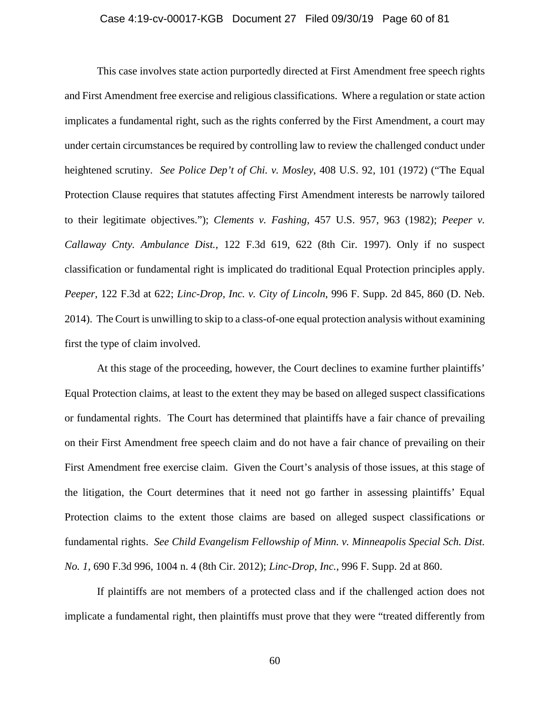### Case 4:19-cv-00017-KGB Document 27 Filed 09/30/19 Page 60 of 81

This case involves state action purportedly directed at First Amendment free speech rights and First Amendment free exercise and religious classifications. Where a regulation or state action implicates a fundamental right, such as the rights conferred by the First Amendment, a court may under certain circumstances be required by controlling law to review the challenged conduct under heightened scrutiny. *See Police Dep't of Chi. v. Mosley*, 408 U.S. 92, 101 (1972) ("The Equal Protection Clause requires that statutes affecting First Amendment interests be narrowly tailored to their legitimate objectives."); *Clements v. Fashing,* 457 U.S. 957, 963 (1982); *Peeper v. Callaway Cnty. Ambulance Dist.,* 122 F.3d 619, 622 (8th Cir. 1997). Only if no suspect classification or fundamental right is implicated do traditional Equal Protection principles apply. *Peeper*, 122 F.3d at 622; *Linc-Drop, Inc. v. City of Lincoln*, 996 F. Supp. 2d 845, 860 (D. Neb. 2014). The Court is unwilling to skip to a class-of-one equal protection analysis without examining first the type of claim involved.

At this stage of the proceeding, however, the Court declines to examine further plaintiffs' Equal Protection claims, at least to the extent they may be based on alleged suspect classifications or fundamental rights. The Court has determined that plaintiffs have a fair chance of prevailing on their First Amendment free speech claim and do not have a fair chance of prevailing on their First Amendment free exercise claim. Given the Court's analysis of those issues, at this stage of the litigation, the Court determines that it need not go farther in assessing plaintiffs' Equal Protection claims to the extent those claims are based on alleged suspect classifications or fundamental rights. *See Child Evangelism Fellowship of Minn. v. Minneapolis Special Sch. Dist. No. 1,* 690 F.3d 996, 1004 n. 4 (8th Cir. 2012); *Linc-Drop, Inc.*, 996 F. Supp. 2d at 860.

If plaintiffs are not members of a protected class and if the challenged action does not implicate a fundamental right, then plaintiffs must prove that they were "treated differently from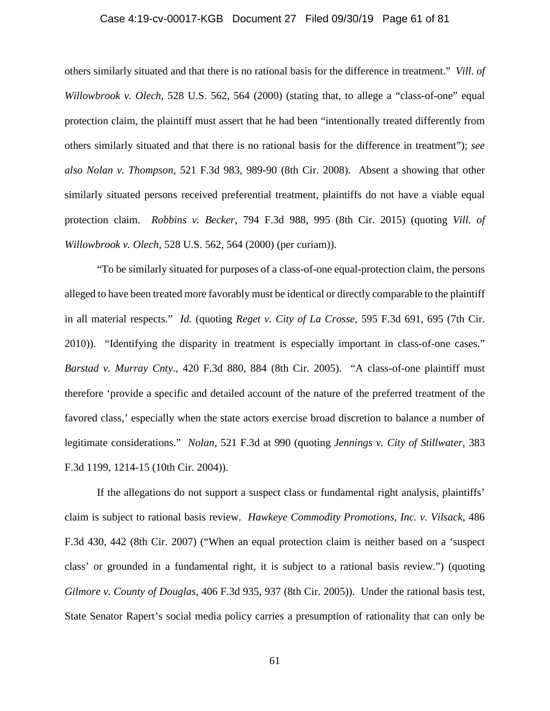### Case 4:19-cv-00017-KGB Document 27 Filed 09/30/19 Page 61 of 81

others similarly situated and that there is no rational basis for the difference in treatment." *Vill. of Willowbrook v. Olech*, 528 U.S. 562, 564 (2000) (stating that, to allege a "class-of-one" equal protection claim, the plaintiff must assert that he had been "intentionally treated differently from others similarly situated and that there is no rational basis for the difference in treatment"); *see also Nolan v. Thompson*, 521 F.3d 983, 989-90 (8th Cir. 2008). Absent a showing that other similarly situated persons received preferential treatment, plaintiffs do not have a viable equal protection claim. *Robbins v. Becker*, 794 F.3d 988, 995 (8th Cir. 2015) (quoting *Vill. of Willowbrook v. Olech*, 528 U.S. 562, 564 (2000) (per curiam)).

"To be similarly situated for purposes of a class-of-one equal-protection claim, the persons alleged to have been treated more favorably must be identical or directly comparable to the plaintiff in all material respects." *Id.* (quoting *Reget v. City of La Crosse*, 595 F.3d 691, 695 (7th Cir. 2010)). "Identifying the disparity in treatment is especially important in class-of-one cases." *Barstad v. Murray Cnty.*, 420 F.3d 880, 884 (8th Cir. 2005). "A class-of-one plaintiff must therefore 'provide a specific and detailed account of the nature of the preferred treatment of the favored class,' especially when the state actors exercise broad discretion to balance a number of legitimate considerations." *Nolan*, 521 F.3d at 990 (quoting *Jennings v. City of Stillwater*, 383 F.3d 1199, 1214-15 (10th Cir. 2004)).

If the allegations do not support a suspect class or fundamental right analysis, plaintiffs' claim is subject to rational basis review. *Hawkeye Commodity Promotions, Inc. v. Vilsack*, 486 F.3d 430, 442 (8th Cir. 2007) ("When an equal protection claim is neither based on a 'suspect class' or grounded in a fundamental right, it is subject to a rational basis review.") (quoting *Gilmore v. County of Douglas*, 406 F.3d 935, 937 (8th Cir. 2005)). Under the rational basis test, State Senator Rapert's social media policy carries a presumption of rationality that can only be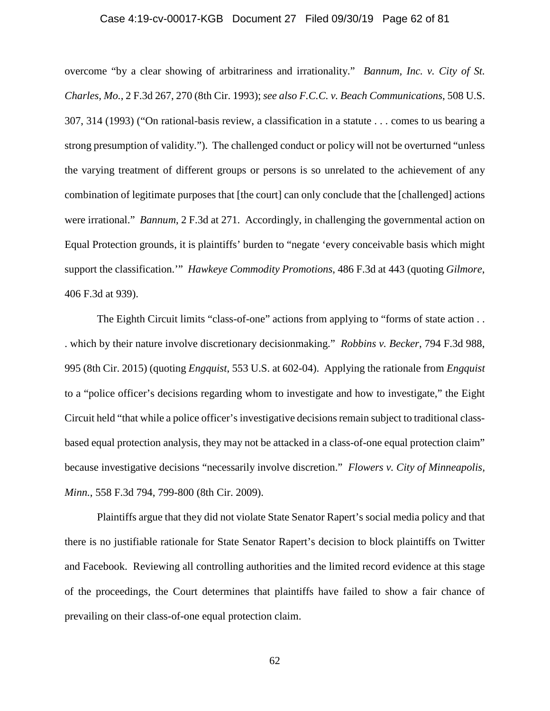### Case 4:19-cv-00017-KGB Document 27 Filed 09/30/19 Page 62 of 81

overcome "by a clear showing of arbitrariness and irrationality." *Bannum, Inc. v. City of St. Charles, Mo.*, 2 F.3d 267, 270 (8th Cir. 1993); *see also F.C.C. v. Beach Communications*, 508 U.S. 307, 314 (1993) ("On rational-basis review, a classification in a statute . . . comes to us bearing a strong presumption of validity."). The challenged conduct or policy will not be overturned "unless the varying treatment of different groups or persons is so unrelated to the achievement of any combination of legitimate purposes that [the court] can only conclude that the [challenged] actions were irrational." *Bannum*, 2 F.3d at 271. Accordingly, in challenging the governmental action on Equal Protection grounds, it is plaintiffs' burden to "negate 'every conceivable basis which might support the classification.'" *Hawkeye Commodity Promotions*, 486 F.3d at 443 (quoting *Gilmore*, 406 F.3d at 939).

The Eighth Circuit limits "class-of-one" actions from applying to "forms of state action... . which by their nature involve discretionary decisionmaking." *Robbins v. Becker*, 794 F.3d 988, 995 (8th Cir. 2015) (quoting *Engquist*, 553 U.S. at 602-04). Applying the rationale from *Engquist* to a "police officer's decisions regarding whom to investigate and how to investigate," the Eight Circuit held "that while a police officer's investigative decisions remain subject to traditional classbased equal protection analysis, they may not be attacked in a class-of-one equal protection claim" because investigative decisions "necessarily involve discretion." *Flowers v. City of Minneapolis, Minn.*, 558 F.3d 794, 799-800 (8th Cir. 2009).

Plaintiffs argue that they did not violate State Senator Rapert's social media policy and that there is no justifiable rationale for State Senator Rapert's decision to block plaintiffs on Twitter and Facebook. Reviewing all controlling authorities and the limited record evidence at this stage of the proceedings, the Court determines that plaintiffs have failed to show a fair chance of prevailing on their class-of-one equal protection claim.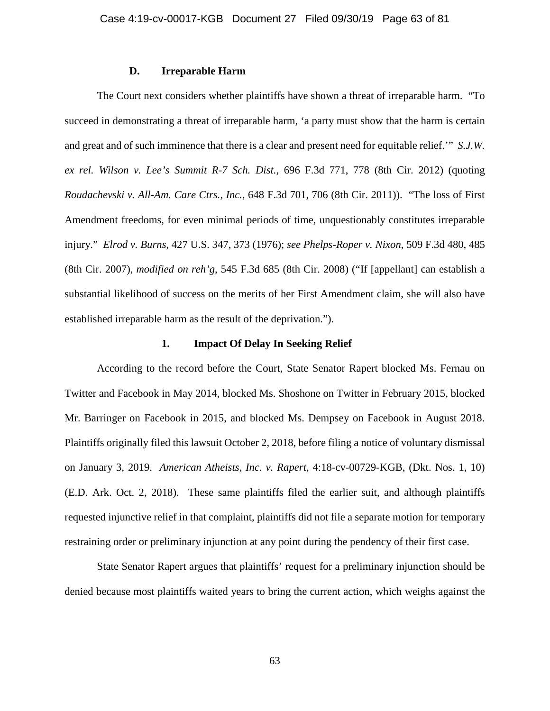### **D. Irreparable Harm**

The Court next considers whether plaintiffs have shown a threat of irreparable harm. "To succeed in demonstrating a threat of irreparable harm, 'a party must show that the harm is certain and great and of such imminence that there is a clear and present need for equitable relief.'" *S.J.W. ex rel. Wilson v. Lee's Summit R-7 Sch. Dist.*, 696 F.3d 771, 778 (8th Cir. 2012) (quoting *Roudachevski v. All-Am. Care Ctrs., Inc.*, 648 F.3d 701, 706 (8th Cir. 2011)). "The loss of First Amendment freedoms, for even minimal periods of time, unquestionably constitutes irreparable injury." *Elrod v. Burns*, 427 U.S. 347, 373 (1976); *see Phelps-Roper v. Nixon*, 509 F.3d 480, 485 (8th Cir. 2007), *modified on reh'g*, 545 F.3d 685 (8th Cir. 2008) ("If [appellant] can establish a substantial likelihood of success on the merits of her First Amendment claim, she will also have established irreparable harm as the result of the deprivation.").

# **1. Impact Of Delay In Seeking Relief**

According to the record before the Court, State Senator Rapert blocked Ms. Fernau on Twitter and Facebook in May 2014, blocked Ms. Shoshone on Twitter in February 2015, blocked Mr. Barringer on Facebook in 2015, and blocked Ms. Dempsey on Facebook in August 2018. Plaintiffs originally filed this lawsuit October 2, 2018, before filing a notice of voluntary dismissal on January 3, 2019. *American Atheists, Inc. v. Rapert*, 4:18-cv-00729-KGB, (Dkt. Nos. 1, 10) (E.D. Ark. Oct. 2, 2018). These same plaintiffs filed the earlier suit, and although plaintiffs requested injunctive relief in that complaint, plaintiffs did not file a separate motion for temporary restraining order or preliminary injunction at any point during the pendency of their first case.

State Senator Rapert argues that plaintiffs' request for a preliminary injunction should be denied because most plaintiffs waited years to bring the current action, which weighs against the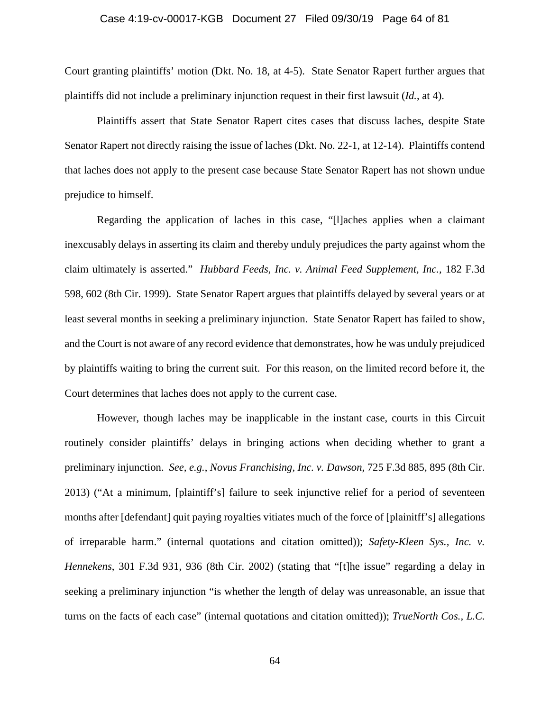### Case 4:19-cv-00017-KGB Document 27 Filed 09/30/19 Page 64 of 81

Court granting plaintiffs' motion (Dkt. No. 18, at 4-5). State Senator Rapert further argues that plaintiffs did not include a preliminary injunction request in their first lawsuit (*Id.*, at 4).

Plaintiffs assert that State Senator Rapert cites cases that discuss laches, despite State Senator Rapert not directly raising the issue of laches (Dkt. No. 22-1, at 12-14). Plaintiffs contend that laches does not apply to the present case because State Senator Rapert has not shown undue prejudice to himself.

Regarding the application of laches in this case, "[l]aches applies when a claimant inexcusably delays in asserting its claim and thereby unduly prejudices the party against whom the claim ultimately is asserted." *Hubbard Feeds, Inc. v. Animal Feed Supplement, Inc.,* 182 F.3d 598, 602 (8th Cir. 1999). State Senator Rapert argues that plaintiffs delayed by several years or at least several months in seeking a preliminary injunction. State Senator Rapert has failed to show, and the Court is not aware of any record evidence that demonstrates, how he was unduly prejudiced by plaintiffs waiting to bring the current suit. For this reason, on the limited record before it, the Court determines that laches does not apply to the current case.

However, though laches may be inapplicable in the instant case, courts in this Circuit routinely consider plaintiffs' delays in bringing actions when deciding whether to grant a preliminary injunction. *See, e.g.*, *Novus Franchising, Inc. v. Dawson*, 725 F.3d 885, 895 (8th Cir. 2013) ("At a minimum, [plaintiff's] failure to seek injunctive relief for a period of seventeen months after [defendant] quit paying royalties vitiates much of the force of [plainitff's] allegations of irreparable harm." (internal quotations and citation omitted)); *Safety-Kleen Sys., Inc. v. Hennekens*, 301 F.3d 931, 936 (8th Cir. 2002) (stating that "[t]he issue" regarding a delay in seeking a preliminary injunction "is whether the length of delay was unreasonable, an issue that turns on the facts of each case" (internal quotations and citation omitted)); *TrueNorth Cos., L.C.*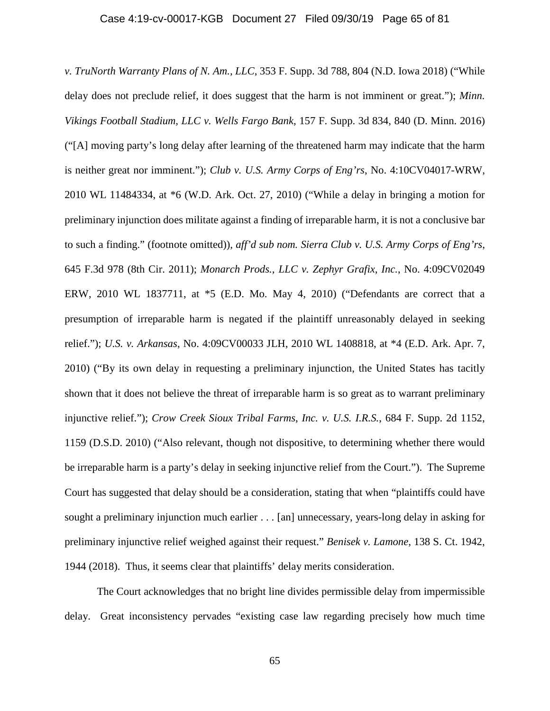### Case 4:19-cv-00017-KGB Document 27 Filed 09/30/19 Page 65 of 81

*v. TruNorth Warranty Plans of N. Am., LLC*, 353 F. Supp. 3d 788, 804 (N.D. Iowa 2018) ("While delay does not preclude relief, it does suggest that the harm is not imminent or great."); *Minn. Vikings Football Stadium, LLC v. Wells Fargo Bank*, 157 F. Supp. 3d 834, 840 (D. Minn. 2016) ("[A] moving party's long delay after learning of the threatened harm may indicate that the harm is neither great nor imminent."); *Club v. U.S. Army Corps of Eng'rs*, No. 4:10CV04017-WRW, 2010 WL 11484334, at \*6 (W.D. Ark. Oct. 27, 2010) ("While a delay in bringing a motion for preliminary injunction does militate against a finding of irreparable harm, it is not a conclusive bar to such a finding." (footnote omitted)), *aff'd sub nom. Sierra Club v. U.S. Army Corps of Eng'rs*, 645 F.3d 978 (8th Cir. 2011); *Monarch Prods., LLC v. Zephyr Grafix, Inc.*, No. 4:09CV02049 ERW, 2010 WL 1837711, at \*5 (E.D. Mo. May 4, 2010) ("Defendants are correct that a presumption of irreparable harm is negated if the plaintiff unreasonably delayed in seeking relief."); *U.S. v. Arkansas*, No. 4:09CV00033 JLH, 2010 WL 1408818, at \*4 (E.D. Ark. Apr. 7, 2010) ("By its own delay in requesting a preliminary injunction, the United States has tacitly shown that it does not believe the threat of irreparable harm is so great as to warrant preliminary injunctive relief."); *Crow Creek Sioux Tribal Farms, Inc. v. U.S. I.R.S.*, 684 F. Supp. 2d 1152, 1159 (D.S.D. 2010) ("Also relevant, though not dispositive, to determining whether there would be irreparable harm is a party's delay in seeking injunctive relief from the Court."). The Supreme Court has suggested that delay should be a consideration, stating that when "plaintiffs could have sought a preliminary injunction much earlier . . . [an] unnecessary, years-long delay in asking for preliminary injunctive relief weighed against their request." *Benisek v. Lamone*, 138 S. Ct. 1942, 1944 (2018). Thus, it seems clear that plaintiffs' delay merits consideration.

The Court acknowledges that no bright line divides permissible delay from impermissible delay. Great inconsistency pervades "existing case law regarding precisely how much time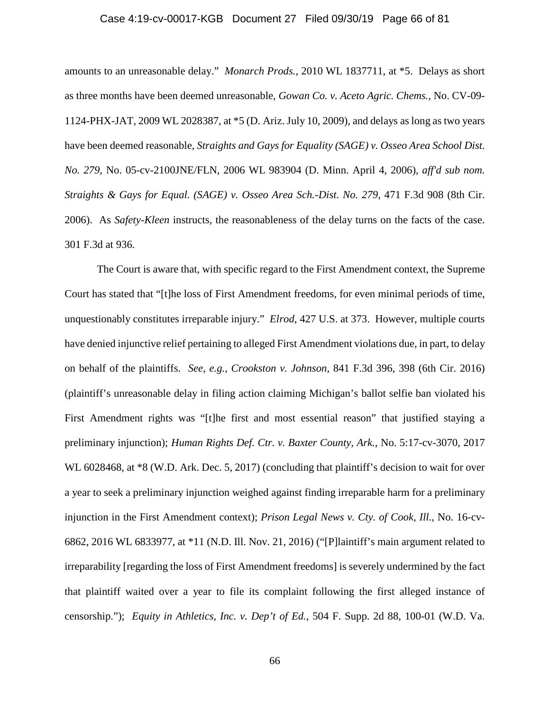### Case 4:19-cv-00017-KGB Document 27 Filed 09/30/19 Page 66 of 81

amounts to an unreasonable delay." *Monarch Prods.*, 2010 WL 1837711, at \*5. Delays as short as three months have been deemed unreasonable, *Gowan Co. v. Aceto Agric. Chems.*, No. CV-09- 1124-PHX-JAT, 2009 WL 2028387, at \*5 (D. Ariz. July 10, 2009), and delays as long as two years have been deemed reasonable, *Straights and Gays for Equality (SAGE) v. Osseo Area School Dist. No. 279*, No. 05-cv-2100JNE/FLN, 2006 WL 983904 (D. Minn. April 4, 2006), *aff'd sub nom. Straights & Gays for Equal. (SAGE) v. Osseo Area Sch.-Dist. No. 279*, 471 F.3d 908 (8th Cir. 2006). As *Safety-Kleen* instructs, the reasonableness of the delay turns on the facts of the case. 301 F.3d at 936.

The Court is aware that, with specific regard to the First Amendment context, the Supreme Court has stated that "[t]he loss of First Amendment freedoms, for even minimal periods of time, unquestionably constitutes irreparable injury." *Elrod*, 427 U.S. at 373. However, multiple courts have denied injunctive relief pertaining to alleged First Amendment violations due, in part, to delay on behalf of the plaintiffs. *See, e.g.*, *Crookston v. Johnson*, 841 F.3d 396, 398 (6th Cir. 2016) (plaintiff's unreasonable delay in filing action claiming Michigan's ballot selfie ban violated his First Amendment rights was "[t]he first and most essential reason" that justified staying a preliminary injunction); *Human Rights Def. Ctr. v. Baxter County, Ark.*, No. 5:17-cv-3070, 2017 WL 6028468, at  $*8$  (W.D. Ark. Dec. 5, 2017) (concluding that plaintiff's decision to wait for over a year to seek a preliminary injunction weighed against finding irreparable harm for a preliminary injunction in the First Amendment context); *Prison Legal News v. Cty. of Cook, Ill.*, No. 16-cv-6862, 2016 WL 6833977, at \*11 (N.D. Ill. Nov. 21, 2016) ("[P]laintiff's main argument related to irreparability [regarding the loss of First Amendment freedoms] is severely undermined by the fact that plaintiff waited over a year to file its complaint following the first alleged instance of censorship."); *Equity in Athletics, Inc. v. Dep't of Ed.*, 504 F. Supp. 2d 88, 100-01 (W.D. Va.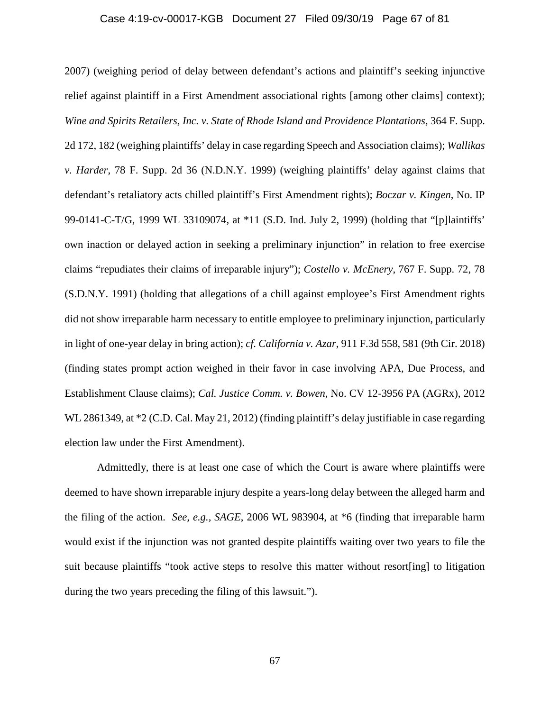### Case 4:19-cv-00017-KGB Document 27 Filed 09/30/19 Page 67 of 81

2007) (weighing period of delay between defendant's actions and plaintiff's seeking injunctive relief against plaintiff in a First Amendment associational rights [among other claims] context); *Wine and Spirits Retailers, Inc. v. State of Rhode Island and Providence Plantations*, 364 F. Supp. 2d 172, 182 (weighing plaintiffs' delay in case regarding Speech and Association claims); *Wallikas v. Harder*, 78 F. Supp. 2d 36 (N.D.N.Y. 1999) (weighing plaintiffs' delay against claims that defendant's retaliatory acts chilled plaintiff's First Amendment rights); *Boczar v. Kingen*, No. IP 99-0141-C-T/G, 1999 WL 33109074, at \*11 (S.D. Ind. July 2, 1999) (holding that "[p]laintiffs' own inaction or delayed action in seeking a preliminary injunction" in relation to free exercise claims "repudiates their claims of irreparable injury"); *Costello v. McEnery*, 767 F. Supp. 72, 78 (S.D.N.Y. 1991) (holding that allegations of a chill against employee's First Amendment rights did not show irreparable harm necessary to entitle employee to preliminary injunction, particularly in light of one-year delay in bring action); *cf. California v. Azar*, 911 F.3d 558, 581 (9th Cir. 2018) (finding states prompt action weighed in their favor in case involving APA, Due Process, and Establishment Clause claims); *Cal. Justice Comm. v. Bowen*, No. CV 12-3956 PA (AGRx), 2012 WL 2861349, at  $*2$  (C.D. Cal. May 21, 2012) (finding plaintiff's delay justifiable in case regarding election law under the First Amendment).

Admittedly, there is at least one case of which the Court is aware where plaintiffs were deemed to have shown irreparable injury despite a years-long delay between the alleged harm and the filing of the action. *See, e.g., SAGE*, 2006 WL 983904, at \*6 (finding that irreparable harm would exist if the injunction was not granted despite plaintiffs waiting over two years to file the suit because plaintiffs "took active steps to resolve this matter without resort[ing] to litigation during the two years preceding the filing of this lawsuit.").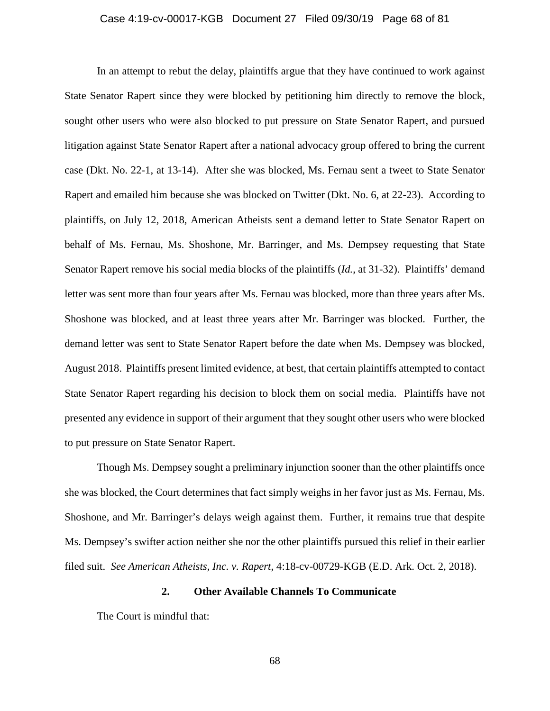### Case 4:19-cv-00017-KGB Document 27 Filed 09/30/19 Page 68 of 81

In an attempt to rebut the delay, plaintiffs argue that they have continued to work against State Senator Rapert since they were blocked by petitioning him directly to remove the block, sought other users who were also blocked to put pressure on State Senator Rapert, and pursued litigation against State Senator Rapert after a national advocacy group offered to bring the current case (Dkt. No. 22-1, at 13-14). After she was blocked, Ms. Fernau sent a tweet to State Senator Rapert and emailed him because she was blocked on Twitter (Dkt. No. 6, at 22-23). According to plaintiffs, on July 12, 2018, American Atheists sent a demand letter to State Senator Rapert on behalf of Ms. Fernau, Ms. Shoshone, Mr. Barringer, and Ms. Dempsey requesting that State Senator Rapert remove his social media blocks of the plaintiffs (*Id.*, at 31-32). Plaintiffs' demand letter was sent more than four years after Ms. Fernau was blocked, more than three years after Ms. Shoshone was blocked, and at least three years after Mr. Barringer was blocked. Further, the demand letter was sent to State Senator Rapert before the date when Ms. Dempsey was blocked, August 2018. Plaintiffs present limited evidence, at best, that certain plaintiffs attempted to contact State Senator Rapert regarding his decision to block them on social media. Plaintiffs have not presented any evidence in support of their argument that they sought other users who were blocked to put pressure on State Senator Rapert.

Though Ms. Dempsey sought a preliminary injunction sooner than the other plaintiffs once she was blocked, the Court determines that fact simply weighs in her favor just as Ms. Fernau, Ms. Shoshone, and Mr. Barringer's delays weigh against them. Further, it remains true that despite Ms. Dempsey's swifter action neither she nor the other plaintiffs pursued this relief in their earlier filed suit. *See American Atheists, Inc. v. Rapert*, 4:18-cv-00729-KGB (E.D. Ark. Oct. 2, 2018).

# **2. Other Available Channels To Communicate**

The Court is mindful that: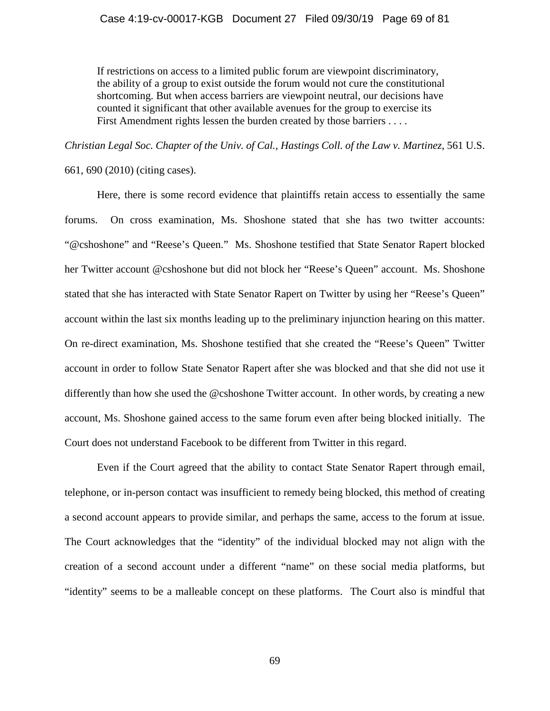If restrictions on access to a limited public forum are viewpoint discriminatory, the ability of a group to exist outside the forum would not cure the constitutional shortcoming. But when access barriers are viewpoint neutral, our decisions have counted it significant that other available avenues for the group to exercise its First Amendment rights lessen the burden created by those barriers . . . .

*Christian Legal Soc. Chapter of the Univ. of Cal., Hastings Coll. of the Law v. Martinez*, 561 U.S.

661, 690 (2010) (citing cases).

Here, there is some record evidence that plaintiffs retain access to essentially the same forums. On cross examination, Ms. Shoshone stated that she has two twitter accounts: "@cshoshone" and "Reese's Queen." Ms. Shoshone testified that State Senator Rapert blocked her Twitter account @cshoshone but did not block her "Reese's Queen" account. Ms. Shoshone stated that she has interacted with State Senator Rapert on Twitter by using her "Reese's Queen" account within the last six months leading up to the preliminary injunction hearing on this matter. On re-direct examination, Ms. Shoshone testified that she created the "Reese's Queen" Twitter account in order to follow State Senator Rapert after she was blocked and that she did not use it differently than how she used the @cshoshone Twitter account. In other words, by creating a new account, Ms. Shoshone gained access to the same forum even after being blocked initially. The Court does not understand Facebook to be different from Twitter in this regard.

Even if the Court agreed that the ability to contact State Senator Rapert through email, telephone, or in-person contact was insufficient to remedy being blocked, this method of creating a second account appears to provide similar, and perhaps the same, access to the forum at issue. The Court acknowledges that the "identity" of the individual blocked may not align with the creation of a second account under a different "name" on these social media platforms, but "identity" seems to be a malleable concept on these platforms. The Court also is mindful that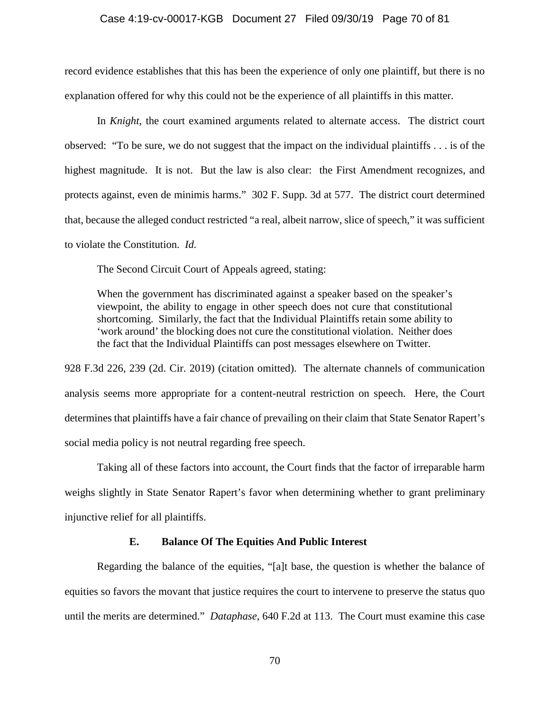#### Case 4:19-cv-00017-KGB Document 27 Filed 09/30/19 Page 70 of 81

record evidence establishes that this has been the experience of only one plaintiff, but there is no explanation offered for why this could not be the experience of all plaintiffs in this matter.

In *Knight*, the court examined arguments related to alternate access. The district court observed: "To be sure, we do not suggest that the impact on the individual plaintiffs . . . is of the highest magnitude. It is not. But the law is also clear: the First Amendment recognizes, and protects against, even de minimis harms." 302 F. Supp. 3d at 577. The district court determined that, because the alleged conduct restricted "a real, albeit narrow, slice of speech," it was sufficient to violate the Constitution. *Id.*

The Second Circuit Court of Appeals agreed, stating:

When the government has discriminated against a speaker based on the speaker's viewpoint, the ability to engage in other speech does not cure that constitutional shortcoming. Similarly, the fact that the Individual Plaintiffs retain some ability to 'work around' the blocking does not cure the constitutional violation. Neither does the fact that the Individual Plaintiffs can post messages elsewhere on Twitter.

928 F.3d 226, 239 (2d. Cir. 2019) (citation omitted). The alternate channels of communication analysis seems more appropriate for a content-neutral restriction on speech. Here, the Court determines that plaintiffs have a fair chance of prevailing on their claim that State Senator Rapert's social media policy is not neutral regarding free speech.

Taking all of these factors into account, the Court finds that the factor of irreparable harm weighs slightly in State Senator Rapert's favor when determining whether to grant preliminary injunctive relief for all plaintiffs.

### **E. Balance Of The Equities And Public Interest**

Regarding the balance of the equities, "[a]t base, the question is whether the balance of equities so favors the movant that justice requires the court to intervene to preserve the status quo until the merits are determined." *Dataphase*, 640 F.2d at 113. The Court must examine this case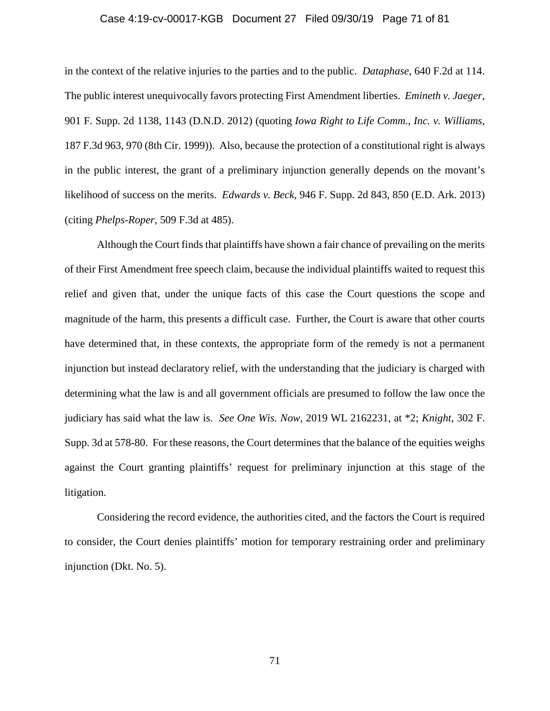### Case 4:19-cv-00017-KGB Document 27 Filed 09/30/19 Page 71 of 81

in the context of the relative injuries to the parties and to the public. *Dataphase*, 640 F.2d at 114. The public interest unequivocally favors protecting First Amendment liberties. *Emineth v. Jaeger*, 901 F. Supp. 2d 1138, 1143 (D.N.D. 2012) (quoting *Iowa Right to Life Comm., Inc. v. Williams*, 187 F.3d 963, 970 (8th Cir. 1999)). Also, because the protection of a constitutional right is always in the public interest, the grant of a preliminary injunction generally depends on the movant's likelihood of success on the merits. *Edwards v. Beck*, 946 F. Supp. 2d 843, 850 (E.D. Ark. 2013) (citing *Phelps-Roper*, 509 F.3d at 485).

Although the Court finds that plaintiffs have shown a fair chance of prevailing on the merits of their First Amendment free speech claim, because the individual plaintiffs waited to request this relief and given that, under the unique facts of this case the Court questions the scope and magnitude of the harm, this presents a difficult case. Further, the Court is aware that other courts have determined that, in these contexts, the appropriate form of the remedy is not a permanent injunction but instead declaratory relief, with the understanding that the judiciary is charged with determining what the law is and all government officials are presumed to follow the law once the judiciary has said what the law is. *See One Wis. Now*, 2019 WL 2162231, at \*2; *Knight*, 302 F. Supp. 3d at 578-80. For these reasons, the Court determines that the balance of the equities weighs against the Court granting plaintiffs' request for preliminary injunction at this stage of the litigation.

Considering the record evidence, the authorities cited, and the factors the Court is required to consider, the Court denies plaintiffs' motion for temporary restraining order and preliminary injunction (Dkt. No. 5).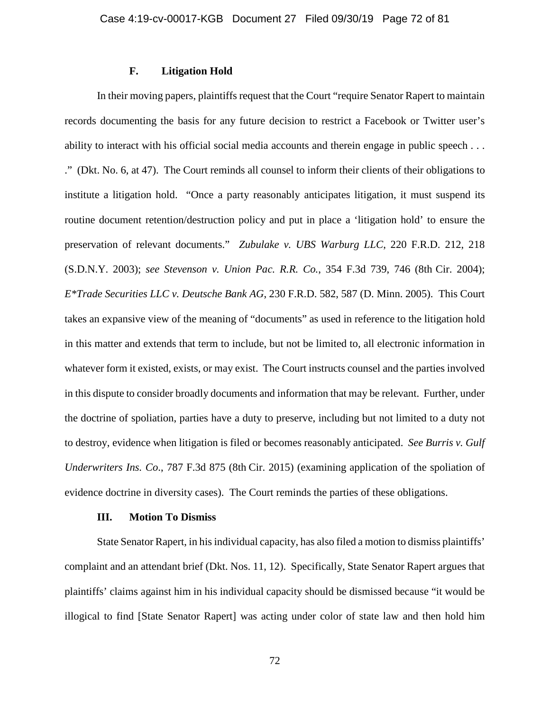# **F. Litigation Hold**

In their moving papers, plaintiffs request that the Court "require Senator Rapert to maintain records documenting the basis for any future decision to restrict a Facebook or Twitter user's ability to interact with his official social media accounts and therein engage in public speech . . . ." (Dkt. No. 6, at 47). The Court reminds all counsel to inform their clients of their obligations to institute a litigation hold. "Once a party reasonably anticipates litigation, it must suspend its routine document retention/destruction policy and put in place a 'litigation hold' to ensure the preservation of relevant documents." *Zubulake v. UBS Warburg LLC*, 220 F.R.D. 212, 218 (S.D.N.Y. 2003); *see Stevenson v. Union Pac. R.R. Co.*, 354 F.3d 739, 746 (8th Cir. 2004); *E\*Trade Securities LLC v. Deutsche Bank AG*, 230 F.R.D. 582, 587 (D. Minn. 2005). This Court takes an expansive view of the meaning of "documents" as used in reference to the litigation hold in this matter and extends that term to include, but not be limited to, all electronic information in whatever form it existed, exists, or may exist. The Court instructs counsel and the parties involved in this dispute to consider broadly documents and information that may be relevant. Further, under the doctrine of spoliation, parties have a duty to preserve, including but not limited to a duty not to destroy, evidence when litigation is filed or becomes reasonably anticipated. *See Burris v. Gulf Underwriters Ins. Co*., 787 F.3d 875 (8th Cir. 2015) (examining application of the spoliation of evidence doctrine in diversity cases). The Court reminds the parties of these obligations.

#### **III. Motion To Dismiss**

State Senator Rapert, in his individual capacity, has also filed a motion to dismiss plaintiffs' complaint and an attendant brief (Dkt. Nos. 11, 12). Specifically, State Senator Rapert argues that plaintiffs' claims against him in his individual capacity should be dismissed because "it would be illogical to find [State Senator Rapert] was acting under color of state law and then hold him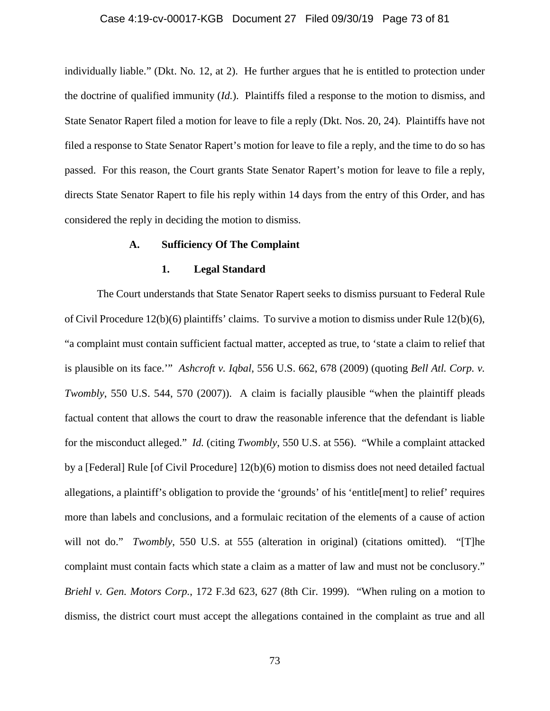#### Case 4:19-cv-00017-KGB Document 27 Filed 09/30/19 Page 73 of 81

individually liable." (Dkt. No*.* 12, at 2). He further argues that he is entitled to protection under the doctrine of qualified immunity (*Id.*). Plaintiffs filed a response to the motion to dismiss, and State Senator Rapert filed a motion for leave to file a reply (Dkt. Nos. 20, 24). Plaintiffs have not filed a response to State Senator Rapert's motion for leave to file a reply, and the time to do so has passed. For this reason, the Court grants State Senator Rapert's motion for leave to file a reply, directs State Senator Rapert to file his reply within 14 days from the entry of this Order, and has considered the reply in deciding the motion to dismiss.

## **A. Sufficiency Of The Complaint**

## **1. Legal Standard**

The Court understands that State Senator Rapert seeks to dismiss pursuant to Federal Rule of Civil Procedure  $12(b)(6)$  plaintiffs' claims. To survive a motion to dismiss under Rule  $12(b)(6)$ , "a complaint must contain sufficient factual matter, accepted as true, to 'state a claim to relief that is plausible on its face.'" *Ashcroft v. Iqbal*, 556 U.S. 662, 678 (2009) (quoting *Bell Atl. Corp. v. Twombly*, 550 U.S. 544, 570 (2007)). A claim is facially plausible "when the plaintiff pleads factual content that allows the court to draw the reasonable inference that the defendant is liable for the misconduct alleged." *Id.* (citing *Twombly*, 550 U.S. at 556). "While a complaint attacked by a [Federal] Rule [of Civil Procedure] 12(b)(6) motion to dismiss does not need detailed factual allegations, a plaintiff's obligation to provide the 'grounds' of his 'entitle[ment] to relief' requires more than labels and conclusions, and a formulaic recitation of the elements of a cause of action will not do." *Twombly*, 550 U.S. at 555 (alteration in original) (citations omitted). "[T]he complaint must contain facts which state a claim as a matter of law and must not be conclusory." *Briehl v. Gen. Motors Corp.*, 172 F.3d 623, 627 (8th Cir. 1999). "When ruling on a motion to dismiss, the district court must accept the allegations contained in the complaint as true and all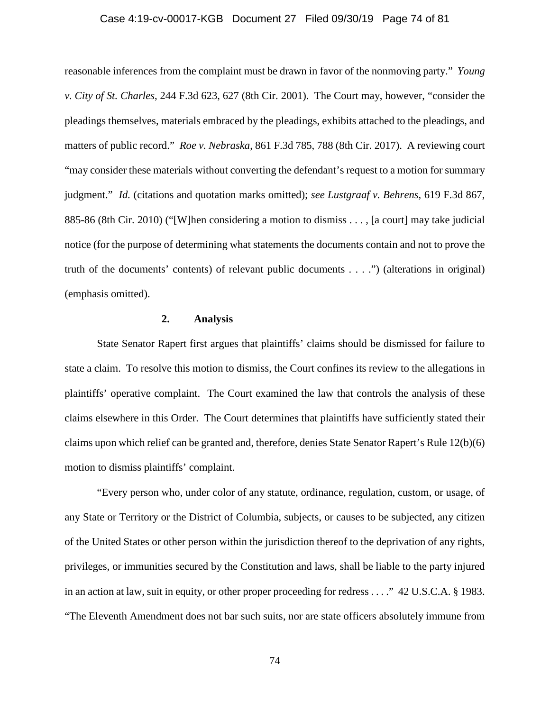#### Case 4:19-cv-00017-KGB Document 27 Filed 09/30/19 Page 74 of 81

reasonable inferences from the complaint must be drawn in favor of the nonmoving party." *Young v. City of St. Charles*, 244 F.3d 623, 627 (8th Cir. 2001). The Court may, however, "consider the pleadings themselves, materials embraced by the pleadings, exhibits attached to the pleadings, and matters of public record." *Roe v. Nebraska*, 861 F.3d 785, 788 (8th Cir. 2017). A reviewing court "may consider these materials without converting the defendant's request to a motion for summary judgment." *Id.* (citations and quotation marks omitted); *see Lustgraaf v. Behrens*, 619 F.3d 867, 885-86 (8th Cir. 2010) ("[W]hen considering a motion to dismiss . . . , [a court] may take judicial notice (for the purpose of determining what statements the documents contain and not to prove the truth of the documents' contents) of relevant public documents . . . .") (alterations in original) (emphasis omitted).

## **2. Analysis**

State Senator Rapert first argues that plaintiffs' claims should be dismissed for failure to state a claim. To resolve this motion to dismiss, the Court confines its review to the allegations in plaintiffs' operative complaint. The Court examined the law that controls the analysis of these claims elsewhere in this Order. The Court determines that plaintiffs have sufficiently stated their claims upon which relief can be granted and, therefore, denies State Senator Rapert's Rule 12(b)(6) motion to dismiss plaintiffs' complaint.

"Every person who, under color of any statute, ordinance, regulation, custom, or usage, of any State or Territory or the District of Columbia, subjects, or causes to be subjected, any citizen of the United States or other person within the jurisdiction thereof to the deprivation of any rights, privileges, or immunities secured by the Constitution and laws, shall be liable to the party injured in an action at law, suit in equity, or other proper proceeding for redress . . . ." 42 U.S.C.A. § 1983. "The Eleventh Amendment does not bar such suits, nor are state officers absolutely immune from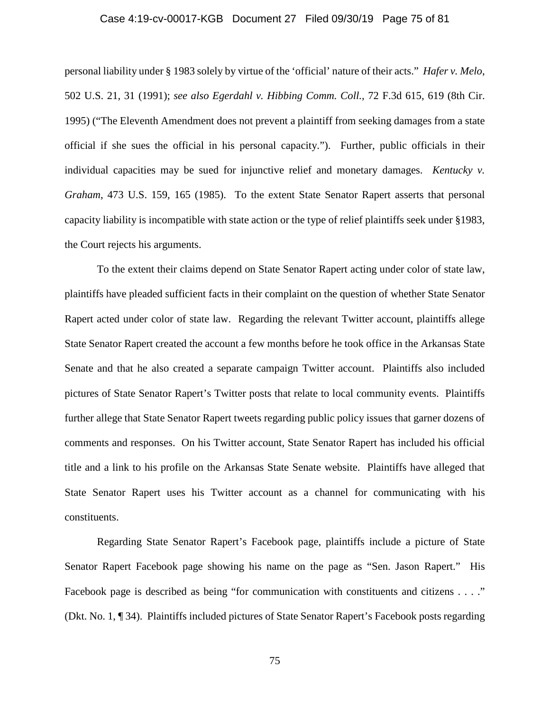#### Case 4:19-cv-00017-KGB Document 27 Filed 09/30/19 Page 75 of 81

personal liability under § 1983 solely by virtue of the 'official' nature of their acts." *Hafer v. Melo*, 502 U.S. 21, 31 (1991); *see also [Egerdahl v. Hibbing Comm. Coll.,](https://1.next.westlaw.com/Link/Document/FullText?findType=Y&serNum=1995246746&pubNum=506&originatingDoc=I11513bb0f27411e1b66bbd5332e2d275&refType=RP&fi=co_pp_sp_506_619&originationContext=document&transitionType=DocumentItem&contextData=(sc.Keycite)#co_pp_sp_506_619)* 72 F.3d 615, 619 (8th Cir. [1995\)](https://1.next.westlaw.com/Link/Document/FullText?findType=Y&serNum=1995246746&pubNum=506&originatingDoc=I11513bb0f27411e1b66bbd5332e2d275&refType=RP&fi=co_pp_sp_506_619&originationContext=document&transitionType=DocumentItem&contextData=(sc.Keycite)#co_pp_sp_506_619) ("The Eleventh Amendment does not prevent a plaintiff from seeking damages from a state official if she sues the official in his personal capacity."). Further, public officials in their individual capacities may be sued for injunctive relief and monetary damages. *Kentucky v. Graham*, 473 U.S. 159, 165 (1985). To the extent State Senator Rapert asserts that personal capacity liability is incompatible with state action or the type of relief plaintiffs seek under §1983, the Court rejects his arguments.

To the extent their claims depend on State Senator Rapert acting under color of state law, plaintiffs have pleaded sufficient facts in their complaint on the question of whether State Senator Rapert acted under color of state law. Regarding the relevant Twitter account, plaintiffs allege State Senator Rapert created the account a few months before he took office in the Arkansas State Senate and that he also created a separate campaign Twitter account. Plaintiffs also included pictures of State Senator Rapert's Twitter posts that relate to local community events. Plaintiffs further allege that State Senator Rapert tweets regarding public policy issues that garner dozens of comments and responses. On his Twitter account, State Senator Rapert has included his official title and a link to his profile on the Arkansas State Senate website. Plaintiffs have alleged that State Senator Rapert uses his Twitter account as a channel for communicating with his constituents.

Regarding State Senator Rapert's Facebook page, plaintiffs include a picture of State Senator Rapert Facebook page showing his name on the page as "Sen. Jason Rapert." His Facebook page is described as being "for communication with constituents and citizens . . . ." (Dkt. No. 1, ¶ 34). Plaintiffs included pictures of State Senator Rapert's Facebook posts regarding

75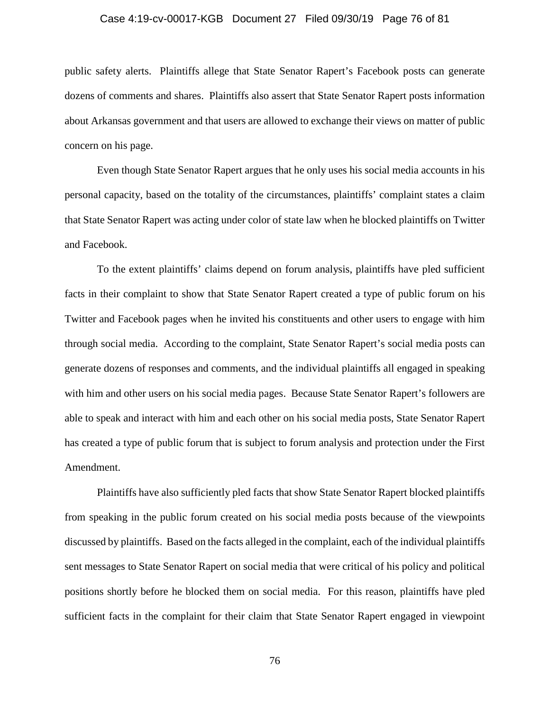#### Case 4:19-cv-00017-KGB Document 27 Filed 09/30/19 Page 76 of 81

public safety alerts. Plaintiffs allege that State Senator Rapert's Facebook posts can generate dozens of comments and shares. Plaintiffs also assert that State Senator Rapert posts information about Arkansas government and that users are allowed to exchange their views on matter of public concern on his page.

Even though State Senator Rapert argues that he only uses his social media accounts in his personal capacity, based on the totality of the circumstances, plaintiffs' complaint states a claim that State Senator Rapert was acting under color of state law when he blocked plaintiffs on Twitter and Facebook.

To the extent plaintiffs' claims depend on forum analysis, plaintiffs have pled sufficient facts in their complaint to show that State Senator Rapert created a type of public forum on his Twitter and Facebook pages when he invited his constituents and other users to engage with him through social media. According to the complaint, State Senator Rapert's social media posts can generate dozens of responses and comments, and the individual plaintiffs all engaged in speaking with him and other users on his social media pages. Because State Senator Rapert's followers are able to speak and interact with him and each other on his social media posts, State Senator Rapert has created a type of public forum that is subject to forum analysis and protection under the First Amendment.

Plaintiffs have also sufficiently pled facts that show State Senator Rapert blocked plaintiffs from speaking in the public forum created on his social media posts because of the viewpoints discussed by plaintiffs. Based on the facts alleged in the complaint, each of the individual plaintiffs sent messages to State Senator Rapert on social media that were critical of his policy and political positions shortly before he blocked them on social media. For this reason, plaintiffs have pled sufficient facts in the complaint for their claim that State Senator Rapert engaged in viewpoint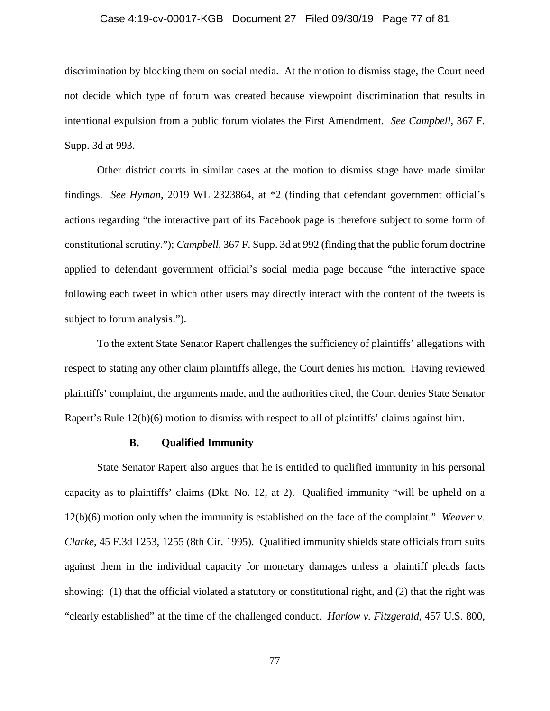#### Case 4:19-cv-00017-KGB Document 27 Filed 09/30/19 Page 77 of 81

discrimination by blocking them on social media. At the motion to dismiss stage, the Court need not decide which type of forum was created because viewpoint discrimination that results in intentional expulsion from a public forum violates the First Amendment. *See Campbell*, 367 F. Supp. 3d at 993.

Other district courts in similar cases at the motion to dismiss stage have made similar findings. *See Hyman*, 2019 WL 2323864, at \*2 (finding that defendant government official's actions regarding "the interactive part of its Facebook page is therefore subject to some form of constitutional scrutiny."); *Campbell*, 367 F. Supp. 3d at 992 (finding that the public forum doctrine applied to defendant government official's social media page because "the interactive space following each tweet in which other users may directly interact with the content of the tweets is subject to forum analysis.").

To the extent State Senator Rapert challenges the sufficiency of plaintiffs' allegations with respect to stating any other claim plaintiffs allege, the Court denies his motion. Having reviewed plaintiffs' complaint, the arguments made, and the authorities cited, the Court denies State Senator Rapert's Rule 12(b)(6) motion to dismiss with respect to all of plaintiffs' claims against him.

#### **B. Qualified Immunity**

State Senator Rapert also argues that he is entitled to qualified immunity in his personal capacity as to plaintiffs' claims (Dkt. No. 12, at 2). Qualified immunity "will be upheld on a 12(b)(6) motion only when the immunity is established on the face of the complaint." *Weaver v. Clarke*, 45 F.3d 1253, 1255 (8th Cir. 1995). Qualified immunity shields state officials from suits against them in the individual capacity for monetary damages unless a plaintiff pleads facts showing: (1) that the official violated a statutory or constitutional right, and (2) that the right was "clearly established" at the time of the challenged conduct. *Harlow v. Fitzgerald*, 457 U.S. 800,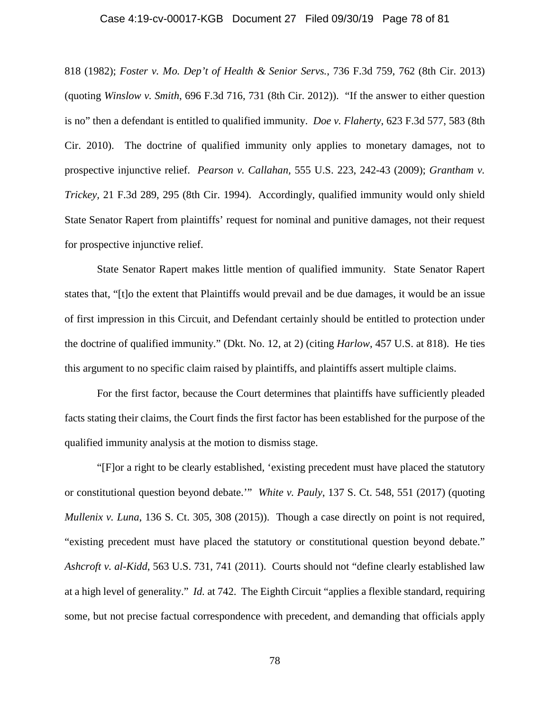#### Case 4:19-cv-00017-KGB Document 27 Filed 09/30/19 Page 78 of 81

818 (1982); *Foster v. Mo. Dep't of Health & Senior Servs.*, 736 F.3d 759, 762 (8th Cir. 2013) (quoting *Winslow v. Smith*, 696 F.3d 716, 731 (8th Cir. 2012)). "If the answer to either question is no" then a defendant is entitled to qualified immunity. *Doe v. Flaherty*, 623 F.3d 577, 583 (8th Cir. 2010). The doctrine of qualified immunity only applies to monetary damages, not to prospective injunctive relief. *Pearson v. Callahan,* 555 U.S. 223, 242-43 (2009); *Grantham v. Trickey,* 21 F.3d 289, 295 (8th Cir. 1994). Accordingly, qualified immunity would only shield State Senator Rapert from plaintiffs' request for nominal and punitive damages, not their request for prospective injunctive relief.

State Senator Rapert makes little mention of qualified immunity. State Senator Rapert states that, "[t]o the extent that Plaintiffs would prevail and be due damages, it would be an issue of first impression in this Circuit, and Defendant certainly should be entitled to protection under the doctrine of qualified immunity." (Dkt. No. 12, at 2) (citing *Harlow*, 457 U.S. at 818). He ties this argument to no specific claim raised by plaintiffs, and plaintiffs assert multiple claims.

For the first factor, because the Court determines that plaintiffs have sufficiently pleaded facts stating their claims, the Court finds the first factor has been established for the purpose of the qualified immunity analysis at the motion to dismiss stage.

"[F]or a right to be clearly established, 'existing precedent must have placed the statutory or constitutional question beyond debate.'" *White v. Pauly*, 137 S. Ct. 548, 551 (2017) (quoting *Mullenix v. Luna*, 136 S. Ct. 305, 308 (2015)). Though a case directly on point is not required, "existing precedent must have placed the statutory or constitutional question beyond debate." *Ashcroft v. al-Kidd*, 563 U.S. 731, 741 (2011). Courts should not "define clearly established law at a high level of generality." *Id.* at 742. The Eighth Circuit "applies a flexible standard, requiring some, but not precise factual correspondence with precedent, and demanding that officials apply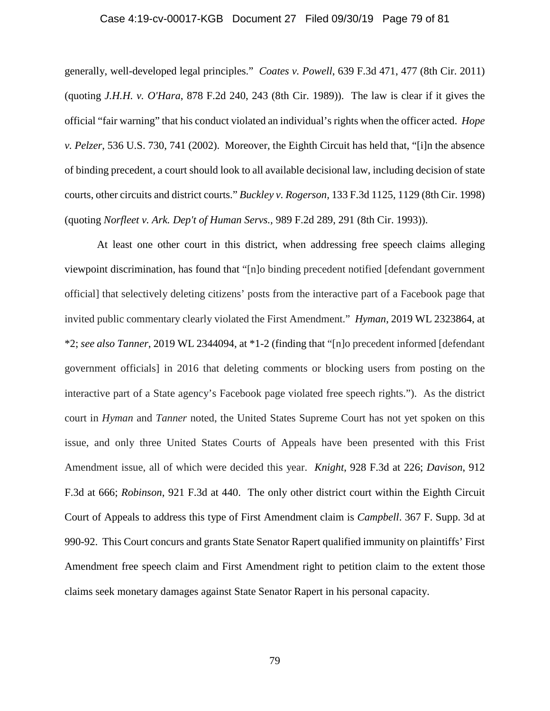#### Case 4:19-cv-00017-KGB Document 27 Filed 09/30/19 Page 79 of 81

generally, well-developed legal principles." *Coates v. Powell*, 639 F.3d 471, 477 (8th Cir. 2011) (quoting *J.H.H. v. O'Hara*, 878 F.2d 240, 243 (8th Cir. 1989)). The law is clear if it gives the official "fair warning" that his conduct violated an individual's rights when the officer acted. *Hope v. Pelzer*, 536 U.S. 730, 741 (2002). Moreover, the Eighth Circuit has held that, "[i]n the absence of binding precedent, a court should look to all available decisional law, including decision of state courts, other circuits and district courts." *Buckley v. Rogerson,* 133 F.3d 1125, 1129 (8th Cir. 1998) (quoting *Norfleet v. Ark. Dep't of Human Servs.,* 989 F.2d 289, 291 (8th Cir. 1993)).

At least one other court in this district, when addressing free speech claims alleging viewpoint discrimination, has found that "[n]o binding precedent notified [defendant government official] that selectively deleting citizens' posts from the interactive part of a Facebook page that invited public commentary clearly violated the First Amendment." *Hyman*, 2019 WL 2323864, at \*2; *see also Tanner*, 2019 WL 2344094, at \*1-2 (finding that "[n]o precedent informed [defendant government officials] in 2016 that deleting comments or blocking users from posting on the interactive part of a State agency's Facebook page violated free speech rights."). As the district court in *Hyman* and *Tanner* noted, the United States Supreme Court has not yet spoken on this issue, and only three United States Courts of Appeals have been presented with this Frist Amendment issue, all of which were decided this year. *Knight*, 928 F.3d at 226; *Davison*, 912 F.3d at 666; *Robinson*, 921 F.3d at 440. The only other district court within the Eighth Circuit Court of Appeals to address this type of First Amendment claim is *Campbell*. 367 F. Supp. 3d at 990-92. This Court concurs and grants State Senator Rapert qualified immunity on plaintiffs' First Amendment free speech claim and First Amendment right to petition claim to the extent those claims seek monetary damages against State Senator Rapert in his personal capacity.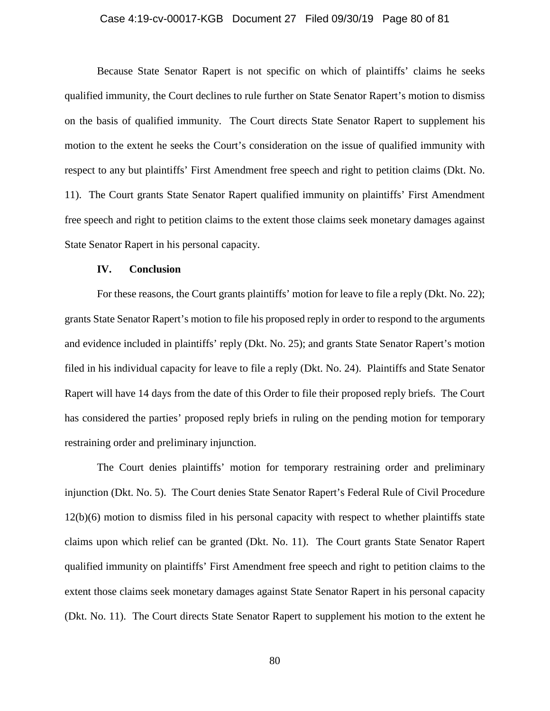#### Case 4:19-cv-00017-KGB Document 27 Filed 09/30/19 Page 80 of 81

Because State Senator Rapert is not specific on which of plaintiffs' claims he seeks qualified immunity, the Court declines to rule further on State Senator Rapert's motion to dismiss on the basis of qualified immunity. The Court directs State Senator Rapert to supplement his motion to the extent he seeks the Court's consideration on the issue of qualified immunity with respect to any but plaintiffs' First Amendment free speech and right to petition claims (Dkt. No. 11). The Court grants State Senator Rapert qualified immunity on plaintiffs' First Amendment free speech and right to petition claims to the extent those claims seek monetary damages against State Senator Rapert in his personal capacity.

#### **IV. Conclusion**

For these reasons, the Court grants plaintiffs' motion for leave to file a reply (Dkt. No. 22); grants State Senator Rapert's motion to file his proposed reply in order to respond to the arguments and evidence included in plaintiffs' reply (Dkt. No. 25); and grants State Senator Rapert's motion filed in his individual capacity for leave to file a reply (Dkt. No. 24). Plaintiffs and State Senator Rapert will have 14 days from the date of this Order to file their proposed reply briefs. The Court has considered the parties' proposed reply briefs in ruling on the pending motion for temporary restraining order and preliminary injunction.

The Court denies plaintiffs' motion for temporary restraining order and preliminary injunction (Dkt. No. 5). The Court denies State Senator Rapert's Federal Rule of Civil Procedure 12(b)(6) motion to dismiss filed in his personal capacity with respect to whether plaintiffs state claims upon which relief can be granted (Dkt. No. 11). The Court grants State Senator Rapert qualified immunity on plaintiffs' First Amendment free speech and right to petition claims to the extent those claims seek monetary damages against State Senator Rapert in his personal capacity (Dkt. No. 11). The Court directs State Senator Rapert to supplement his motion to the extent he